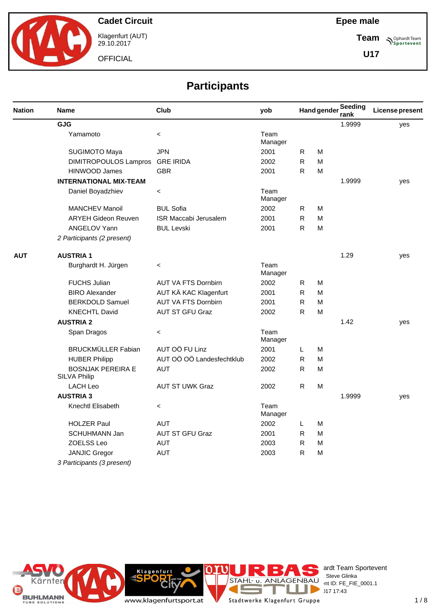

Klagenfurt (AUT) 29.10.2017

**OFFICIAL** 

**Epee male**

**Team Sportevent** 

**U17**

# **Participants**

| <b>Nation</b> | <b>Name</b>                                     | Club                         | yob             |              | <b>Hand gender</b> | <b>Seeding</b><br>rank | <b>License present</b> |
|---------------|-------------------------------------------------|------------------------------|-----------------|--------------|--------------------|------------------------|------------------------|
|               | <b>GJG</b>                                      |                              |                 |              |                    | 1.9999                 | yes                    |
|               | Yamamoto                                        | $\,<$                        | Team<br>Manager |              |                    |                        |                        |
|               | <b>SUGIMOTO Maya</b>                            | <b>JPN</b>                   | 2001            | $\mathsf{R}$ | M                  |                        |                        |
|               | <b>DIMITROPOULOS Lampros</b>                    | <b>GRE IRIDA</b>             | 2002            | $\mathsf{R}$ | M                  |                        |                        |
|               | <b>HINWOOD James</b>                            | <b>GBR</b>                   | 2001            | R.           | M                  |                        |                        |
|               | <b>INTERNATIONAL MIX-TEAM</b>                   |                              |                 |              |                    | 1.9999                 | yes                    |
|               | Daniel Boyadzhiev                               | $\,<$                        | Team<br>Manager |              |                    |                        |                        |
|               | <b>MANCHEV Manoil</b>                           | <b>BUL Sofia</b>             | 2002            | R            | M                  |                        |                        |
|               | <b>ARYEH Gideon Reuven</b>                      | <b>ISR Maccabi Jerusalem</b> | 2001            | R.           | M                  |                        |                        |
|               | <b>ANGELOV Yann</b>                             | <b>BUL Levski</b>            | 2001            | R.           | М                  |                        |                        |
|               | 2 Participants (2 present)                      |                              |                 |              |                    |                        |                        |
| <b>AUT</b>    | <b>AUSTRIA1</b>                                 |                              |                 |              |                    | 1.29                   | yes                    |
|               | Burghardt H. Jürgen                             | $\,<$                        | Team<br>Manager |              |                    |                        |                        |
|               | <b>FUCHS Julian</b>                             | <b>AUT VA FTS Dornbirn</b>   | 2002            | R            | M                  |                        |                        |
|               | <b>BIRO Alexander</b>                           | AUT KÄ KAC Klagenfurt        | 2001            | R.           | M                  |                        |                        |
|               | <b>BERKDOLD Samuel</b>                          | <b>AUT VA FTS Dornbirn</b>   | 2001            | $\mathsf{R}$ | M                  |                        |                        |
|               | <b>KNECHTL David</b>                            | <b>AUT ST GFU Graz</b>       | 2002            | R.           | M                  |                        |                        |
|               | <b>AUSTRIA 2</b>                                |                              |                 |              |                    | 1.42                   | yes                    |
|               | Span Dragos                                     | $\,<$                        | Team<br>Manager |              |                    |                        |                        |
|               | <b>BRUCKMÜLLER Fabian</b>                       | AUT OÖ FU Linz               | 2001            | L            | M                  |                        |                        |
|               | <b>HUBER Philipp</b>                            | AUT OÖ OÖ Landesfechtklub    | 2002            | R.           | M                  |                        |                        |
|               | <b>BOSNJAK PEREIRA E</b><br><b>SILVA Philip</b> | <b>AUT</b>                   | 2002            | R            | M                  |                        |                        |
|               | <b>LACH Leo</b>                                 | <b>AUT ST UWK Graz</b>       | 2002            | $\mathsf{R}$ | M                  |                        |                        |
|               | <b>AUSTRIA 3</b>                                |                              |                 |              |                    | 1.9999                 | yes                    |
|               | Knechtl Elisabeth                               | $\,<$                        | Team<br>Manager |              |                    |                        |                        |
|               | <b>HOLZER Paul</b>                              | <b>AUT</b>                   | 2002            | L            | M                  |                        |                        |
|               | SCHUHMANN Jan                                   | <b>AUT ST GFU Graz</b>       | 2001            | R            | M                  |                        |                        |
|               | ZOELSS Leo                                      | <b>AUT</b>                   | 2003            | $\mathsf{R}$ | M                  |                        |                        |
|               | <b>JANJIC Gregor</b>                            | <b>AUT</b>                   | 2003            | $\mathsf{R}$ | M                  |                        |                        |
|               | 3 Participants (3 present)                      |                              |                 |              |                    |                        |                        |



www.klagenfurtsport.at

**Klagenfurt** 

**Rit** 



Е

T a.

**IC**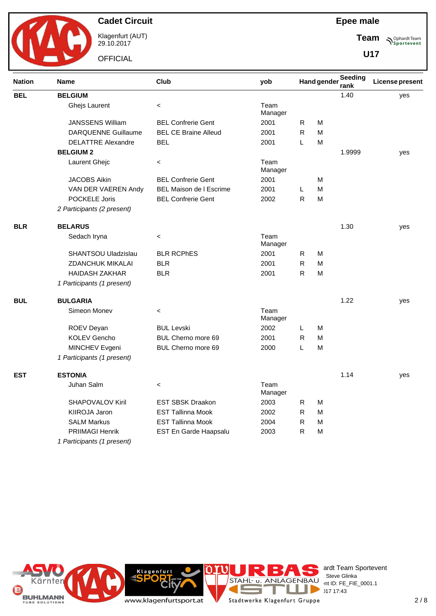

Klagenfurt (AUT) 29.10.2017

**OFFICIAL** 

**Epee male**

**Team Sportevent** 

**U17**

| <b>Nation</b> | <b>Name</b>                | Club                           | yob             |              | <b>Hand gender</b> | Seeding<br>rank | <b>License present</b> |
|---------------|----------------------------|--------------------------------|-----------------|--------------|--------------------|-----------------|------------------------|
| <b>BEL</b>    | <b>BELGIUM</b>             |                                |                 |              |                    | 1.40            | yes                    |
|               | <b>Ghejs Laurent</b>       | $\,<$                          | Team<br>Manager |              |                    |                 |                        |
|               | <b>JANSSENS William</b>    | <b>BEL Confrerie Gent</b>      | 2001            | R            | M                  |                 |                        |
|               | <b>DARQUENNE Guillaume</b> | <b>BEL CE Braine Alleud</b>    | 2001            | R.           | M                  |                 |                        |
|               | <b>DELATTRE Alexandre</b>  | <b>BEL</b>                     | 2001            | L            | M                  |                 |                        |
|               | <b>BELGIUM 2</b>           |                                |                 |              |                    | 1.9999          | yes                    |
|               | Laurent Ghejc              | $\,<\,$                        | Team<br>Manager |              |                    |                 |                        |
|               | <b>JACOBS Aikin</b>        | <b>BEL Confrerie Gent</b>      | 2001            |              | M                  |                 |                        |
|               | VAN DER VAEREN Andy        | <b>BEL Maison de I Escrime</b> | 2001            | L            | M                  |                 |                        |
|               | <b>POCKELE Joris</b>       | <b>BEL Confrerie Gent</b>      | 2002            | ${\sf R}$    | M                  |                 |                        |
|               | 2 Participants (2 present) |                                |                 |              |                    |                 |                        |
| <b>BLR</b>    | <b>BELARUS</b>             |                                |                 |              |                    | 1.30            | yes                    |
|               | Sedach Iryna               | $\,<$                          | Team<br>Manager |              |                    |                 |                        |
|               | <b>SHANTSOU Uladzislau</b> | <b>BLR RCPhES</b>              | 2001            | R            | M                  |                 |                        |
|               | <b>ZDANCHUK MIKALAI</b>    | <b>BLR</b>                     | 2001            | R            | M                  |                 |                        |
|               | <b>HAIDASH ZAKHAR</b>      | <b>BLR</b>                     | 2001            | R            | M                  |                 |                        |
|               | 1 Participants (1 present) |                                |                 |              |                    |                 |                        |
| <b>BUL</b>    | <b>BULGARIA</b>            |                                |                 |              |                    | 1.22            | yes                    |
|               | Simeon Monev               | $\,<$                          | Team<br>Manager |              |                    |                 |                        |
|               | ROEV Deyan                 | <b>BUL Levski</b>              | 2002            | L            | м                  |                 |                        |
|               | <b>KOLEV Gencho</b>        | BUL Cherno more 69             | 2001            | R            | M                  |                 |                        |
|               | MINCHEV Evgeni             | BUL Cherno more 69             | 2000            | L            | M                  |                 |                        |
|               | 1 Participants (1 present) |                                |                 |              |                    |                 |                        |
| <b>EST</b>    | <b>ESTONIA</b>             |                                |                 |              |                    | 1.14            | yes                    |
|               | Juhan Salm                 | $\,<\,$                        | Team<br>Manager |              |                    |                 |                        |
|               | <b>SHAPOVALOV Kiril</b>    | <b>EST SBSK Draakon</b>        | 2003            | R            | M                  |                 |                        |
|               | KIIROJA Jaron              | <b>EST Tallinna Mook</b>       | 2002            | $\mathsf{R}$ | M                  |                 |                        |
|               | <b>SALM Markus</b>         | <b>EST Tallinna Mook</b>       | 2004            | R            | M                  |                 |                        |
|               | PRIIMAGI Henrik            | EST En Garde Haapsalu          | 2003            | R            | M                  |                 |                        |
|               | 1 Participants (1 present) |                                |                 |              |                    |                 |                        |



**Cit** 

Klagenfurt



**IC** 

ardt Team Sportevent<br>∶Steve Glinka **License:** Steve Glinka  $P^{\text{LO}}$  int ID: FE\_FIE\_0001.1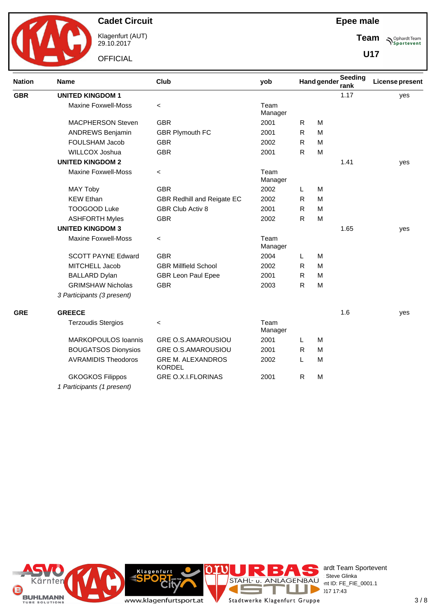

Klagenfurt (AUT) 29.10.2017

**OFFICIAL** 

**Epee male**

**Team Sportevent** 

**U17**

| <b>Nation</b> | <b>Name</b>                | Club                                      | yob             |              | <b>Hand gender</b> | Seeding<br>rank | <b>License present</b> |
|---------------|----------------------------|-------------------------------------------|-----------------|--------------|--------------------|-----------------|------------------------|
| <b>GBR</b>    | <b>UNITED KINGDOM 1</b>    |                                           |                 |              |                    | 1.17            | yes                    |
|               | <b>Maxine Foxwell-Moss</b> | $\prec$                                   | Team<br>Manager |              |                    |                 |                        |
|               | <b>MACPHERSON Steven</b>   | <b>GBR</b>                                | 2001            | R            | M                  |                 |                        |
|               | <b>ANDREWS Benjamin</b>    | <b>GBR Plymouth FC</b>                    | 2001            | R            | M                  |                 |                        |
|               | FOULSHAM Jacob             | <b>GBR</b>                                | 2002            | R.           | M                  |                 |                        |
|               | WILLCOX Joshua             | <b>GBR</b>                                | 2001            | R            | M                  |                 |                        |
|               | <b>UNITED KINGDOM 2</b>    |                                           |                 |              |                    | 1.41            | yes                    |
|               | <b>Maxine Foxwell-Moss</b> | $\,<\,$                                   | Team<br>Manager |              |                    |                 |                        |
|               | MAY Toby                   | <b>GBR</b>                                | 2002            | L            | M                  |                 |                        |
|               | <b>KEW Ethan</b>           | <b>GBR Redhill and Reigate EC</b>         | 2002            | R            | M                  |                 |                        |
|               | TOOGOOD Luke               | <b>GBR Club Activ 8</b>                   | 2001            | $\mathsf{R}$ | M                  |                 |                        |
|               | <b>ASHFORTH Myles</b>      | <b>GBR</b>                                | 2002            | $\mathsf{R}$ | M                  |                 |                        |
|               | <b>UNITED KINGDOM 3</b>    |                                           |                 |              |                    | 1.65            | yes                    |
|               | <b>Maxine Foxwell-Moss</b> | $\,<\,$                                   | Team<br>Manager |              |                    |                 |                        |
|               | <b>SCOTT PAYNE Edward</b>  | <b>GBR</b>                                | 2004            | L.           | M                  |                 |                        |
|               | MITCHELL Jacob             | <b>GBR Millfield School</b>               | 2002            | R            | M                  |                 |                        |
|               | <b>BALLARD Dylan</b>       | <b>GBR Leon Paul Epee</b>                 | 2001            | R            | M                  |                 |                        |
|               | <b>GRIMSHAW Nicholas</b>   | <b>GBR</b>                                | 2003            | R            | M                  |                 |                        |
|               | 3 Participants (3 present) |                                           |                 |              |                    |                 |                        |
| <b>GRE</b>    | <b>GREECE</b>              |                                           |                 |              |                    | 1.6             | yes                    |
|               | <b>Terzoudis Stergios</b>  | $\,<\,$                                   | Team<br>Manager |              |                    |                 |                        |
|               | MARKOPOULOS Ioannis        | <b>GRE O.S.AMAROUSIOU</b>                 | 2001            | L            | M                  |                 |                        |
|               | <b>BOUGATSOS Dionysios</b> | <b>GRE O.S.AMAROUSIOU</b>                 | 2001            | R            | M                  |                 |                        |
|               | <b>AVRAMIDIS Theodoros</b> | <b>GRE M. ALEXANDROS</b><br><b>KORDEL</b> | 2002            | L            | M                  |                 |                        |
|               | <b>GKOGKOS Filippos</b>    | <b>GRE O.X.I.FLORINAS</b>                 | 2001            | $\mathsf{R}$ | M                  |                 |                        |
|               | 1 Participants (1 present) |                                           |                 |              |                    |                 |                        |

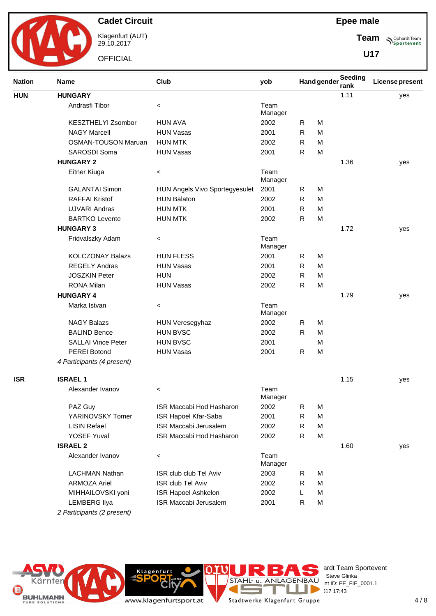

Klagenfurt (AUT) 29.10.2017

**OFFICIAL** 

**Epee male**

**Team Sportevent** 

**U17**

| <b>Nation</b><br><b>HUN</b><br><b>ISR</b> | Name                       | Club<br>yob                    |                 |              | <b>Hand gender</b> | Seeding<br>rank | License present |
|-------------------------------------------|----------------------------|--------------------------------|-----------------|--------------|--------------------|-----------------|-----------------|
|                                           | <b>HUNGARY</b>             |                                |                 |              |                    | 1.11            | yes             |
|                                           | Andrasfi Tibor             | $\,<\,$                        | Team<br>Manager |              |                    |                 |                 |
|                                           | <b>KESZTHELYI Zsombor</b>  | <b>HUN AVA</b>                 | 2002            | R            | M                  |                 |                 |
|                                           | <b>NAGY Marcell</b>        | <b>HUN Vasas</b>               | 2001            | R            | M                  |                 |                 |
|                                           | <b>OSMAN-TOUSON Maruan</b> | <b>HUN MTK</b>                 | 2002            | R            | M                  |                 |                 |
|                                           | SAROSDI Soma               | <b>HUN Vasas</b>               | 2001            | $\mathsf{R}$ | M                  |                 |                 |
|                                           | <b>HUNGARY 2</b>           |                                |                 |              |                    | 1.36            | yes             |
|                                           | Eitner Kiuga               | $\,<\,$                        | Team<br>Manager |              |                    |                 |                 |
|                                           | <b>GALANTAI Simon</b>      | HUN Angels Vivo Sportegyesulet | 2001            | R            | M                  |                 |                 |
|                                           | <b>RAFFAI Kristof</b>      | <b>HUN Balaton</b>             | 2002            | R            | M                  |                 |                 |
|                                           | <b>UJVARI Andras</b>       | <b>HUN MTK</b>                 | 2001            | R            | M                  |                 |                 |
|                                           | <b>BARTKO Levente</b>      | <b>HUN MTK</b>                 | 2002            | R            | M                  |                 |                 |
|                                           | <b>HUNGARY 3</b>           |                                |                 |              |                    | 1.72            | yes             |
|                                           | Fridvalszky Adam           | $\,<\,$                        | Team<br>Manager |              |                    |                 |                 |
|                                           | <b>KOLCZONAY Balazs</b>    | <b>HUN FLESS</b>               | 2001            | R            | M                  |                 |                 |
|                                           | <b>REGELY Andras</b>       | <b>HUN Vasas</b>               | 2001            | R            | M                  |                 |                 |
|                                           | <b>JOSZKIN Peter</b>       | <b>HUN</b>                     | 2002            | R.           | M                  |                 |                 |
|                                           | <b>RONA Milan</b>          | <b>HUN Vasas</b>               | 2002            | R            | M                  |                 |                 |
|                                           | <b>HUNGARY 4</b>           |                                |                 |              |                    | 1.79            | yes             |
|                                           | Marka Istvan               | $\,<\,$                        | Team<br>Manager |              |                    |                 |                 |
|                                           | <b>NAGY Balazs</b>         | <b>HUN Veresegyhaz</b>         | 2002            | R            | M                  |                 |                 |
|                                           | <b>BALIND Bence</b>        | <b>HUN BVSC</b>                | 2002            | R.           | M                  |                 |                 |
|                                           | <b>SALLAI Vince Peter</b>  | <b>HUN BVSC</b>                | 2001            |              | M                  |                 |                 |
|                                           | <b>PEREI Botond</b>        | <b>HUN Vasas</b>               | 2001            | $\mathsf{R}$ | M                  |                 |                 |
|                                           | 4 Participants (4 present) |                                |                 |              |                    |                 |                 |
|                                           | <b>ISRAEL1</b>             |                                |                 |              |                    | 1.15            | yes             |
|                                           | Alexander Ivanov           | $\,<$                          | Team<br>Manager |              |                    |                 |                 |
|                                           | PAZ Guy                    | ISR Maccabi Hod Hasharon       | 2002            | R            | M                  |                 |                 |
|                                           | YARINOVSKY Tomer           | ISR Hapoel Kfar-Saba           | 2001            | R            | M                  |                 |                 |
|                                           | <b>LISIN Refael</b>        | ISR Maccabi Jerusalem          | 2002            | R            | M                  |                 |                 |
|                                           | YOSEF Yuval                | ISR Maccabi Hod Hasharon       | 2002            | R            | M                  |                 |                 |
|                                           | <b>ISRAEL 2</b>            |                                |                 |              |                    | 1.60            | yes             |
|                                           | Alexander Ivanov           | $\,<\,$                        | Team<br>Manager |              |                    |                 |                 |
|                                           | <b>LACHMAN Nathan</b>      | ISR club club Tel Aviv         | 2003            | R            | M                  |                 |                 |
|                                           | <b>ARMOZA Ariel</b>        | <b>ISR club Tel Aviv</b>       | 2002            | R            | M                  |                 |                 |
|                                           | MIHHAILOVSKI yoni          | <b>ISR Hapoel Ashkelon</b>     | 2002            | L            | M                  |                 |                 |
|                                           | <b>LEMBERG Ilya</b>        | ISR Maccabi Jerusalem          | 2001            | R            | M                  |                 |                 |
|                                           | 2 Participants (2 present) |                                |                 |              |                    |                 |                 |







erdt Team Sportevent **License:** Steve Glinka  $P^{\text{LO}}$  int ID: FE\_FIE\_0001.1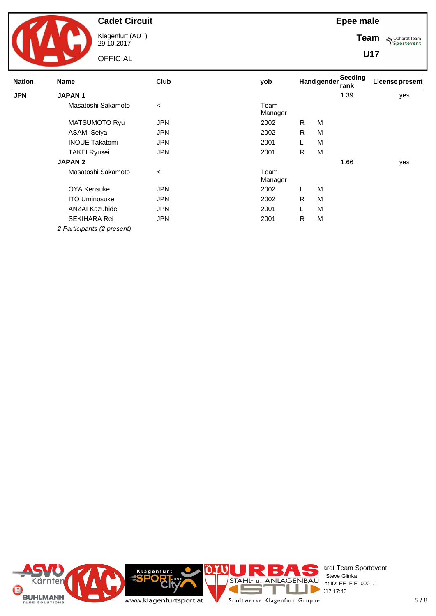

Klagenfurt (AUT) 29.10.2017

**OFFICIAL** 

**Epee male**

**Team Sportevent** 

**U17**

| <b>Nation</b> | Name                       | Club       | yob             |    | <b>Hand gender</b> | Seeding<br>rank | <b>License present</b> |
|---------------|----------------------------|------------|-----------------|----|--------------------|-----------------|------------------------|
| <b>JPN</b>    | <b>JAPAN1</b>              |            |                 |    |                    | 1.39            | yes                    |
|               | Masatoshi Sakamoto         | $\,<\,$    | Team<br>Manager |    |                    |                 |                        |
|               | MATSUMOTO Ryu              | <b>JPN</b> | 2002            | R. | M                  |                 |                        |
|               | <b>ASAMI Seiya</b>         | <b>JPN</b> | 2002            | R. | M                  |                 |                        |
|               | <b>INOUE Takatomi</b>      | <b>JPN</b> | 2001            |    | M                  |                 |                        |
|               | <b>TAKEI Ryusei</b>        | JPN        | 2001            | R  | M                  |                 |                        |
|               | <b>JAPAN2</b>              |            |                 |    |                    | 1.66            | yes                    |
|               | Masatoshi Sakamoto         | $\,<\,$    | Team<br>Manager |    |                    |                 |                        |
|               | OYA Kensuke                | <b>JPN</b> | 2002            |    | M                  |                 |                        |
|               | <b>ITO Uminosuke</b>       | <b>JPN</b> | 2002            | R. | M                  |                 |                        |
|               | <b>ANZAI Kazuhide</b>      | <b>JPN</b> | 2001            |    | M                  |                 |                        |
|               | SEKIHARA Rei               | <b>JPN</b> | 2001            | R. | M                  |                 |                        |
|               | 2 Participants (2 present) |            |                 |    |                    |                 |                        |

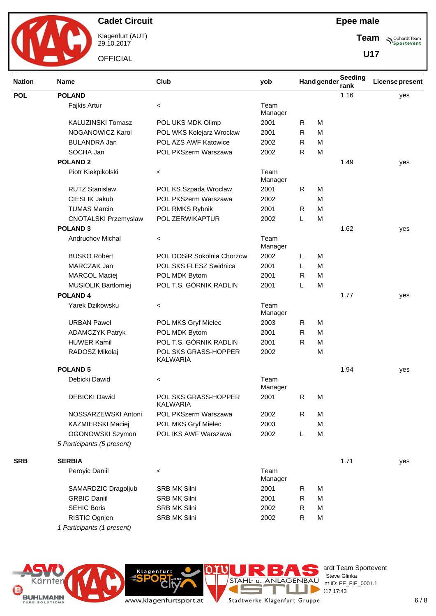

Klagenfurt (AUT) 29.10.2017

**OFFICIAL** 

#### **Epee male**

**Team Sportevent** 

**U17**

| <b>Nation</b> | <b>Name</b>                 | Club                                    | yob             |    | <b>Hand gender</b> | Seeding<br>rank | License present |
|---------------|-----------------------------|-----------------------------------------|-----------------|----|--------------------|-----------------|-----------------|
| <b>POL</b>    | <b>POLAND</b>               |                                         |                 |    |                    | 1.16            | yes             |
|               | Fajkis Artur                | $\,<\,$                                 | Team<br>Manager |    |                    |                 |                 |
|               | <b>KALUZINSKI Tomasz</b>    | POL UKS MDK Olimp                       | 2001            | R  | M                  |                 |                 |
|               | NOGANOWICZ Karol            | POL WKS Kolejarz Wroclaw                | 2001            | R  | M                  |                 |                 |
|               | <b>BULANDRA Jan</b>         | POL AZS AWF Katowice                    | 2002            | R  | M                  |                 |                 |
|               | SOCHA Jan                   | POL PKSzerm Warszawa                    | 2002            | R  | M                  |                 |                 |
|               | <b>POLAND 2</b>             |                                         |                 |    |                    | 1.49            | yes             |
|               | Piotr Kiekpikolski          | $\,<\,$                                 | Team<br>Manager |    |                    |                 |                 |
|               | <b>RUTZ Stanislaw</b>       | POL KS Szpada Wroclaw                   | 2001            | R  | M                  |                 |                 |
|               | CIESLIK Jakub               | POL PKSzerm Warszawa                    | 2002            |    | M                  |                 |                 |
|               | <b>TUMAS Marcin</b>         | POL RMKS Rybnik                         | 2001            | R  | M                  |                 |                 |
|               | <b>CNOTALSKI Przemyslaw</b> | POL ZERWIKAPTUR                         | 2002            | L  | M                  |                 |                 |
|               | <b>POLAND 3</b>             |                                         |                 |    |                    | 1.62            | yes             |
|               | Andruchov Michal            | $\,<\,$                                 | Team<br>Manager |    |                    |                 |                 |
|               | <b>BUSKO Robert</b>         | POL DOSiR Sokolnia Chorzow              | 2002            | L  | M                  |                 |                 |
|               | MARCZAK Jan                 | POL SKS FLESZ Swidnica                  | 2001            | L  | M                  |                 |                 |
|               | <b>MARCOL Maciej</b>        | POL MDK Bytom                           | 2001            | R. | M                  |                 |                 |
|               | MUSIOLIK Bartlomiej         | POL T.S. GÓRNIK RADLIN                  | 2001            | L  | M                  |                 |                 |
|               | <b>POLAND4</b>              |                                         |                 |    |                    | 1.77            | yes             |
|               | Yarek Dzikowsku             | $\,<\,$                                 | Team<br>Manager |    |                    |                 |                 |
|               | <b>URBAN Pawel</b>          | POL MKS Gryf Mielec                     | 2003            | R  | M                  |                 |                 |
|               | <b>ADAMCZYK Patryk</b>      | POL MDK Bytom                           | 2001            | R  | M                  |                 |                 |
|               | <b>HUWER Kamil</b>          | POL T.S. GÓRNIK RADLIN                  | 2001            | R  | M                  |                 |                 |
|               | RADOSZ Mikolaj              | POL SKS GRASS-HOPPER<br><b>KALWARIA</b> | 2002            |    | M                  |                 |                 |
|               | <b>POLAND 5</b>             |                                         |                 |    |                    | 1.94            | yes             |
|               | Debicki Dawid               | $\,<\,$                                 | Team<br>Manager |    |                    |                 |                 |
|               | <b>DEBICKI Dawid</b>        | POL SKS GRASS-HOPPER<br><b>KALWARIA</b> | 2001            | R  | м                  |                 |                 |
|               | NOSSARZEWSKI Antoni         | POL PKSzerm Warszawa                    | 2002            | R  | M                  |                 |                 |
|               | KAZMIERSKI Maciej           | POL MKS Gryf Mielec                     | 2003            |    | M                  |                 |                 |
|               | OGONOWSKI Szymon            | POL IKS AWF Warszawa                    | 2002            | L  | M                  |                 |                 |
|               | 5 Participants (5 present)  |                                         |                 |    |                    |                 |                 |
| <b>SRB</b>    | <b>SERBIA</b>               |                                         |                 |    |                    | 1.71            | yes             |
|               | Peroyic Daniil              | $\,<\,$                                 | Team<br>Manager |    |                    |                 |                 |
|               | SAMARDZIC Dragoljub         | <b>SRB MK Silni</b>                     | 2001            | R  | M                  |                 |                 |
|               | <b>GRBIC Daniil</b>         | <b>SRB MK Silni</b>                     | 2001            | R  | M                  |                 |                 |
|               | <b>SEHIC Boris</b>          | <b>SRB MK Silni</b>                     | 2002            | R  | М                  |                 |                 |
|               | RISTIC Ognjen               | <b>SRB MK Silni</b>                     | 2002            | R  | M                  |                 |                 |
|               | 1 Participants (1 present)  |                                         |                 |    |                    |                 |                 |







erdt Team Sportevent **License:** Steve Glinka  $P^{\text{LO}}$  int ID: FE\_FIE\_0001.1

www.klagenfurtsport.at

Stadtwerke Klagenfurt Gruppe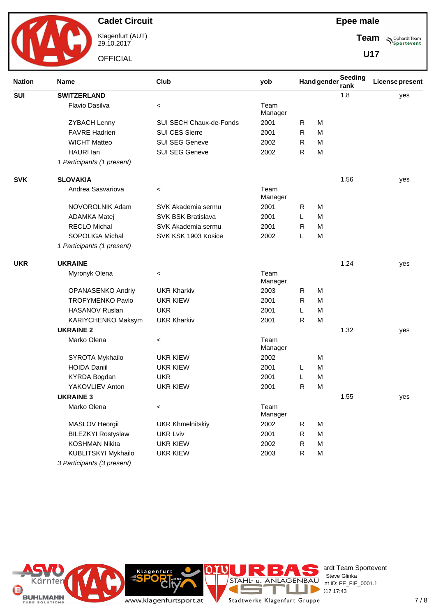

Klagenfurt (AUT) 29.10.2017

**OFFICIAL** 

**Epee male**

**Team Sportevent** 

**U17**

| <b>Nation</b><br>SUI<br><b>SVK</b><br><b>UKR</b> | Club<br><b>Name</b>        |                         | yob             |              | <b>Hand gender</b> | Seeding<br>rank | <b>License present</b> |
|--------------------------------------------------|----------------------------|-------------------------|-----------------|--------------|--------------------|-----------------|------------------------|
|                                                  | <b>SWITZERLAND</b>         |                         |                 |              |                    | 1.8             | yes                    |
|                                                  | Flavio Dasilva             | $\,<\,$                 | Team<br>Manager |              |                    |                 |                        |
|                                                  | <b>ZYBACH Lenny</b>        | SUI SECH Chaux-de-Fonds | 2001            | R            | M                  |                 |                        |
|                                                  | <b>FAVRE Hadrien</b>       | SUI CES Sierre          | 2001            | R            | M                  |                 |                        |
|                                                  | <b>WICHT Matteo</b>        | <b>SUI SEG Geneve</b>   | 2002            | R            | M                  |                 |                        |
|                                                  | HAURI Ian                  | SUI SEG Geneve          | 2002            | R            | M                  |                 |                        |
|                                                  | 1 Participants (1 present) |                         |                 |              |                    |                 |                        |
|                                                  | <b>SLOVAKIA</b>            |                         |                 |              |                    | 1.56            | yes                    |
|                                                  | Andrea Sasvariova          | $\,<\,$                 | Team<br>Manager |              |                    |                 |                        |
|                                                  | NOVOROLNIK Adam            | SVK Akademia sermu      | 2001            | R            | M                  |                 |                        |
|                                                  | ADAMKA Matej               | SVK BSK Bratislava      | 2001            | L            | M                  |                 |                        |
|                                                  | <b>RECLO Michal</b>        | SVK Akademia sermu      | 2001            | R            | M                  |                 |                        |
|                                                  | SOPOLIGA Michal            | SVK KSK 1903 Kosice     | 2002            | L            | M                  |                 |                        |
|                                                  | 1 Participants (1 present) |                         |                 |              |                    |                 |                        |
|                                                  | <b>UKRAINE</b>             |                         |                 |              |                    | 1.24            | yes                    |
|                                                  | Myronyk Olena              | $\,<\,$                 | Team<br>Manager |              |                    |                 |                        |
|                                                  | OPANASENKO Andriy          | <b>UKR Kharkiv</b>      | 2003            | R            | M                  |                 |                        |
|                                                  | <b>TROFYMENKO Pavlo</b>    | <b>UKR KIEW</b>         | 2001            | R            | M                  |                 |                        |
|                                                  | <b>HASANOV Ruslan</b>      | <b>UKR</b>              | 2001            | L            | M                  |                 |                        |
|                                                  | KARIYCHENKO Maksym         | <b>UKR Kharkiv</b>      | 2001            | R            | M                  |                 |                        |
|                                                  | <b>UKRAINE 2</b>           |                         |                 |              |                    | 1.32            | yes                    |
|                                                  | Marko Olena                | $\,<\,$                 | Team<br>Manager |              |                    |                 |                        |
|                                                  | SYROTA Mykhailo            | UKR KIEW                | 2002            |              | M                  |                 |                        |
|                                                  | <b>HOIDA Daniil</b>        | <b>UKR KIEW</b>         | 2001            | L            | M                  |                 |                        |
|                                                  | KYRDA Bogdan               | <b>UKR</b>              | 2001            | L            | M                  |                 |                        |
|                                                  | YAKOVLIEV Anton            | <b>UKR KIEW</b>         | 2001            | R            | M                  |                 |                        |
|                                                  | <b>UKRAINE 3</b>           |                         |                 |              |                    | 1.55            | yes                    |
|                                                  | Marko Olena                | $\,<\,$                 | Team<br>Manager |              |                    |                 |                        |
|                                                  | MASLOV Heorgii             | <b>UKR Khmelnitskiy</b> | 2002            | $\mathsf{R}$ | M                  |                 |                        |
|                                                  | <b>BILEZKYI Rostyslaw</b>  | <b>UKR Lviv</b>         | 2001            | R            | M                  |                 |                        |
|                                                  | <b>KOSHMAN Nikita</b>      | <b>UKR KIEW</b>         | 2002            | R            | M                  |                 |                        |
|                                                  | KUBLITSKYI Mykhailo        | <b>UKR KIEW</b>         | 2003            | R            | M                  |                 |                        |
|                                                  | 3 Participants (3 present) |                         |                 |              |                    |                 |                        |



**Rit** 

**Klagenfurt** 



erdt Team Sportevent **License:** Steve Glinka  $P^{\text{LO}}$  int ID: FE\_FIE\_0001.1  $29.1717:43$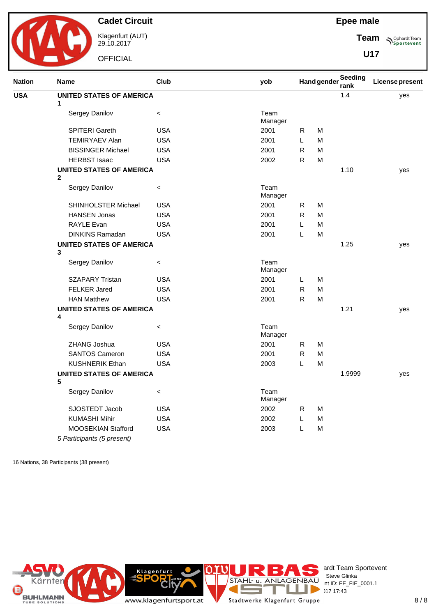

Klagenfurt (AUT) 29.10.2017

**OFFICIAL** 

**Epee male**

**Team Sportevent** 

**U17**

| <b>Nation</b> | Name                                 | Club       | yob             |              | <b>Hand gender</b> | Seeding<br>rank | <b>License present</b> |
|---------------|--------------------------------------|------------|-----------------|--------------|--------------------|-----------------|------------------------|
| <b>USA</b>    | <b>UNITED STATES OF AMERICA</b>      |            |                 |              |                    | 1.4             | yes                    |
|               | 1                                    |            |                 |              |                    |                 |                        |
|               | Sergey Danilov                       | $\,<$      | Team<br>Manager |              |                    |                 |                        |
|               | SPITERI Gareth                       | <b>USA</b> | 2001            | $\mathsf{R}$ | M                  |                 |                        |
|               | <b>TEMIRYAEV Alan</b>                | <b>USA</b> | 2001            | Г            | M                  |                 |                        |
|               | <b>BISSINGER Michael</b>             | <b>USA</b> | 2001            | R.           | M                  |                 |                        |
|               | <b>HERBST Isaac</b>                  | <b>USA</b> | 2002            | ${\sf R}$    | M                  |                 |                        |
|               | <b>UNITED STATES OF AMERICA</b>      |            |                 |              |                    | 1.10            | yes                    |
|               | $\mathbf{2}$                         |            |                 |              |                    |                 |                        |
|               | Sergey Danilov                       | $\,<\,$    | Team<br>Manager |              |                    |                 |                        |
|               | SHINHOLSTER Michael                  | <b>USA</b> | 2001            | R            | M                  |                 |                        |
|               | <b>HANSEN Jonas</b>                  | <b>USA</b> | 2001            | R.           | M                  |                 |                        |
|               | <b>RAYLE Evan</b>                    | <b>USA</b> | 2001            | L            | M                  |                 |                        |
|               | <b>DINKINS Ramadan</b>               | <b>USA</b> | 2001            | L            | ${\sf M}$          |                 |                        |
|               | <b>UNITED STATES OF AMERICA</b><br>3 |            |                 |              |                    | 1.25            | yes                    |
|               | Sergey Danilov                       |            | Team            |              |                    |                 |                        |
|               |                                      | $\,<$      | Manager         |              |                    |                 |                        |
|               | <b>SZAPARY Tristan</b>               | <b>USA</b> | 2001            | L            | M                  |                 |                        |
|               | FELKER Jared                         | <b>USA</b> | 2001            | $\mathsf{R}$ | M                  |                 |                        |
|               | <b>HAN Matthew</b>                   | <b>USA</b> | 2001            | ${\sf R}$    | M                  |                 |                        |
|               | <b>UNITED STATES OF AMERICA</b>      |            |                 |              |                    | 1.21            | yes                    |
|               | 4                                    |            |                 |              |                    |                 |                        |
|               | Sergey Danilov                       | $\prec$    | Team<br>Manager |              |                    |                 |                        |
|               | ZHANG Joshua                         | <b>USA</b> | 2001            | R            | ${\sf M}$          |                 |                        |
|               | <b>SANTOS Cameron</b>                | <b>USA</b> | 2001            | ${\sf R}$    | ${\sf M}$          |                 |                        |
|               | <b>KUSHNERIK Ethan</b>               | <b>USA</b> | 2003            | Г            | M                  |                 |                        |
|               | <b>UNITED STATES OF AMERICA</b>      |            |                 |              |                    | 1.9999          | yes                    |
|               | 5                                    |            |                 |              |                    |                 |                        |
|               | Sergey Danilov                       | $\,<\,$    | Team<br>Manager |              |                    |                 |                        |
|               | SJOSTEDT Jacob                       | <b>USA</b> | 2002            | $\mathsf R$  | M                  |                 |                        |
|               | <b>KUMASHI Mihir</b>                 | <b>USA</b> | 2002            | L            | M                  |                 |                        |
|               | <b>MOOSEKIAN Stafford</b>            | <b>USA</b> | 2003            | L            | M                  |                 |                        |
|               | 5 Participants (5 present)           |            |                 |              |                    |                 |                        |

16 Nations, 38 Participants (38 present)

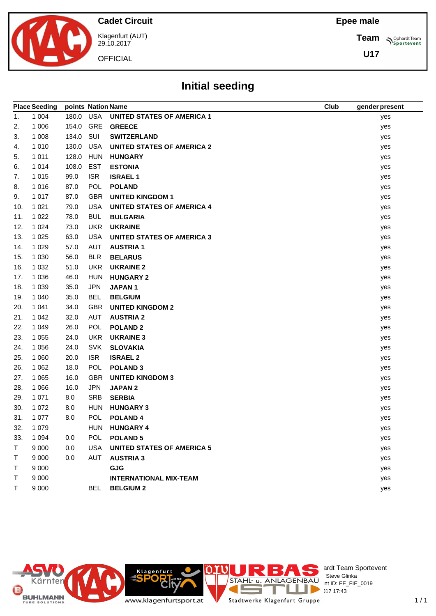**Team**

**U17**

**Sportevent** 

## **Cadet Circuit**



Klagenfurt (AUT) 29.10.2017

**OFFICIAL** 

# **Initial seeding**

|     | <b>Place Seeding</b> | points Nation Name |            |                                   | Club | gender present |
|-----|----------------------|--------------------|------------|-----------------------------------|------|----------------|
| 1.  | 1 0 0 4              | 180.0              | <b>USA</b> | <b>UNITED STATES OF AMERICA 1</b> |      | yes            |
| 2.  | 1 0 0 6              | 154.0              | GRE        | <b>GREECE</b>                     |      | yes            |
| 3.  | 1 0 0 8              | 134.0              | SUI        | <b>SWITZERLAND</b>                |      | yes            |
| 4.  | 1 0 1 0              | 130.0              | <b>USA</b> | <b>UNITED STATES OF AMERICA 2</b> |      | yes            |
| 5.  | 1 0 1 1              | 128.0              | <b>HUN</b> | <b>HUNGARY</b>                    |      | yes            |
| 6.  | 1 0 1 4              | 108.0              | <b>EST</b> | <b>ESTONIA</b>                    |      | yes            |
| 7.  | 1 0 1 5              | 99.0               | <b>ISR</b> | <b>ISRAEL1</b>                    |      | yes            |
| 8.  | 1 0 1 6              | 87.0               | POL        | <b>POLAND</b>                     |      | yes            |
| 9.  | 1 0 1 7              | 87.0               | <b>GBR</b> | <b>UNITED KINGDOM 1</b>           |      | yes            |
| 10. | 1 0 2 1              | 79.0               | <b>USA</b> | <b>UNITED STATES OF AMERICA 4</b> |      | yes            |
| 11. | 1 0 2 2              | 78.0               | <b>BUL</b> | <b>BULGARIA</b>                   |      | yes            |
| 12. | 1 0 2 4              | 73.0               | <b>UKR</b> | <b>UKRAINE</b>                    |      | yes            |
| 13. | 1 0 2 5              | 63.0               | <b>USA</b> | <b>UNITED STATES OF AMERICA 3</b> |      | yes            |
| 14. | 1 0 2 9              | 57.0               | <b>AUT</b> | <b>AUSTRIA1</b>                   |      | yes            |
| 15. | 1 0 3 0              | 56.0               | <b>BLR</b> | <b>BELARUS</b>                    |      | yes            |
| 16. | 1 0 3 2              | 51.0               | <b>UKR</b> | <b>UKRAINE 2</b>                  |      | yes            |
| 17. | 1 0 3 6              | 46.0               | <b>HUN</b> | <b>HUNGARY 2</b>                  |      | yes            |
| 18. | 1 0 3 9              | 35.0               | <b>JPN</b> | <b>JAPAN1</b>                     |      | yes            |
| 19. | 1 0 4 0              | 35.0               | <b>BEL</b> | <b>BELGIUM</b>                    |      | yes            |
| 20. | 1 0 4 1              | 34.0               | <b>GBR</b> | <b>UNITED KINGDOM 2</b>           |      | yes            |
| 21. | 1 0 4 2              | 32.0               | <b>AUT</b> | <b>AUSTRIA 2</b>                  |      | yes            |
| 22. | 1 0 4 9              | 26.0               | <b>POL</b> | <b>POLAND 2</b>                   |      | yes            |
| 23. | 1 0 5 5              | 24.0               | <b>UKR</b> | <b>UKRAINE 3</b>                  |      | yes            |
| 24. | 1 0 5 6              | 24.0               | <b>SVK</b> | <b>SLOVAKIA</b>                   |      | yes            |
| 25. | 1 0 6 0              | 20.0               | <b>ISR</b> | <b>ISRAEL 2</b>                   |      | yes            |
| 26. | 1 0 6 2              | 18.0               | POL        | <b>POLAND3</b>                    |      | yes            |
| 27. | 1 0 6 5              | 16.0               | <b>GBR</b> | <b>UNITED KINGDOM 3</b>           |      | yes            |
| 28. | 1 0 6 6              | 16.0               | <b>JPN</b> | <b>JAPAN2</b>                     |      | yes            |
| 29. | 1 0 7 1              | 8.0                | <b>SRB</b> | <b>SERBIA</b>                     |      | yes            |
| 30. | 1 0 7 2              | 8.0                | <b>HUN</b> | <b>HUNGARY 3</b>                  |      | yes            |
| 31. | 1 0 7 7              | 8.0                | POL        | <b>POLAND4</b>                    |      | yes            |
| 32. | 1 0 7 9              |                    |            | HUN HUNGARY 4                     |      | yes            |
| 33. | 1 0 9 4              | 0.0                |            | POL POLAND 5                      |      | yes            |
| T   | 9 0 0 0              | 0.0                | USA        | <b>UNITED STATES OF AMERICA 5</b> |      | yes            |
| T   | 9 0 0 0              | 0.0                | AUT        | <b>AUSTRIA 3</b>                  |      | yes            |
| Τ   | 9 0 0 0              |                    |            | <b>GJG</b>                        |      | yes            |
| Τ   | 9 0 0 0              |                    |            | <b>INTERNATIONAL MIX-TEAM</b>     |      | yes            |
| T   | 9 0 0 0              |                    | <b>BEL</b> | <b>BELGIUM 2</b>                  |      | yes            |

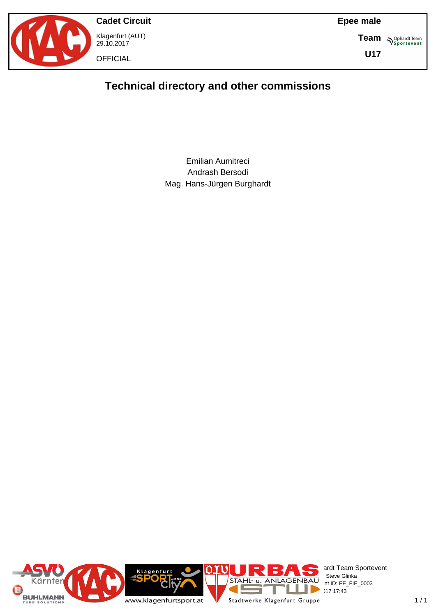

**Cadet Circuit** Klagenfurt (AUT) 29.10.2017 **OFFICIAL** 

**Team S**<sup>Ophardt Team</sub></sup>

**U17**

# **Technical directory and other commissions**

Emilian Aumitreci Andrash Bersodi Mag. Hans-Jürgen Burghardt

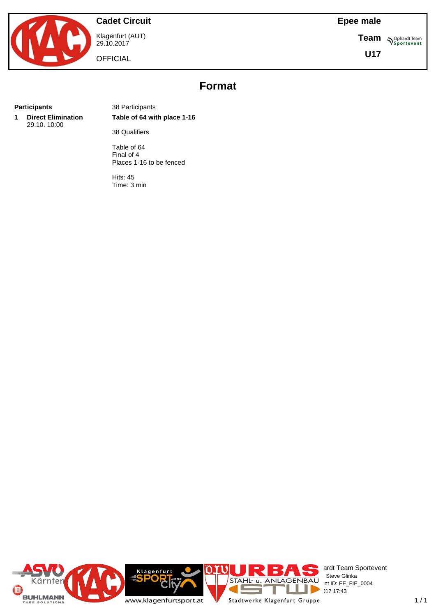

Klagenfurt (AUT) 29.10.2017

**OFFICIAL** 

**Epee male**

**Team S**<sup>Ophardt Team</sub></sup>

**U17**

# **Format**

**1 Direct Elimination** 29.10. 10:00

**Participants** 38 Participants **Table of 64 with place 1-16**

38 Qualifiers

Table of 64 Final of 4 Places 1-16 to be fenced

Hits: 45 Time: 3 min

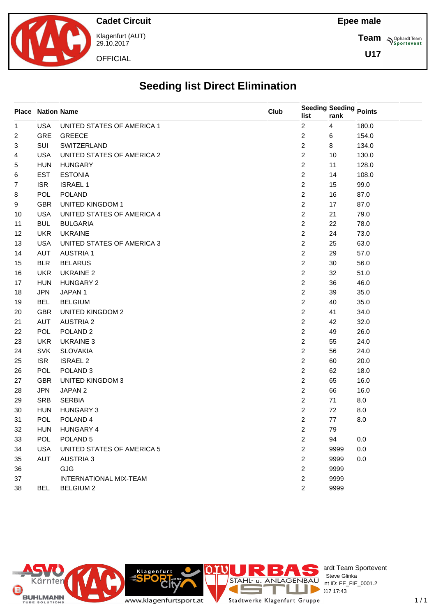

**Cadet Circuit** Klagenfurt (AUT) 29.10.2017

**OFFICIAL** 

**Team** *S<sup>Ophardt Team*<br> *S*<sup>P</sup> Sportevent</sup>

**U17**

# **Seeding list Direct Elimination**

| <b>Place Nation Name</b> |            |                            |      |                         | <b>Seeding Seeding Points</b> |       |  |
|--------------------------|------------|----------------------------|------|-------------------------|-------------------------------|-------|--|
|                          |            |                            | Club | list                    | rank                          |       |  |
| $\mathbf{1}$             | <b>USA</b> | UNITED STATES OF AMERICA 1 |      | $\overline{2}$          | $\overline{4}$                | 180.0 |  |
| 2                        | <b>GRE</b> | <b>GREECE</b>              |      | 2                       | 6                             | 154.0 |  |
| 3                        | SUI        | SWITZERLAND                |      | $\overline{c}$          | 8                             | 134.0 |  |
| 4                        | <b>USA</b> | UNITED STATES OF AMERICA 2 |      | $\overline{\mathbf{c}}$ | 10                            | 130.0 |  |
| 5                        | <b>HUN</b> | <b>HUNGARY</b>             |      | $\overline{c}$          | 11                            | 128.0 |  |
| 6                        | <b>EST</b> | <b>ESTONIA</b>             |      | $\overline{\mathbf{c}}$ | 14                            | 108.0 |  |
| 7                        | <b>ISR</b> | <b>ISRAEL1</b>             |      | $\overline{\mathbf{c}}$ | 15                            | 99.0  |  |
| 8                        | POL        | <b>POLAND</b>              |      | $\overline{\mathbf{c}}$ | 16                            | 87.0  |  |
| 9                        | <b>GBR</b> | UNITED KINGDOM 1           |      | $\overline{\mathbf{c}}$ | 17                            | 87.0  |  |
| 10                       | <b>USA</b> | UNITED STATES OF AMERICA 4 |      | $\overline{\mathbf{c}}$ | 21                            | 79.0  |  |
| 11                       | <b>BUL</b> | <b>BULGARIA</b>            |      | $\overline{\mathbf{c}}$ | 22                            | 78.0  |  |
| 12                       | <b>UKR</b> | <b>UKRAINE</b>             |      | $\overline{\mathbf{c}}$ | 24                            | 73.0  |  |
| 13                       | <b>USA</b> | UNITED STATES OF AMERICA 3 |      | $\overline{\mathbf{c}}$ | 25                            | 63.0  |  |
| 14                       | <b>AUT</b> | <b>AUSTRIA1</b>            |      | $\overline{c}$          | 29                            | 57.0  |  |
| 15                       | <b>BLR</b> | <b>BELARUS</b>             |      | $\overline{\mathbf{c}}$ | 30                            | 56.0  |  |
| 16                       | <b>UKR</b> | UKRAINE 2                  |      | $\overline{c}$          | 32                            | 51.0  |  |
| 17                       | <b>HUN</b> | <b>HUNGARY 2</b>           |      | $\overline{c}$          | 36                            | 46.0  |  |
| 18                       | JPN        | JAPAN 1                    |      | $\overline{2}$          | 39                            | 35.0  |  |
| 19                       | <b>BEL</b> | <b>BELGIUM</b>             |      | $\overline{2}$          | 40                            | 35.0  |  |
| 20                       | <b>GBR</b> | UNITED KINGDOM 2           |      | $\overline{\mathbf{c}}$ | 41                            | 34.0  |  |
| 21                       | <b>AUT</b> | <b>AUSTRIA 2</b>           |      | $\overline{\mathbf{c}}$ | 42                            | 32.0  |  |
| 22                       | <b>POL</b> | POLAND <sub>2</sub>        |      | $\overline{\mathbf{c}}$ | 49                            | 26.0  |  |
| 23                       | <b>UKR</b> | UKRAINE 3                  |      | $\overline{\mathbf{c}}$ | 55                            | 24.0  |  |
| 24                       | <b>SVK</b> | <b>SLOVAKIA</b>            |      | $\overline{\mathbf{c}}$ | 56                            | 24.0  |  |
| 25                       | <b>ISR</b> | <b>ISRAEL 2</b>            |      | $\overline{\mathbf{c}}$ | 60                            | 20.0  |  |
| 26                       | POL        | POLAND <sub>3</sub>        |      | 2                       | 62                            | 18.0  |  |
| 27                       | GBR        | <b>UNITED KINGDOM 3</b>    |      | $\overline{\mathbf{c}}$ | 65                            | 16.0  |  |
| 28                       | JPN        | JAPAN 2                    |      | 2                       | 66                            | 16.0  |  |
| 29                       | <b>SRB</b> | <b>SERBIA</b>              |      | $\overline{c}$          | 71                            | 8.0   |  |
| 30                       | <b>HUN</b> | <b>HUNGARY 3</b>           |      | $\overline{\mathbf{c}}$ | 72                            | 8.0   |  |
| 31                       | <b>POL</b> | POLAND <sub>4</sub>        |      | $\overline{\mathbf{c}}$ | 77                            | 8.0   |  |
| 32                       | HUN        | HUNGARY 4                  |      | $\mathcal{P}$           | 79                            |       |  |
| 33                       | POL        | POLAND <sub>5</sub>        |      | $\overline{2}$          | 94                            | 0.0   |  |
| 34                       | <b>USA</b> | UNITED STATES OF AMERICA 5 |      | $\overline{2}$          | 9999                          | 0.0   |  |
| 35                       | AUT        | <b>AUSTRIA 3</b>           |      | $\overline{2}$          | 9999                          | 0.0   |  |
| 36                       |            | <b>GJG</b>                 |      | $\overline{2}$          | 9999                          |       |  |
| 37                       |            | INTERNATIONAL MIX-TEAM     |      | $\overline{2}$          | 9999                          |       |  |
| 38                       | <b>BEL</b> | <b>BELGIUM 2</b>           |      | $\overline{2}$          | 9999                          |       |  |



ardt Team Sportevent<br>∶Steve Glinka **License:** Steve Glinka  $P^{\text{LO}}$  int ID: FE\_FIE\_0001.2  $29.101 \times 10^{11} \times 10^{12} \times 10^{13} \times 10^{14} \times 10^{15} \times 10^{16} \times 10^{16} \times 10^{17} \times 10^{18} \times 10^{19} \times 10^{19} \times 10^{19} \times 10^{19} \times 10^{19} \times 10^{19} \times 10^{19} \times 10^{19} \times 10^{19} \times 10^{19} \times 10^{19} \times 10^{19} \times 10^{19} \times 10^{19} \times 10^{1$ 

Е

T a.

Stadtwerke Klagenfurt Gruppe

 $\overline{a}$ 

`it

Klagenfurt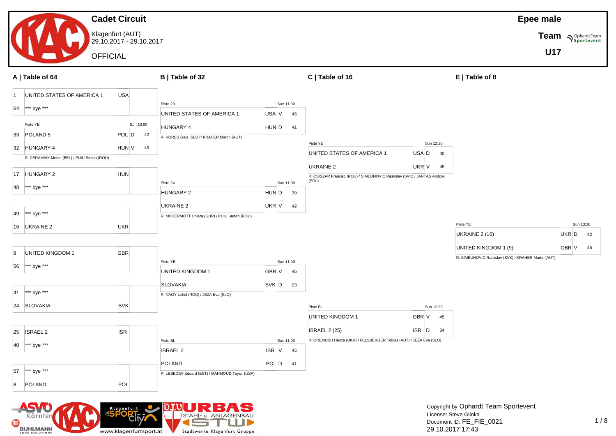|    |                                              | <b>Cadet Circuit</b>    |                                                         |              |           |                                                                                  |             | <b>Epee male</b>                                                            |            |                          |
|----|----------------------------------------------|-------------------------|---------------------------------------------------------|--------------|-----------|----------------------------------------------------------------------------------|-------------|-----------------------------------------------------------------------------|------------|--------------------------|
|    |                                              | Klagenfurt (AUT)        |                                                         |              |           |                                                                                  |             |                                                                             |            | Team Nophardt Team       |
|    |                                              | 29.10.2017 - 29.10.2017 |                                                         |              |           |                                                                                  |             |                                                                             | <b>U17</b> |                          |
|    |                                              | <b>OFFICIAL</b>         |                                                         |              |           |                                                                                  |             |                                                                             |            |                          |
|    | A   Table of 64                              |                         | B   Table of 32                                         |              |           | C   Table of 16                                                                  |             | $E$   Table of 8                                                            |            |                          |
| 11 | UNITED STATES OF AMERICA 1                   | <b>USA</b>              |                                                         |              |           |                                                                                  |             |                                                                             |            |                          |
| 64 | *** bye ***                                  |                         | Piste 23                                                |              | Sun 11:00 |                                                                                  |             |                                                                             |            |                          |
|    | Piste YE                                     | Sun 10:00               | UNITED STATES OF AMERICA 1                              | USA V        | 45        |                                                                                  |             |                                                                             |            |                          |
| 33 | POLAND <sub>5</sub>                          | POL D<br>42             | HUNGARY 4<br>R: KORES Gaja (SLO) / KRAHER Martin (AUT)  | HUN D        | 41        |                                                                                  |             |                                                                             |            |                          |
| 32 | HUNGARY 4                                    | HUN V<br>45             |                                                         |              |           | Piste YE                                                                         | Sun 12:20   |                                                                             |            |                          |
|    | R: DERAMAIX Merlin (BEL) / PUIU Stefan (ROU) |                         |                                                         |              |           | UNITED STATES OF AMERICA 1                                                       | USA D<br>40 |                                                                             |            |                          |
|    |                                              | <b>HUN</b>              |                                                         |              |           | <b>UKRAINE 2</b>                                                                 | UKR V<br>45 |                                                                             |            |                          |
| 17 | <b>HUNGARY 2</b>                             |                         | Piste 24                                                |              | Sun 11:00 | R: CSISZAR Francisc (ROU) / SIMEUNOVIC Rastislav (SVK) / JANTAS Andrzej<br>(POL) |             |                                                                             |            |                          |
| 48 | *** bye ***                                  |                         | <b>HUNGARY 2</b>                                        | HUN D        | 39        |                                                                                  |             |                                                                             |            |                          |
|    |                                              |                         | <b>UKRAINE 2</b>                                        | UKR V        | 42        |                                                                                  |             |                                                                             |            |                          |
| 49 | *** bye ***                                  |                         | R: MCDERMOTT Chiara (GBR) / PUIU Stefan (ROU)           |              |           |                                                                                  |             |                                                                             |            |                          |
|    | 16 UKRAINE 2                                 | <b>UKR</b>              |                                                         |              |           |                                                                                  |             | Piste YE<br>UKRAINE 2 (16)                                                  |            | Sun 13:30<br>UKR D<br>42 |
|    |                                              |                         |                                                         |              |           |                                                                                  |             |                                                                             |            |                          |
| 9  | UNITED KINGDOM 1                             | <b>GBR</b>              |                                                         |              |           |                                                                                  |             | UNITED KINGDOM 1 (9)<br>R: SIMEUNOVIC Rastislav (SVK) / KRAHER Martin (AUT) |            | GBR V<br>45              |
| 56 | *** bye ***                                  |                         | Piste YE<br>UNITED KINGDOM 1                            | GBR V        | Sun 11:00 |                                                                                  |             |                                                                             |            |                          |
|    |                                              |                         |                                                         |              | 45        |                                                                                  |             |                                                                             |            |                          |
| 41 | *** bye ***                                  |                         | <b>SLOVAKIA</b><br>R: NAGY Lehel (ROU) / JEZA Eva (SLO) | SVK D        | 23        |                                                                                  |             |                                                                             |            |                          |
| 24 | <b>SLOVAKIA</b>                              | <b>SVK</b>              |                                                         |              |           | Piste BL                                                                         | Sun 12:20   |                                                                             |            |                          |
|    |                                              |                         |                                                         |              |           | <b>UNITED KINGDOM 1</b>                                                          | GBR V<br>45 |                                                                             |            |                          |
| 25 | <b>ISRAEL 2</b>                              | <b>ISR</b>              |                                                         |              |           | <b>ISRAEL 2 (25)</b>                                                             | ISR D<br>34 |                                                                             |            |                          |
|    | 40 *** bye ***                               |                         | Piste BL                                                |              | Sun 11:00 | R: OREMUSH Heyza (UKR) / FELSBERGER Tobias (AUT) / JEZA Eva (SLO)                |             |                                                                             |            |                          |
|    |                                              |                         | <b>ISRAEL 2</b>                                         | $ISR$ $V$ 45 |           |                                                                                  |             |                                                                             |            |                          |
|    |                                              |                         | POLAND                                                  | POL D 41     |           |                                                                                  |             |                                                                             |            |                          |
| 57 | $\ast \ast \ast$ bye $\ast \ast \ast$        |                         | R: LEBEDEV Eduard (EST) / MAHMOUD Taysir (USA)          |              |           |                                                                                  |             |                                                                             |            |                          |
| 8  | POLAND                                       | POL                     |                                                         |              |           |                                                                                  |             |                                                                             |            |                          |
|    |                                              |                         |                                                         |              |           |                                                                                  |             |                                                                             |            |                          |

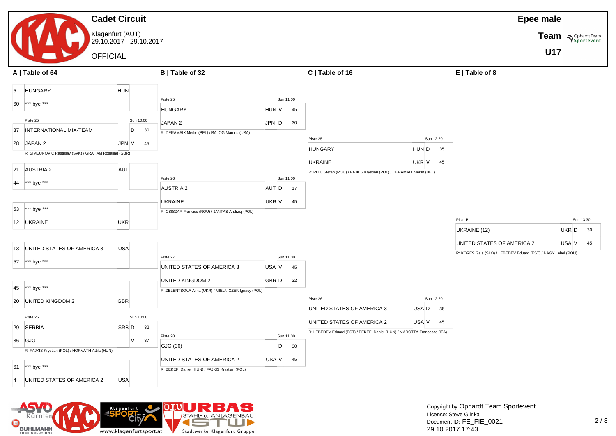#### **Cadet Circuit** Klagenfurt (AUT) 29.10.2017 - 29.10.2017 **OFFICIAL Epee male Team Pophardt Team U17 A | Table of 64 B | Table of 32 C | Table of 16 E | Table of 8** 5 HUNGARY HUN 60 \*\*\* bye \*\*\* Piste 25 Sun 10:00 37 INTERNATIONAL MIX-TEAM D 30 28 JAPAN 2 JPN V 45 R: SIMEUNOVIC Rastislav (SVK) / GRAHAM Rosalind (GBR) 21 AUSTRIA 2 AUT 44 \*\*\* bye \*\*\* 53 \*\*\* bye \*\*\* 12 UKRAINE UKR 13 UNITED STATES OF AMERICA 3 USA 52 \*\*\* bye \*\*\* 45 \*\*\* bye \*\*\* 20 UNITED KINGDOM 2 GBR Piste 26 Sun 10:00 29 SERBIA SRB D 32 36 GJG V 37 R: FAJKIS Krystian (POL) / HORVATH Attila (HUN) 61 \*\*\* bye \*\*\* 4 UNITED STATES OF AMERICA 2 USA Piste 25 Sun 11:00 HUNGARY HUN V 45 JAPAN 2 JPN D 30 R: DERAMAIX Merlin (BEL) / BALOG Marcus (USA) Piste 26 Sun 11:00 AUSTRIA 2 AUT D 17 UKRAINE UKR V 45 R: CSISZAR Francisc (ROU) / JANTAS Andrzej (POL) Piste 27 Sun 11:00 UNITED STATES OF AMERICA 3 USA V 45 UNITED KINGDOM 2 GBR D 32 R: ZELENTSOVA Alina (UKR) / MIELNICZEK Ignacy (POL) Piste 28 Sun 11:00 GJG (36) D 30 UNITED STATES OF AMERICA 2 USA V 45 R: BEKEFI Daniel (HUN) / FAJKIS Krystian (POL) Piste 25 Sun 12:20 HUNGARY HUN D 35 UKRAINE UKR V 45 R: PUIU Stefan (ROU) / FAJKIS Krystian (POL) / DERAMAIX Merlin (BEL) Piste 26 Sun 12:20 UNITED STATES OF AMERICA 3 USA D 38 UNITED STATES OF AMERICA 2 USA V 45 R: LEBEDEV Eduard (EST) / BEKEFI Daniel (HUN) / MAROTTA Francesco (ITA) Piste BL **Sun 13:30** UKRAINE (12) UKR D 30 UNITED STATES OF AMERICA 2 USA V  $45$ R: KORES Gaja (SLO) / LEBEDEV Eduard (EST) / NAGY Lehel (ROU)

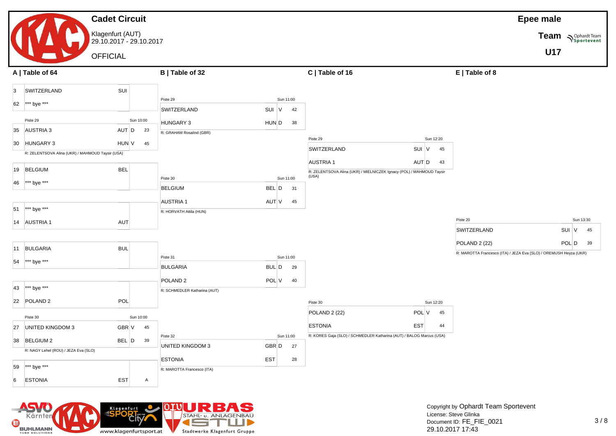

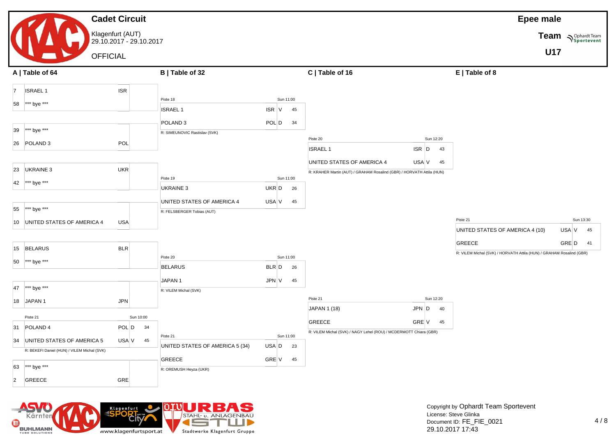**Cadet Circuit** Klagenfurt (AUT) 29.10.2017 - 29.10.2017 **OFFICIAL Epee male Team Sportevent U17 A | Table of 64 B | Table of 32 C | Table of 16 E | Table of 8** 7 ISRAEL 1 ISR 58 \*\*\* bye \*\*\* 39 \*\*\* bye \*\*\* 26 POLAND 3 POL 23 UKRAINE 3 UKR 42 \*\*\* bye \*\*\* 55 \*\*\* bye \*\*\* 10 UNITED STATES OF AMERICA 4 USA 15 BELARUS BLR 50 \*\*\* bye \*\*\* 47 \*\*\* bye \*\*\* 18 JAPAN 1 JPN Piste 21 Sun 10:00 31 POLAND 4 POL D 34 34 UNITED STATES OF AMERICA 5 USA V 45 R: BEKEFI Daniel (HUN) / VILEM Michal (SVK) 63 \*\*\* bye \*\*\* 2 GREECE GRE Piste 18 Sun 11:00  $ISRAEL 1$  ISR V 45 POLAND 3 POL D 34 R: SIMEUNOVIC Rastislav (SVK) Piste 19 Sun 11:00 UKRAINE 3 UKR D 26 UNITED STATES OF AMERICA 4 USA V  $45$ R: FELSBERGER Tobias (AUT) Piste 20 Sun 11:00 BELARUS BLR D 26  $JAPAN 1$   $JPN$   $V$  45 R: VILEM Michal (SVK) Piste 21 Sun 11:00 UNITED STATES OF AMERICA 5 (34) USA  $D$  23 GREECE GRE V 45 R: OREMUSH Heyza (UKR) Piste 20 Sun 12:20 ISRAEL 1 ISR D 43 UNITED STATES OF AMERICA 4 USA V 45 R: KRAHER Martin (AUT) / GRAHAM Rosalind (GBR) / HORVATH Attila (HUN) Piste 21 Sun 12:20 JAPAN 1 (18) 30 JPN D 40 GREECE GREECE GREECE GREECE R: VILEM Michal (SVK) / NAGY Lehel (ROU) / MCDERMOTT Chiara (GBR) Piste 21 Sun 13:30 UNITED STATES OF AMERICA 4 (10) USA  $|V - 45|$ GREECE GRE D 41 R: VILEM Michal (SVK) / HORVATH Attila (HUN) / GRAHAM Rosalind (GBR)

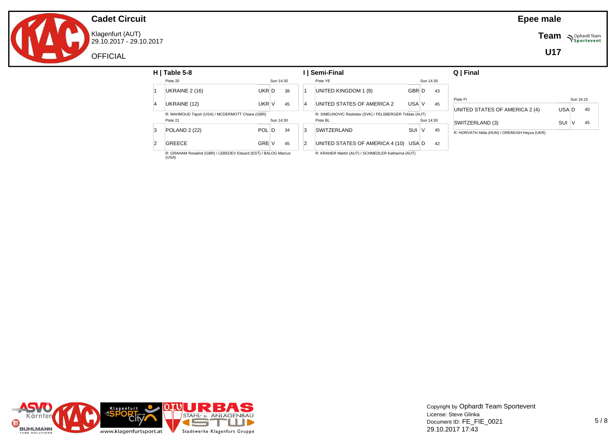Klagenfurt (AUT) 29.10.2017 - 29.10.2017

OFFICIAL

**Team**  $\sum_{\text{Sportevent}}$ 

**U17**

| $H$   Table 5-8                                                         |       |           |    |     | Semi-Final                                              |       |           |    | Q   Final                                     |       |           |    |
|-------------------------------------------------------------------------|-------|-----------|----|-----|---------------------------------------------------------|-------|-----------|----|-----------------------------------------------|-------|-----------|----|
| Piste 20                                                                |       | Sun 14:30 |    |     | Piste YE                                                |       | Sun 14:30 |    |                                               |       |           |    |
| UKRAINE 2 (16)                                                          | UKR D |           | 38 |     | UNITED KINGDOM 1 (9)                                    | GBR D |           | 43 |                                               |       |           |    |
|                                                                         |       |           |    |     |                                                         |       |           |    | Piste FI                                      |       | Sun 16:15 |    |
| UKRAINE (12)                                                            | UKR V |           | 45 |     | UNITED STATES OF AMERICA 2                              | USA V |           | 45 | UNITED STATES OF AMERICA 2 (4)                | USA D |           | 40 |
| R: MAHMOUD Taysir (USA) / MCDERMOTT Chiara (GBR)                        |       |           |    |     | R: SIMEUNOVIC Rastislav (SVK) / FELSBERGER Tobias (AUT) |       |           |    |                                               |       |           |    |
| Piste 21                                                                |       | Sun 14:30 |    |     | Piste BL                                                |       | Sun 14:30 |    | SWITZERLAND (3)                               | SUI   | v         | 45 |
| <b>POLAND 2 (22)</b>                                                    | POL D |           | 34 | 13. | <b>SWITZERLAND</b>                                      | SUI V |           | 45 |                                               |       |           |    |
|                                                                         |       |           |    |     |                                                         |       |           |    | R: HORVATH Attila (HUN) / OREMUSH Heyza (UKR) |       |           |    |
| <b>GREECE</b>                                                           | GRE V |           | 45 | 2   | UNITED STATES OF AMERICA 4 (10) USA D                   |       |           | 42 |                                               |       |           |    |
| R: GRAHAM Rosalind (GBR) / LEBEDEV Eduard (EST) / BALOG Marcus<br>(USA) |       |           |    |     | R: KRAHER Martin (AUT) / SCHMEDLER Katharina (AUT)      |       |           |    |                                               |       |           |    |



Copyright by Ophardt Team Sportevent License: Steve Glinka Document ID: FE\_FIE\_0021 29.10.2017 17:43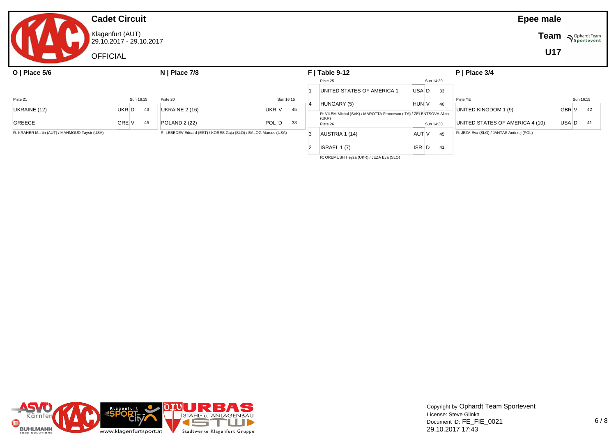Klagenfurt (AUT) 29.10.2017 - 29.10.2017

OFFICIAL

#### **Epee male**

**Team**  $\sum_{\text{Sportevent}}$ 

**U17**

| O   Place $5/6$<br>$N$   Place 7/8            |       |           | $F$   Table 9-12 |                                                                 | $P$   Place 3/4 |           |                                                                             |       |           |                                          |              |           |
|-----------------------------------------------|-------|-----------|------------------|-----------------------------------------------------------------|-----------------|-----------|-----------------------------------------------------------------------------|-------|-----------|------------------------------------------|--------------|-----------|
|                                               |       |           |                  |                                                                 |                 |           | Piste 25                                                                    |       | Sun 14:30 |                                          |              |           |
|                                               |       |           |                  |                                                                 |                 |           | UNITED STATES OF AMERICA 1                                                  | USA D | 33        |                                          |              |           |
| Piste 21                                      |       | Sun 16:15 |                  | Piste 20                                                        |                 | Sun 16:15 |                                                                             |       |           | Piste YE                                 |              | Sun 16:15 |
| UKRAINE (12)                                  | UKR D |           | 43               | UKRAINE 2 (16)                                                  | UKR V           | 45        | HUNGARY (5)                                                                 | HUN V | 40        | UNITED KINGDOM 1 (9)                     | <b>GBR V</b> | 42        |
|                                               |       |           |                  |                                                                 |                 |           | R: VILEM Michal (SVK) / MAROTTA Francesco (ITA) / ZELENTSOVA Alina<br>(UKR) |       |           |                                          |              |           |
| <b>GREECE</b>                                 | GRE V |           | 45               | <b>POLAND 2 (22)</b>                                            | POL D           | 38        | Piste 26                                                                    |       | Sun 14:30 | UNITED STATES OF AMERICA 4 (10)          | USA D        | -41       |
| R: KRAHER Martin (AUT) / MAHMOUD Taysir (USA) |       |           |                  | R: LEBEDEV Eduard (EST) / KORES Gaja (SLO) / BALOG Marcus (USA) |                 |           | AUSTRIA 1 (14)                                                              | AUT V | 45        | R: JEZA Eva (SLO) / JANTAS Andrzej (POL) |              |           |
|                                               |       |           |                  |                                                                 |                 |           | ISRAEL $1(7)$                                                               | ISR D | 41        |                                          |              |           |

R: OREMUSH Heyza (UKR) / JEZA Eva (SLO)



Copyright by Ophardt Team Sportevent License: Steve Glinka Document ID: FE\_FIE\_0021 29.10.2017 17:43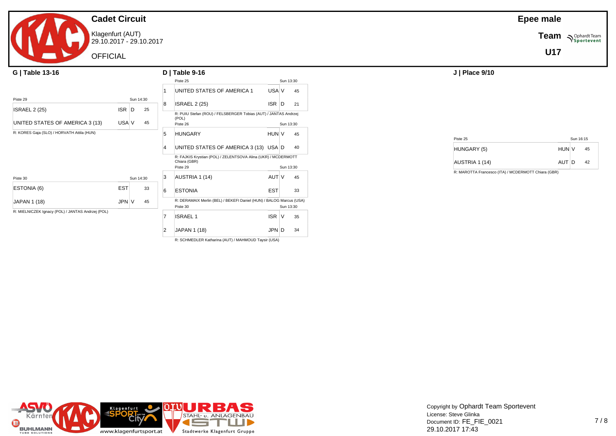Klagenfurt (AUT) 29.10.2017 - 29.10.2017

**OFFICIAL** 

| G   Table 13-16                                   |            |           |    |    | $D$   Table 9-16                                                              |            |   |           |
|---------------------------------------------------|------------|-----------|----|----|-------------------------------------------------------------------------------|------------|---|-----------|
|                                                   |            |           |    |    | Piste 25                                                                      |            |   | Sun 13:30 |
|                                                   |            |           |    |    | UNITED STATES OF AMERICA 1                                                    | USA V      |   | 45        |
| Piste 29                                          |            | Sun 14:30 |    | 8  | <b>ISRAEL 2 (25)</b>                                                          | <b>ISR</b> | D | 21        |
| <b>ISRAEL 2 (25)</b>                              | $ISR$ $D$  |           | 25 |    |                                                                               |            |   |           |
|                                                   |            |           |    |    | R: PUIU Stefan (ROU) / FELSBERGER Tobias (AUT) / JANTAS Andrzej<br>(POL)      |            |   |           |
| UNITED STATES OF AMERICA 3 (13)                   | USA V      |           | 45 |    | Piste 26                                                                      |            |   | Sun 13:30 |
| R: KORES Gaja (SLO) / HORVATH Attila (HUN)        |            |           |    | 15 | <b>HUNGARY</b>                                                                | HUN V      |   | 45        |
|                                                   |            |           |    |    | UNITED STATES OF AMERICA 3 (13) USA D                                         |            |   | 40        |
|                                                   |            |           |    |    | R: FAJKIS Krystian (POL) / ZELENTSOVA Alina (UKR) / MCDERMOTT<br>Chiara (GBR) |            |   |           |
|                                                   |            |           |    |    | Piste 29                                                                      |            |   | Sun 13:30 |
| Piste 30                                          |            | Sun 14:30 |    | 3  | AUSTRIA 1 (14)                                                                | AUT V      |   | 45        |
| ESTONIA (6)                                       | <b>EST</b> |           | 33 | 6  | <b>ESTONIA</b>                                                                | <b>EST</b> |   | 33        |
| JAPAN 1 (18)                                      | <b>JPN</b> | V         | 45 |    | R: DERAMAIX Merlin (BEL) / BEKEFI Daniel (HUN) / BALOG Marcus (USA)           |            |   |           |
| R: MIELNICZEK Ignacy (POL) / JANTAS Andrzej (POL) |            |           |    |    | Piste 30                                                                      |            |   | Sun 13:30 |
|                                                   |            |           |    |    | <b>ISRAEL1</b>                                                                | <b>ISR</b> | V | 35        |
|                                                   |            |           |    | 2  | JAPAN 1 (18)                                                                  | $JPN$ $D$  |   | 34        |

R: SCHMEDLER Katharina (AUT) / MAHMOUD Taysir (USA)

| Piste 25       | Sun 16:15 |  |    |  |  |  |  |  |
|----------------|-----------|--|----|--|--|--|--|--|
| HUNGARY (5)    | HUN V     |  | 45 |  |  |  |  |  |
| AUSTRIA 1 (14) | AUT D     |  | 42 |  |  |  |  |  |

R: MAROTTA Francesco (ITA) / MCDERMOTT Chiara (GBR)



**Team** *NSportevent* 

**U17**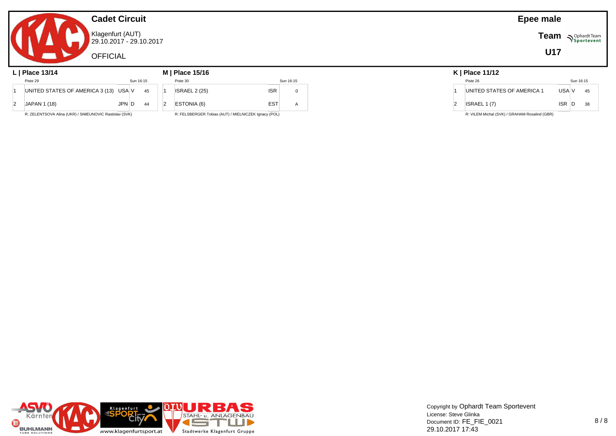#### **Cadet Circuit** Klagenfurt (AUT) 29.10.2017 - 29.10.2017 **OFFICIAL Epee male L | Place 13/14 M | Place 15/16 K | Place 11/12** Piste 29 Sun 16:15 Piste 30 Sun 16:15



|   | Piste 26                                      |        | Sun 16:15 |    |
|---|-----------------------------------------------|--------|-----------|----|
| 1 | UNITED STATES OF AMERICA 1                    | USA V  |           | 45 |
| 2 | ISRAEL 1 (7)                                  | ISR ID |           | 38 |
|   | R: VILEM Michal (SVK) / GRAHAM Rosalind (GBR) |        |           |    |

**Team Sportevent** 

**U17**

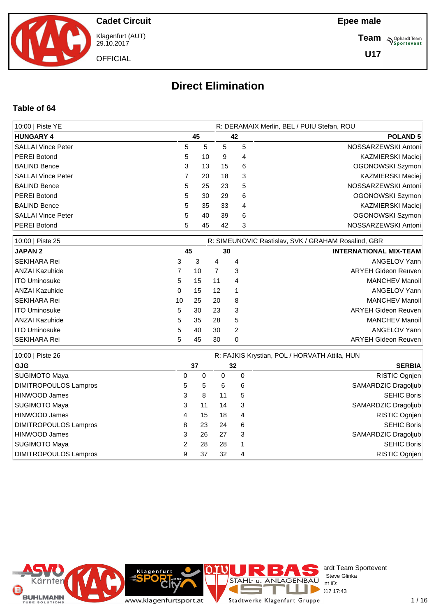

Klagenfurt (AUT) 29.10.2017

**OFFICIAL** 

**Epee male**

**Team Supplier of Team** 

**U17**

# **Direct Elimination**

#### **Table of 64**

| 10:00   Piste YE          | R: DERAMAIX Merlin, BEL / PUIU Stefan, ROU |    |    |    |                          |  |  |  |  |  |  |
|---------------------------|--------------------------------------------|----|----|----|--------------------------|--|--|--|--|--|--|
| <b>HUNGARY 4</b>          |                                            | 45 |    | 42 | <b>POLAND 5</b>          |  |  |  |  |  |  |
| <b>SALLAI Vince Peter</b> | 5                                          | 5  | 5  | 5  | NOSSARZEWSKI Antoni      |  |  |  |  |  |  |
| <b>PEREI Botond</b>       | 5                                          | 10 | 9  | 4  | <b>KAZMIERSKI Maciej</b> |  |  |  |  |  |  |
| <b>BALIND Bence</b>       | 3                                          | 13 | 15 | 6  | OGONOWSKI Szymon         |  |  |  |  |  |  |
| <b>SALLAI Vince Peter</b> |                                            | 20 | 18 | 3  | KAZMIERSKI Maciej        |  |  |  |  |  |  |
| <b>BALIND Bence</b>       | 5                                          | 25 | 23 | 5  | NOSSARZEWSKI Antoni      |  |  |  |  |  |  |
| <b>PEREI Botond</b>       | 5                                          | 30 | 29 | 6  | OGONOWSKI Szymon         |  |  |  |  |  |  |
| <b>BALIND Bence</b>       | 5                                          | 35 | 33 | 4  | <b>KAZMIERSKI Maciej</b> |  |  |  |  |  |  |
| <b>SALLAI Vince Peter</b> | 5                                          | 40 | 39 | 6  | OGONOWSKI Szymon         |  |  |  |  |  |  |
| <b>PEREI Botond</b>       | 5                                          | 45 | 42 | 3  | NOSSARZEWSKI Antoni      |  |  |  |  |  |  |

| 10:00   Piste 25     |    |    |    |    | R: SIMEUNOVIC Rastislav, SVK / GRAHAM Rosalind, GBR |  |  |  |  |
|----------------------|----|----|----|----|-----------------------------------------------------|--|--|--|--|
| <b>JAPAN 2</b>       |    | 45 |    | 30 | <b>INTERNATIONAL MIX-TEAM</b>                       |  |  |  |  |
| SEKIHARA Rei         | 3  | 3  | 4  | 4  | ANGELOV Yann                                        |  |  |  |  |
| ANZAI Kazuhide       |    | 10 |    | 3  | <b>ARYEH Gideon Reuven</b>                          |  |  |  |  |
| <b>ITO Uminosuke</b> | 5  | 15 | 11 | 4  | <b>MANCHEV Manoil</b>                               |  |  |  |  |
| ANZAI Kazuhide       | 0  | 15 | 12 |    | ANGELOV Yann                                        |  |  |  |  |
| SEKIHARA Rei         | 10 | 25 | 20 | -8 | <b>MANCHEV Manoil</b>                               |  |  |  |  |
| <b>ITO Uminosuke</b> | 5  | 30 | 23 | -3 | <b>ARYEH Gideon Reuven</b>                          |  |  |  |  |
| ANZAI Kazuhide       | 5  | 35 | 28 | 5  | <b>MANCHEV Manoil</b>                               |  |  |  |  |
| l ITO Uminosuke      | 5. | 40 | 30 | 2  | ANGELOV Yann                                        |  |  |  |  |
| SEKIHARA Rei         | 5  | 45 | 30 | 0  | <b>ARYEH Gideon Reuven</b>                          |  |  |  |  |

| 10:00   Piste 26             | R: FAJKIS Krystian, POL / HORVATH Attila, HUN |    |          |          |                     |  |  |  |  |  |  |
|------------------------------|-----------------------------------------------|----|----------|----------|---------------------|--|--|--|--|--|--|
| <b>GJG</b>                   |                                               | 37 |          | 32       | <b>SERBIA</b>       |  |  |  |  |  |  |
| SUGIMOTO Maya                | 0                                             | 0  | $\Omega$ | $\Omega$ | RISTIC Ognjen       |  |  |  |  |  |  |
| <b>DIMITROPOULOS Lampros</b> | 5                                             | 5  | 6        | 6        | SAMARDZIC Dragoljub |  |  |  |  |  |  |
| HINWOOD James                | 3                                             | 8  | 11       | 5        | SEHIC Boris         |  |  |  |  |  |  |
| <b>SUGIMOTO Maya</b>         | 3                                             | 11 | 14       | 3        | SAMARDZIC Dragoljub |  |  |  |  |  |  |
| HINWOOD James                | 4                                             | 15 | 18       | 4        | RISTIC Ognjen       |  |  |  |  |  |  |
| <b>DIMITROPOULOS Lampros</b> | 8                                             | 23 | 24       | 6        | SEHIC Boris         |  |  |  |  |  |  |
| HINWOOD James                | 3                                             | 26 | 27       | 3        | SAMARDZIC Dragoljub |  |  |  |  |  |  |
| <b>SUGIMOTO Maya</b>         | 2                                             | 28 | 28       |          | <b>SEHIC Boris</b>  |  |  |  |  |  |  |
| <b>DIMITROPOULOS Lampros</b> | 9                                             | 37 | 32       | 4        | RISTIC Ognjen       |  |  |  |  |  |  |

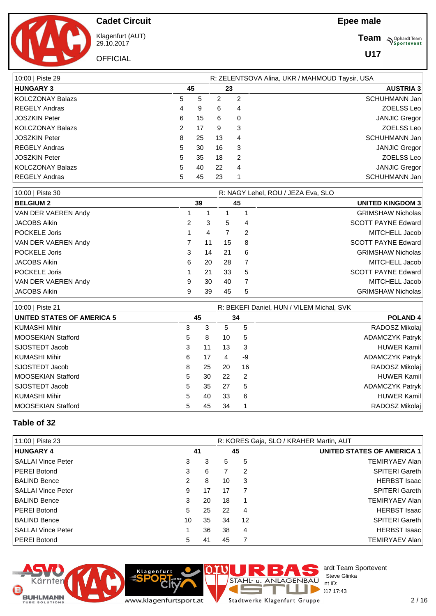**Cadet Circuit**

Klagenfurt (AUT) 29.10.2017

**OFFICIAL** 

**Team Supplier of Team** 

**U17**

| 10:00   Piste 29 | R: ZELENTSOVA Alina, UKR / MAHMOUD Taysir, USA |    |    |   |                      |  |  |  |  |  |  |
|------------------|------------------------------------------------|----|----|---|----------------------|--|--|--|--|--|--|
| <b>HUNGARY 3</b> |                                                | 45 | 23 |   | <b>AUSTRIA 3</b>     |  |  |  |  |  |  |
| KOLCZONAY Balazs | 5.                                             | 5  | 2  | 2 | <b>SCHUHMANN Jan</b> |  |  |  |  |  |  |
| REGELY Andras    | 4                                              | 9  | 6  | 4 | ZOELSS Leo           |  |  |  |  |  |  |
| JOSZKIN Peter    | 6                                              | 15 | 6  | 0 | <b>JANJIC Gregor</b> |  |  |  |  |  |  |
| KOLCZONAY Balazs | 2                                              | 17 | 9  | 3 | ZOELSS Leo           |  |  |  |  |  |  |
| ∣JOSZKIN Peter   | 8                                              | 25 | 13 | 4 | <b>SCHUHMANN Jan</b> |  |  |  |  |  |  |
| REGELY Andras    | 5.                                             | 30 | 16 | 3 | <b>JANJIC Gregor</b> |  |  |  |  |  |  |
| I JOSZKIN Peter  | 5                                              | 35 | 18 | 2 | ZOELSS Leo           |  |  |  |  |  |  |
| KOLCZONAY Balazs | 5.                                             | 40 | 22 | 4 | <b>JANJIC Gregor</b> |  |  |  |  |  |  |
| REGELY Andras    | 5                                              | 45 | 23 |   | <b>SCHUHMANN Jan</b> |  |  |  |  |  |  |

| 10:00   Piste 30     | R: NAGY Lehel, ROU / JEZA Eva, SLO |    |    |   |                           |  |  |  |  |  |
|----------------------|------------------------------------|----|----|---|---------------------------|--|--|--|--|--|
| <b>BELGIUM 2</b>     | 39                                 |    |    |   | <b>UNITED KINGDOM 3</b>   |  |  |  |  |  |
| VAN DER VAEREN Andy  |                                    |    |    |   | <b>GRIMSHAW Nicholas</b>  |  |  |  |  |  |
| <b>JACOBS Aikin</b>  |                                    | 3  | 5  | 4 | <b>SCOTT PAYNE Edward</b> |  |  |  |  |  |
| <b>POCKELE Joris</b> |                                    | 4  |    | 2 | MITCHELL Jacob            |  |  |  |  |  |
| VAN DER VAEREN Andy  |                                    | 11 | 15 | 8 | <b>SCOTT PAYNE Edward</b> |  |  |  |  |  |
| <b>POCKELE Joris</b> | 3                                  | 14 | 21 | 6 | <b>GRIMSHAW Nicholas</b>  |  |  |  |  |  |
| <b>JACOBS Aikin</b>  | 6                                  | 20 | 28 |   | MITCHELL Jacob            |  |  |  |  |  |
| <b>POCKELE Joris</b> |                                    | 21 | 33 | 5 | <b>SCOTT PAYNE Edward</b> |  |  |  |  |  |
| VAN DER VAEREN Andy  | 9                                  | 30 | 40 |   | MITCHELL Jacob            |  |  |  |  |  |
| <b>JACOBS Aikin</b>  |                                    | 39 | 45 | 5 | <b>GRIMSHAW Nicholas</b>  |  |  |  |  |  |

| 10:00   Piste 21           |    |    | R: BEKEFI Daniel, HUN / VILEM Michal, SVK |                |                        |  |  |  |  |  |  |
|----------------------------|----|----|-------------------------------------------|----------------|------------------------|--|--|--|--|--|--|
| UNITED STATES OF AMERICA 5 |    | 45 |                                           | 34             | <b>POLAND4</b>         |  |  |  |  |  |  |
| KUMASHI Mihir              | 3  | 3  | 5                                         | 5              | RADOSZ Mikolaj         |  |  |  |  |  |  |
| MOOSEKIAN Stafford         | 5  | 8  | 10                                        | 5              | <b>ADAMCZYK Patryk</b> |  |  |  |  |  |  |
| SJOSTEDT Jacob             | 3  | 11 | 13                                        | -3             | <b>HUWER Kamil</b>     |  |  |  |  |  |  |
| KUMASHI Mihir              | 6  | 17 | 4                                         | -9             | <b>ADAMCZYK Patryk</b> |  |  |  |  |  |  |
| SJOSTEDT Jacob             | 8  | 25 | 20                                        | 16             | RADOSZ Mikolaj         |  |  |  |  |  |  |
| MOOSEKIAN Stafford         | 5  | 30 | 22                                        | $\overline{2}$ | <b>HUWER Kamil</b>     |  |  |  |  |  |  |
| SJOSTEDT Jacob             | 5  | 35 | 27                                        | 5              | <b>ADAMCZYK Patryk</b> |  |  |  |  |  |  |
| KUMASHI Mihir              | 5. | 40 | 33                                        | 6              | <b>HUWER Kamil</b>     |  |  |  |  |  |  |
| MOOSEKIAN Stafford         | 5. | 45 | 34                                        |                | RADOSZ Mikolaj         |  |  |  |  |  |  |

#### **Table of 32**

| 11:00   Piste 23          | R: KORES Gaja, SLO / KRAHER Martin, AUT |    |    |    |                            |  |  |  |  |  |  |
|---------------------------|-----------------------------------------|----|----|----|----------------------------|--|--|--|--|--|--|
| <b>HUNGARY 4</b>          |                                         | 41 | 45 |    | UNITED STATES OF AMERICA 1 |  |  |  |  |  |  |
| <b>SALLAI Vince Peter</b> | 3                                       | 3  | 5  | 5  | TEMIRYAEV Alan             |  |  |  |  |  |  |
| <b>PEREI Botond</b>       | 3                                       | 6  |    | 2  | SPITERI Gareth             |  |  |  |  |  |  |
| <b>BALIND Bence</b>       | 2                                       | 8  | 10 | 3  | HERBST Isaac               |  |  |  |  |  |  |
| <b>SALLAI Vince Peter</b> | 9                                       | 17 | 17 |    | SPITERI Gareth             |  |  |  |  |  |  |
| <b>BALIND Bence</b>       | 3                                       | 20 | 18 |    | TEMIRYAEV Alan             |  |  |  |  |  |  |
| <b>PEREI Botond</b>       | 5.                                      | 25 | 22 | 4  | HERBST Isaac               |  |  |  |  |  |  |
| <b>BALIND Bence</b>       | 10                                      | 35 | 34 | 12 | SPITERI Gareth             |  |  |  |  |  |  |
| <b>SALLAI Vince Peter</b> |                                         | 36 | 38 | 4  | HERBST Isaac               |  |  |  |  |  |  |
| <b>IPEREI Botond</b>      | 5.                                      | 41 | 45 |    | <b>TEMIRYAEV Alan I</b>    |  |  |  |  |  |  |





 $\sum_{n=1}^{\infty}$  D  $\sum_{n=17}^{\infty}$  17 17  $29.1717:43$ ı J. Stadtwerke Klagenfurt Gruppe

STAHL U. ANLAGENBAU Steve Glinka

Þ

 $\overline{a}$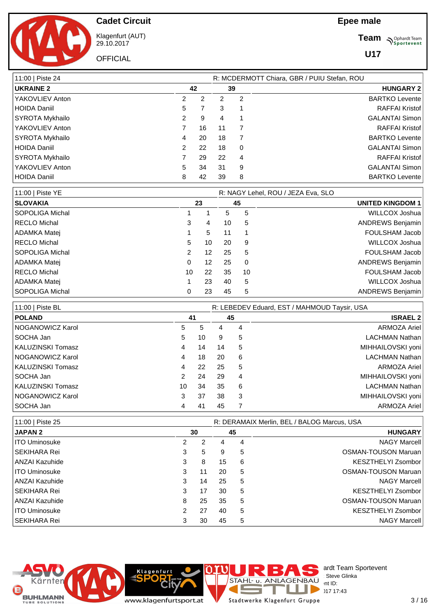**Cadet Circuit**



Klagenfurt (AUT) 29.10.2017

**OFFICIAL** 

**Team Supplier of Team** 

**U17**

| 11:00   Piste 24    |               |    |    | R: MCDERMOTT Chiara, GBR / PUIU Stefan, ROU |                       |  |  |  |  |  |  |
|---------------------|---------------|----|----|---------------------------------------------|-----------------------|--|--|--|--|--|--|
| <b>UKRAINE 2</b>    | 42            |    | 39 | <b>HUNGARY 2</b>                            |                       |  |  |  |  |  |  |
| YAKOVLIEV Anton     | 2             | 2  | 2  | $\overline{2}$                              | <b>BARTKO Levente</b> |  |  |  |  |  |  |
| <b>HOIDA Daniil</b> | 5             |    | 3  |                                             | <b>RAFFAI Kristof</b> |  |  |  |  |  |  |
| SYROTA Mykhailo     | $\mathcal{P}$ | 9  | 4  |                                             | <b>GALANTAI Simon</b> |  |  |  |  |  |  |
| YAKOVLIEV Anton     |               | 16 | 11 |                                             | <b>RAFFAI Kristof</b> |  |  |  |  |  |  |
| SYROTA Mykhailo     | 4             | 20 | 18 | 7                                           | <b>BARTKO Levente</b> |  |  |  |  |  |  |
| <b>HOIDA Daniil</b> | 2             | 22 | 18 | $\Omega$                                    | <b>GALANTAI Simon</b> |  |  |  |  |  |  |
| SYROTA Mykhailo     |               | 29 | 22 | 4                                           | <b>RAFFAI Kristof</b> |  |  |  |  |  |  |
| YAKOVLIEV Anton     | 5             | 34 | 31 | 9                                           | <b>GALANTAI Simon</b> |  |  |  |  |  |  |
| HOIDA Daniil        | 8             | 42 | 39 | 8                                           | <b>BARTKO Levente</b> |  |  |  |  |  |  |

| 11:00   Piste YE | R: NAGY Lehel, ROU / JEZA Eva, SLO |    |    |          |                         |  |  |  |  |
|------------------|------------------------------------|----|----|----------|-------------------------|--|--|--|--|
| <b>SLOVAKIA</b>  |                                    | 23 |    | 45       | <b>UNITED KINGDOM 1</b> |  |  |  |  |
| SOPOLIGA Michal  |                                    |    | 5  | 5        | WILLCOX Joshua          |  |  |  |  |
| RECLO Michal     | 3                                  | 4  | 10 | 5        | <b>ANDREWS Benjamin</b> |  |  |  |  |
| ADAMKA Matei     |                                    | 5. | 11 |          | FOULSHAM Jacob          |  |  |  |  |
| RECLO Michal     | 5                                  | 10 | 20 | 9        | WILLCOX Joshua          |  |  |  |  |
| SOPOLIGA Michal  | 2                                  | 12 | 25 | 5        | FOULSHAM Jacob          |  |  |  |  |
| ADAMKA Matei     | 0                                  | 12 | 25 | $\Omega$ | <b>ANDREWS Benjamin</b> |  |  |  |  |
| RECLO Michal     | 10                                 | 22 | 35 | 10       | FOULSHAM Jacob          |  |  |  |  |
| ADAMKA Matei     |                                    | 23 | 40 | 5        | WILLCOX Joshua          |  |  |  |  |
| SOPOLIGA Michal  | 0                                  | 23 | 45 | 5        | <b>ANDREWS Benjamin</b> |  |  |  |  |

| 11:00   Piste BL  |               |    |    |   | R: LEBEDEV Eduard, EST / MAHMOUD Taysir, USA |
|-------------------|---------------|----|----|---|----------------------------------------------|
| <b>POLAND</b>     |               | 41 |    |   | <b>ISRAEL 2</b>                              |
| NOGANOWICZ Karol  | 5             | 5  | 4  | 4 | ARMOZA Ariel                                 |
| SOCHA Jan         | 5.            | 10 | 9  | 5 | <b>LACHMAN Nathan</b>                        |
| KALUZINSKI Tomasz | 4             | 14 | 14 | 5 | MIHHAILOVSKI yoni                            |
| NOGANOWICZ Karol  | 4             | 18 | 20 | 6 | <b>LACHMAN Nathan</b>                        |
| KALUZINSKI Tomasz | 4             | 22 | 25 | 5 | ARMOZA Ariel                                 |
| SOCHA Jan         | $\mathcal{P}$ | 24 | 29 | 4 | MIHHAILOVSKI yoni                            |
| KALUZINSKI Tomasz | 10            | 34 | 35 | 6 | <b>LACHMAN Nathan</b>                        |
| NOGANOWICZ Karol  | 3             | 37 | 38 | 3 | MIHHAILOVSKI yoni                            |
| SOCHA Jan         | 4             | 41 | 45 |   | ARMOZA Ariel                                 |

| 11:00   Piste 25     |   | R: DERAMAIX Merlin, BEL / BALOG Marcus, USA |    |    |                            |  |  |  |  |
|----------------------|---|---------------------------------------------|----|----|----------------------------|--|--|--|--|
| <b>JAPAN 2</b>       |   | 30                                          |    | 45 | <b>HUNGARY</b>             |  |  |  |  |
| <b>ITO Uminosuke</b> | 2 | 2                                           | 4  | 4  | <b>NAGY Marcell</b>        |  |  |  |  |
| SEKIHARA Rei         | 3 | 5                                           | 9  | 5  | OSMAN-TOUSON Maruan        |  |  |  |  |
| ANZAI Kazuhide       | 3 | 8                                           | 15 | 6  | KESZTHELYI Zsombor         |  |  |  |  |
| <b>ITO Uminosuke</b> | 3 | 11                                          | 20 | -5 | <b>OSMAN-TOUSON Maruan</b> |  |  |  |  |
| ANZAI Kazuhide       | 3 | 14                                          | 25 | 5  | NAGY Marcell               |  |  |  |  |
| SEKIHARA Rei         | 3 | 17                                          | 30 | 5  | KESZTHELYI Zsombor         |  |  |  |  |
| ANZAI Kazuhide       | 8 | 25                                          | 35 | 5  | <b>OSMAN-TOUSON Maruan</b> |  |  |  |  |
| <b>ITO Uminosuke</b> | 2 | 27                                          | 40 | 5  | KESZTHELYI Zsombor         |  |  |  |  |
| <b>SEKIHARA Rei</b>  | 3 | 30                                          | 45 | 5  | <b>NAGY Marcell</b>        |  |  |  |  |



www.klagenfurtsport.at

**Cit** 

**Klagenfurt** 

Stadtwerke Klagenfurt Gruppe

E

T a.

**IC** 

ardt Team Sportevent<br>∷Steve Glinka

**License:** Steve Glinka  $P^{\sim}$  int ID:  $29.171717:43$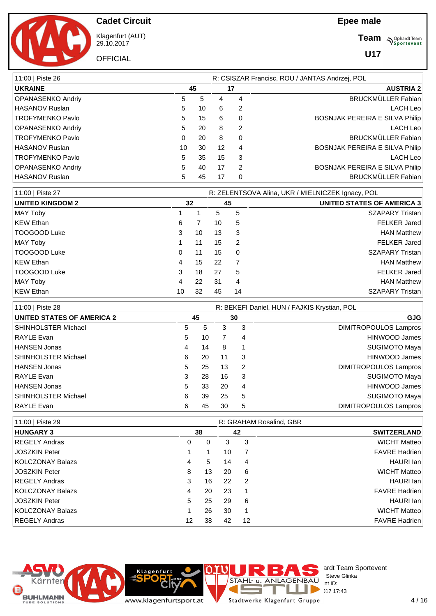**Team Supplier of Team** 

**U17**



**Cadet Circuit**

Klagenfurt (AUT) 29.10.2017

**OFFICIAL** 

| 11:00   Piste 26         | R: CSISZAR Francisc, ROU / JANTAS Andrzej, POL |    |                   |          |                                |  |  |  |
|--------------------------|------------------------------------------------|----|-------------------|----------|--------------------------------|--|--|--|
| <b>UKRAINE</b>           |                                                | 45 |                   | 17       | <b>AUSTRIA 2</b>               |  |  |  |
| OPANASENKO Andriy        | 5.                                             | 5  | 4                 | 4        | <b>BRUCKMÜLLER Fabian</b>      |  |  |  |
| <b>HASANOV Ruslan</b>    | 5                                              | 10 | 6                 | 2        | LACH Leo                       |  |  |  |
| <b>TROFYMENKO Pavlo</b>  | 5.                                             | 15 | 6                 | $\Omega$ | BOSNJAK PEREIRA E SILVA Philip |  |  |  |
| OPANASENKO Andriy        | 5                                              | 20 | 8                 | 2        | LACH Leo                       |  |  |  |
| <b>TROFYMENKO Pavlo</b>  | 0                                              | 20 | 8                 | 0        | BRUCKMÜLLER Fabian             |  |  |  |
| <b>HASANOV Ruslan</b>    | 10                                             | 30 | $12 \overline{ }$ | 4        | BOSNJAK PEREIRA E SILVA Philip |  |  |  |
| <b>TROFYMENKO Pavlo</b>  | 5                                              | 35 | 15                | 3        | LACH Leo                       |  |  |  |
| <b>OPANASENKO Andriy</b> | 5.                                             | 40 | 17                | 2        | BOSNJAK PEREIRA E SILVA Philip |  |  |  |
| HASANOV Ruslan           | 5                                              | 45 | 17                | 0        | <b>BRUCKMÜLLER Fabian</b>      |  |  |  |

| 11:00   Piste 27        |    | R: ZELENTSOVA Alina, UKR / MIELNICZEK Ignacy, POL |     |          |                                   |
|-------------------------|----|---------------------------------------------------|-----|----------|-----------------------------------|
| <b>UNITED KINGDOM 2</b> |    | 32                                                |     | 45       | <b>UNITED STATES OF AMERICA 3</b> |
| MAY Toby                |    |                                                   | 5   | 5        | <b>SZAPARY Tristan</b>            |
| KEW Ethan               | 6  |                                                   | 10  | 5        | <b>FELKER Jared</b>               |
| TOOGOOD Luke            | 3  | 10                                                | 13  | -3       | <b>HAN Matthew</b>                |
| MAY Toby                |    | 11                                                | 15  | 2        | <b>FELKER Jared</b>               |
| TOOGOOD Luke            | 0  | 11                                                | 15  | $\Omega$ | SZAPARY Tristan                   |
| KEW Ethan               | 4  | 15                                                | 22  |          | <b>HAN Matthew</b>                |
| TOOGOOD Luke            | 3  | 18                                                | 27  | 5        | <b>FELKER Jared</b>               |
| MAY Toby                | 4  | 22                                                | -31 | 4        | <b>HAN Matthew</b>                |
| KEW Ethan               | 10 | 32                                                | 45  | 14       | <b>SZAPARY Tristan</b>            |

| 11:00   Piste 28                  |   |    |    |   | R: BEKEFI Daniel, HUN / FAJKIS Krystian, POL |
|-----------------------------------|---|----|----|---|----------------------------------------------|
| <b>UNITED STATES OF AMERICA 2</b> |   | 45 | 30 |   | <b>GJG</b>                                   |
| SHINHOLSTER Michael               | 5 | 5  | 3  | 3 | DIMITROPOULOS Lampros                        |
| RAYLE Evan                        | 5 | 10 |    | 4 | HINWOOD James                                |
| HANSEN Jonas                      | 4 | 14 | 8  |   | <b>SUGIMOTO Maya</b>                         |
| SHINHOLSTER Michael               | 6 | 20 | 11 | 3 | <b>HINWOOD James</b>                         |
| HANSEN Jonas                      | 5 | 25 | 13 | 2 | <b>DIMITROPOULOS Lampros</b>                 |
| RAYLE Evan                        | 3 | 28 | 16 | 3 | <b>SUGIMOTO Maya</b>                         |
| HANSEN Jonas                      | 5 | 33 | 20 | 4 | <b>HINWOOD James</b>                         |
| SHINHOLSTER Michael               | 6 | 39 | 25 | 5 | <b>SUGIMOTO Maya</b>                         |
| RAYLE Evan                        | 6 | 45 | 30 | 5 | <b>DIMITROPOULOS Lampros</b>                 |

| 11:00   Piste 29     |    |    |    |    | R: GRAHAM Rosalind, GBR |
|----------------------|----|----|----|----|-------------------------|
| <b>HUNGARY 3</b>     |    | 38 |    | 42 | <b>SWITZERLAND</b>      |
| REGELY Andras        | 0  | 0  | 3  | 3  | <b>WICHT Matteo</b>     |
| I JOSZKIN Peter      |    |    | 10 |    | <b>FAVRE Hadrien</b>    |
| KOLCZONAY Balazs     | 4  | 5  | 14 | 4  | HAURI Ian               |
| <b>JOSZKIN Peter</b> | 8  | 13 | 20 | 6  | <b>WICHT Matteo</b>     |
| REGELY Andras        | 3  | 16 | 22 | -2 | HAURI Ian               |
| KOLCZONAY Balazs     | 4  | 20 | 23 |    | <b>FAVRE Hadrien</b>    |
| I JOSZKIN Peter      | 5  | 25 | 29 | 6  | HAURI Ian               |
| KOLCZONAY Balazs     |    | 26 | 30 |    | <b>WICHT Matteo</b>     |
| REGELY Andras        | 12 | 38 | 42 | 12 | <b>FAVRE Hadrien</b>    |



www.klagenfurtsport.at

**Rit** 

**Klagenfurt** 

T Stadtwerke Klagenfurt Gruppe

F

**IC** 

a.

STAHL U. ANLAGENBAU Int ID:

 $P^{\sim}$  int ID:  $29.1717:43$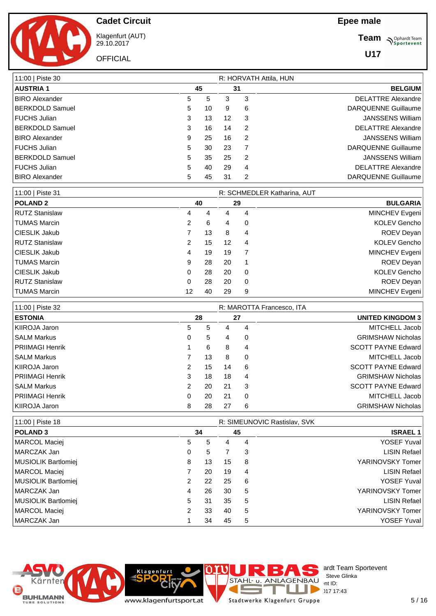**Cadet Circuit**



Klagenfurt (AUT) 29.10.2017

**OFFICIAL** 

**Team Supplier of Team** 

**U17**

| 11:00   Piste 30       |   |    |    |                | R: HORVATH Attila, HUN    |
|------------------------|---|----|----|----------------|---------------------------|
| <b>AUSTRIA 1</b>       |   | 45 |    | 31             | <b>BELGIUM</b>            |
| <b>BIRO Alexander</b>  | 5 | 5  | 3  | 3              | <b>DELATTRE Alexandre</b> |
| <b>BERKDOLD Samuel</b> | 5 | 10 | 9  | 6              | DARQUENNE Guillaume       |
| FUCHS Julian           | 3 | 13 | 12 | 3              | <b>JANSSENS William</b>   |
| <b>BERKDOLD Samuel</b> | 3 | 16 | 14 | 2              | <b>DELATTRE Alexandre</b> |
| <b>BIRO Alexander</b>  | 9 | 25 | 16 | $\overline{2}$ | <b>JANSSENS William</b>   |
| l FUCHS Julian         | 5 | 30 | 23 | $\overline{7}$ | DARQUENNE Guillaume       |
| <b>BERKDOLD Samuel</b> | 5 | 35 | 25 | 2              | <b>JANSSENS William</b>   |
| l FUCHS Julian         | 5 | 40 | 29 | 4              | <b>DELATTRE Alexandre</b> |
| <b>BIRO Alexander</b>  | 5 | 45 | 31 | 2              | DARQUENNE Guillaume       |

| 11:00   Piste 31      |    |    | R: SCHMEDLER Katharina, AUT |          |                     |  |
|-----------------------|----|----|-----------------------------|----------|---------------------|--|
| <b>POLAND 2</b>       |    | 40 |                             |          | <b>BULGARIA</b>     |  |
| <b>RUTZ Stanislaw</b> | 4  | 4  | 4                           | 4        | MINCHEV Evgeni      |  |
| TUMAS Marcin          | 2  | 6  | 4                           | 0        | <b>KOLEV Gencho</b> |  |
| CIESLIK Jakub         |    | 13 | 8                           | 4        | ROEV Deyan          |  |
| RUTZ Stanislaw        | 2  | 15 | 12                          | 4        | <b>KOLEV Gencho</b> |  |
| CIESLIK Jakub         | 4  | 19 | 19                          | 7        | MINCHEV Evgeni      |  |
| TUMAS Marcin          | 9  | 28 | 20                          | -1       | <b>ROEV Devan</b>   |  |
| CIESLIK Jakub         | 0  | 28 | 20                          | $\Omega$ | <b>KOLEV Gencho</b> |  |
| <b>RUTZ Stanislaw</b> | 0  | 28 | 20                          | 0        | <b>ROEV Devan</b>   |  |
| TUMAS Marcin          | 12 | 40 | 29                          | 9        | MINCHEV Evgeni      |  |

| 11:00   Piste 32   |                |    |    |          | R: MAROTTA Francesco, ITA |
|--------------------|----------------|----|----|----------|---------------------------|
| <b>ESTONIA</b>     |                | 28 |    | 27       | <b>UNITED KINGDOM 3</b>   |
| KIIROJA Jaron      | 5              | 5  | 4  | 4        | MITCHELL Jacob            |
| <b>SALM Markus</b> | 0              | 5  | 4  | $\Omega$ | <b>GRIMSHAW Nicholas</b>  |
| PRIIMAGI Henrik    |                | 6  | 8  | 4        | <b>SCOTT PAYNE Edward</b> |
| SALM Markus        |                | 13 | 8  | $\Omega$ | MITCHELL Jacob            |
| KIIROJA Jaron      | $\overline{2}$ | 15 | 14 | 6        | <b>SCOTT PAYNE Edward</b> |
| PRIIMAGI Henrik    | 3              | 18 | 18 | 4        | <b>GRIMSHAW Nicholas</b>  |
| SALM Markus        | 2              | 20 | 21 | 3        | <b>SCOTT PAYNE Edward</b> |
| PRIIMAGI Henrik    | 0              | 20 | 21 | $\Omega$ | MITCHELL Jacob            |
| KIIROJA Jaron      | 8              | 28 | 27 | 6        | <b>GRIMSHAW Nicholas</b>  |

| 11:00   Piste 18    |   |    |    |    | R: SIMEUNOVIC Rastislav, SVK |
|---------------------|---|----|----|----|------------------------------|
| <b>POLAND3</b>      |   | 34 |    | 45 | <b>ISRAEL 1</b>              |
| MARCOL Maciej       | 5 | 5  | 4  | 4  | YOSEF Yuval                  |
| MARCZAK Jan         | 0 | 5  |    | 3  | LISIN Refael                 |
| MUSIOLIK Bartlomiej | 8 | 13 | 15 | 8  | YARINOVSKY Tomer             |
| MARCOL Maciej       |   | 20 | 19 | 4  | LISIN Refael                 |
| MUSIOLIK Bartlomiej | 2 | 22 | 25 | 6  | YOSEF Yuval                  |
| MARCZAK Jan         | 4 | 26 | 30 | 5  | YARINOVSKY Tomer             |
| MUSIOLIK Bartlomiei | 5 | 31 | 35 | 5  | LISIN Refael                 |
| MARCOL Maciej       | 2 | 33 | 40 | 5  | YARINOVSKY Tomer             |
| MARCZAK Jan         |   | 34 | 45 | 5  | YOSEF Yuval                  |





**Klagenfurt** 

Stadtwerke Klagenfurt Gruppe

E

T a.

 $\overline{\phantom{a}}$ 

STAHL U. ANLAGENBAU Int ID:

 $P^{\sim}$  int ID:  $29.1717:43$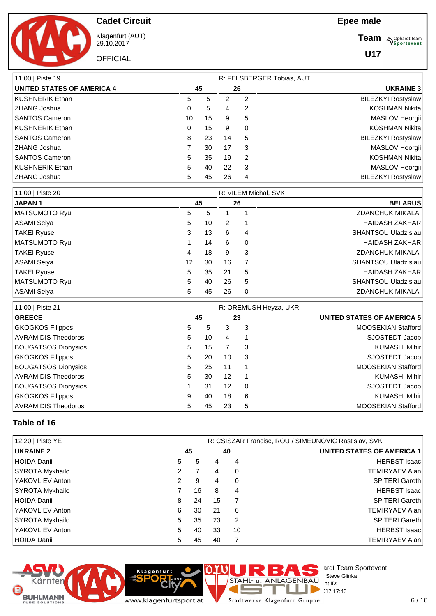**Team Supplier of Team** 

**U17**

Klagenfurt (AUT) 29.10.2017

**Cadet Circuit**

**OFFICIAL** 

| 11:00   Piste 19                  |    |    |    | R: FELSBERGER Tobias, AUT |                           |
|-----------------------------------|----|----|----|---------------------------|---------------------------|
| <b>UNITED STATES OF AMERICA 4</b> | 45 |    | 26 |                           | <b>UKRAINE 3</b>          |
| <b>KUSHNERIK Ethan</b>            | 5. | 5  | 2  | 2                         | <b>BILEZKYI Rostyslaw</b> |
| ZHANG Joshua                      | 0  | 5  | 4  | 2                         | <b>KOSHMAN Nikita</b>     |
| <b>SANTOS Cameron</b>             | 10 | 15 | 9  | 5                         | MASLOV Heorgii            |
| <b>KUSHNERIK Ethan</b>            | 0  | 15 | 9  | 0                         | <b>KOSHMAN Nikita</b>     |
| <b>SANTOS Cameron</b>             | 8  | 23 | 14 | 5                         | <b>BILEZKYI Rostyslaw</b> |
| <b>ZHANG Joshua</b>               |    | 30 | 17 | 3                         | MASLOV Heorgii            |
| <b>SANTOS Cameron</b>             | 5  | 35 | 19 | 2                         | <b>KOSHMAN Nikita</b>     |
| <b>KUSHNERIK Ethan</b>            | 5. | 40 | 22 | 3                         | MASLOV Heorgii            |
| <b>ZHANG Joshua</b>               | 5  | 45 | 26 | 4                         | <b>BILEZKYI Rostyslaw</b> |

| 11:00   Piste 20 |    |    |    | R: VILEM Michal, SVK |                            |
|------------------|----|----|----|----------------------|----------------------------|
| <b>JAPAN1</b>    |    | 45 | 26 |                      | <b>BELARUS</b>             |
| MATSUMOTO Ryu    | 5  | 5  |    |                      | <b>ZDANCHUK MIKALAI</b>    |
| ASAMI Seiya      | 5  | 10 | 2  |                      | <b>HAIDASH ZAKHAR</b>      |
| TAKEI Ryusei     | 3  | 13 | 6  | 4                    | <b>SHANTSOU Uladzislau</b> |
| MATSUMOTO Ryu    |    | 14 | 6  | 0                    | <b>HAIDASH ZAKHAR</b>      |
| TAKEI Ryusei     | 4  | 18 | 9  | 3                    | <b>ZDANCHUK MIKALAI</b>    |
| ASAMI Seiya      | 12 | 30 | 16 |                      | SHANTSOU Uladzislau        |
| TAKEI Ryusei     | 5  | 35 | 21 | 5                    | <b>HAIDASH ZAKHAR</b>      |
| MATSUMOTO Ryu    | 5  | 40 | 26 | 5                    | <b>SHANTSOU Uladzislau</b> |
| ASAMI Seiya      | 5  | 45 | 26 | 0                    | <b>ZDANCHUK MIKALAI</b>    |

| 11:00   Piste 21           |   |    |    |          | R: OREMUSH Heyza, UKR      |
|----------------------------|---|----|----|----------|----------------------------|
| <b>GREECE</b>              |   | 45 | 23 |          | UNITED STATES OF AMERICA 5 |
| <b>GKOGKOS Filippos</b>    | 5 | 5  | 3  | 3        | MOOSEKIAN Stafford         |
| <b>AVRAMIDIS Theodoros</b> | 5 | 10 | 4  |          | SJOSTEDT Jacob             |
| <b>BOUGATSOS Dionysios</b> | 5 | 15 |    | 3        | <b>KUMASHI Mihir</b>       |
| <b>GKOGKOS Filippos</b>    | 5 | 20 | 10 | 3        | SJOSTEDT Jacob             |
| <b>BOUGATSOS Dionysios</b> | 5 | 25 | 11 |          | <b>MOOSEKIAN Stafford</b>  |
| AVRAMIDIS Theodoros        | 5 | 30 | 12 |          | <b>KUMASHI Mihir</b>       |
| <b>BOUGATSOS Dionysios</b> |   | 31 | 12 | $\Omega$ | SJOSTEDT Jacob             |
| <b>GKOGKOS Filippos</b>    | 9 | 40 | 18 | 6        | <b>KUMASHI Mihir</b>       |
| <b>AVRAMIDIS Theodoros</b> | 5 | 45 | 23 | 5        | <b>MOOSEKIAN Stafford</b>  |

#### **Table of 16**

| 12:20   Piste YE       |   |    |    |    | R: CSISZAR Francisc, ROU / SIMEUNOVIC Rastislav, SVK |
|------------------------|---|----|----|----|------------------------------------------------------|
| UKRAINE 2              |   | 45 |    | 40 | UNITED STATES OF AMERICA 1                           |
| HOIDA Daniil           | 5 | 5  | 4  | 4  | HERBST Isaac                                         |
| SYROTA Mykhailo        | 2 |    | 4  | 0  | TEMIRYAEV Alan                                       |
| YAKOVLIEV Anton        |   | 9  | 4  | 0  | SPITERI Gareth                                       |
| SYROTA Mykhailo        |   | 16 | 8  | 4  | HERBST Isaac                                         |
| HOIDA Daniil           | 8 | 24 | 15 |    | SPITERI Gareth                                       |
| <b>YAKOVLIEV Anton</b> | 6 | 30 | 21 | 6  | TEMIRYAEV Alan                                       |
| SYROTA Mykhailo        | 5 | 35 | 23 | 2  | SPITERI Gareth                                       |
| YAKOVLIEV Anton        | 5 | 40 | 33 | 10 | <b>HERBST Isaac</b>                                  |
| HOIDA Daniil           | 5 | 45 | 40 |    | <b>TEMIRYAEV Alan I</b>                              |





Klagenfurt

ı Stadtwerke Klagenfurt Gruppe

F

 $\overline{a}$ 

J.

STAHL U. ANLAGENBAU Steve Glinka

 $\begin{array}{l} \text{GENBAU} \\ \text{nt ID:} \end{array}$  17.17

 $29.1717:43$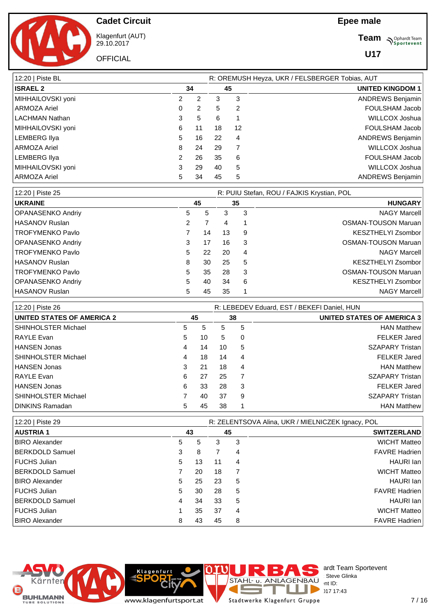**Cadet Circuit**



Klagenfurt (AUT) 29.10.2017

**OFFICIAL** 

**Team Supplier of Team** 

**U17**

| 12:20   Piste BL  |               |                |    |    |  | R: OREMUSH Heyza, UKR / FELSBERGER Tobias, AUT |
|-------------------|---------------|----------------|----|----|--|------------------------------------------------|
| <b>ISRAEL 2</b>   |               | 34             |    | 45 |  | <b>UNITED KINGDOM 1</b>                        |
| MIHHAILOVSKI yoni | 2             | 2              | 3  | 3  |  | ANDREWS Benjamin                               |
| ARMOZA Ariel      | 0             | $\overline{2}$ | 5  | 2  |  | FOULSHAM Jacob                                 |
| LACHMAN Nathan    | 3             | 5              | 6  |    |  | WILLCOX Joshua                                 |
| MIHHAILOVSKI yoni | 6             | 11             | 18 | 12 |  | FOULSHAM Jacob                                 |
| LEMBERG Ilya      | 5             | 16             | 22 | 4  |  | <b>ANDREWS Benjamin</b>                        |
| ARMOZA Ariel      | 8             | 24             | 29 |    |  | WILLCOX Joshua                                 |
| LEMBERG Ilya      | $\mathcal{P}$ | 26             | 35 | 6  |  | FOULSHAM Jacob                                 |
| MIHHAILOVSKI yoni | 3             | 29             | 40 | 5  |  | WILLCOX Joshua                                 |
| ARMOZA Ariel      | 5             | 34             | 45 | 5  |  | <b>ANDREWS Benjamin</b>                        |

| 12:20   Piste 25        |   |    |    |    | R: PUIU Stefan, ROU / FAJKIS Krystian, POL |
|-------------------------|---|----|----|----|--------------------------------------------|
| <b>UKRAINE</b>          |   | 45 | 35 |    | <b>HUNGARY</b>                             |
| OPANASENKO Andriy       | 5 | 5  | 3  | 3  | <b>NAGY Marcell</b>                        |
| HASANOV Ruslan          | 2 |    | 4  |    | <b>OSMAN-TOUSON Maruan</b>                 |
| TROFYMENKO Pavlo        |   | 14 | 13 | 9  | <b>KESZTHELYI Zsombor</b>                  |
| OPANASENKO Andriy       | 3 | 17 | 16 | -3 | <b>OSMAN-TOUSON Maruan</b>                 |
| <b>TROFYMENKO Pavlo</b> | 5 | 22 | 20 | 4  | <b>NAGY Marcell</b>                        |
| HASANOV Ruslan          | 8 | 30 | 25 | 5  | <b>KESZTHELYI Zsombor</b>                  |
| TROFYMENKO Pavlo        | 5 | 35 | 28 | 3  | <b>OSMAN-TOUSON Maruan</b>                 |
| OPANASENKO Andriy       | 5 | 40 | 34 | 6  | <b>KESZTHELYI Zsombor</b>                  |
| HASANOV Ruslan          | 5 | 45 | 35 |    | <b>NAGY Marcell</b>                        |

| 12:20   Piste 26                  | R: LEBEDEV Eduard, EST / BEKEFI Daniel, HUN |    |    |          |                            |  |  |  |  |  |
|-----------------------------------|---------------------------------------------|----|----|----------|----------------------------|--|--|--|--|--|
| <b>UNITED STATES OF AMERICA 2</b> | 45                                          |    |    | 38       | UNITED STATES OF AMERICA 3 |  |  |  |  |  |
| <b>SHINHOLSTER Michael</b>        | 5                                           | 5  | 5  | 5        | <b>HAN Matthew</b>         |  |  |  |  |  |
| <b>RAYLE Evan</b>                 | 5                                           | 10 | 5  | $\Omega$ | <b>FELKER Jared</b>        |  |  |  |  |  |
| <b>HANSEN Jonas</b>               | 4                                           | 14 | 10 | 5        | <b>SZAPARY Tristan</b>     |  |  |  |  |  |
| <b>SHINHOLSTER Michael</b>        | 4                                           | 18 | 14 | 4        | <b>FELKER Jared</b>        |  |  |  |  |  |
| <b>HANSEN Jonas</b>               | 3                                           | 21 | 18 | 4        | <b>HAN Matthew</b>         |  |  |  |  |  |
| <b>RAYLE Evan</b>                 | 6                                           | 27 | 25 |          | SZAPARY Tristan            |  |  |  |  |  |
| <b>HANSEN Jonas</b>               | 6                                           | 33 | 28 | 3        | <b>FELKER Jared</b>        |  |  |  |  |  |
| <b>SHINHOLSTER Michael</b>        |                                             | 40 | 37 | 9        | <b>SZAPARY Tristan</b>     |  |  |  |  |  |
| <b>DINKINS Ramadan</b>            | 5                                           | 45 | 38 |          | <b>HAN Matthew</b>         |  |  |  |  |  |

| 12:20   Piste 29       |   |    | R: ZELENTSOVA Alina, UKR / MIELNICZEK Ignacy, POL |    |                      |  |  |  |  |
|------------------------|---|----|---------------------------------------------------|----|----------------------|--|--|--|--|
| <b>AUSTRIA 1</b>       |   | 43 |                                                   | 45 | <b>SWITZERLAND</b>   |  |  |  |  |
| <b>BIRO Alexander</b>  | 5 | 5  | з                                                 | 3  | <b>WICHT Matteo</b>  |  |  |  |  |
| BERKDOLD Samuel        | 3 | 8  |                                                   | 4  | <b>FAVRE Hadrien</b> |  |  |  |  |
| FUCHS Julian           | 5 | 13 | 11                                                | 4  | HAURI lan            |  |  |  |  |
| <b>BERKDOLD Samuel</b> |   | 20 | 18                                                |    | <b>WICHT Matteol</b> |  |  |  |  |
| <b>BIRO Alexander</b>  | 5 | 25 | 23                                                | 5  | HAURI lan            |  |  |  |  |
| FUCHS Julian           | 5 | 30 | 28                                                | 5  | <b>FAVRE Hadrien</b> |  |  |  |  |
| <b>BERKDOLD Samuel</b> | 4 | 34 | 33                                                | 5  | HAURI lan            |  |  |  |  |
| FUCHS Julian           |   | 35 | 37                                                | 4  | WICHT Matteo         |  |  |  |  |
| <b>BIRO Alexander</b>  | 8 | 43 | 45                                                | 8  | <b>FAVRE Hadrien</b> |  |  |  |  |

**Klagenfurt** Kärnten BUHLMANN

**City** Stadtwerke Klagenfurt Gruppe www.klagenfurtsport.at

E

T a.

**IC** 

ardt Team Sportevent<br>∷Steve Glinka **License:** Steve Glinka  $P^{\sim}$  int ID:  $29.171717:43$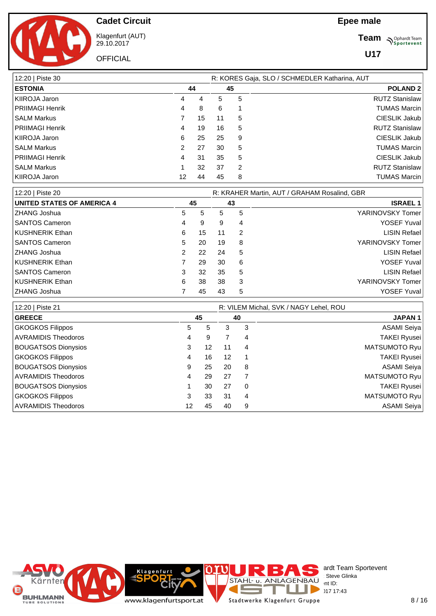**Cadet Circuit**

Klagenfurt (AUT) 29.10.2017 **OFFICIAL** 

**Team Supplier of Team** 

**U17**

| 12:20   Piste 30 |               | R: KORES Gaja, SLO / SCHMEDLER Katharina, AUT |    |    |                       |  |  |  |  |  |
|------------------|---------------|-----------------------------------------------|----|----|-----------------------|--|--|--|--|--|
| <b>ESTONIA</b>   |               | 44                                            |    | 45 | <b>POLAND 2</b>       |  |  |  |  |  |
| KIIROJA Jaron    | 4             | 4                                             | 5  | 5  | <b>RUTZ Stanislaw</b> |  |  |  |  |  |
| PRIIMAGI Henrik  | 4             | 8                                             | 6  |    | <b>TUMAS Marcin</b>   |  |  |  |  |  |
| ISALM Markus     | 7             | 15                                            | 11 | 5  | <b>CIESLIK Jakub</b>  |  |  |  |  |  |
| PRIIMAGI Henrik  | 4             | 19                                            | 16 | 5  | <b>RUTZ Stanislaw</b> |  |  |  |  |  |
| KIIROJA Jaron    | 6             | 25                                            | 25 | 9  | <b>CIESLIK Jakub</b>  |  |  |  |  |  |
| ISALM Markus     | $\mathcal{P}$ | 27                                            | 30 | 5  | <b>TUMAS Marcin</b>   |  |  |  |  |  |
| PRIIMAGI Henrik  | 4             | 31                                            | 35 | 5  | <b>CIESLIK Jakub</b>  |  |  |  |  |  |
| ISALM Markus     |               | 32                                            | 37 | 2  | <b>RUTZ Stanislaw</b> |  |  |  |  |  |
| KIIROJA Jaron    | 12            | 44                                            | 45 | 8  | <b>TUMAS Marcin</b>   |  |  |  |  |  |

| 12:20   Piste 20                  |    |    |    |               | R: KRAHER Martin, AUT / GRAHAM Rosalind, GBR |
|-----------------------------------|----|----|----|---------------|----------------------------------------------|
| <b>UNITED STATES OF AMERICA 4</b> | 45 |    | 43 |               | <b>ISRAEL 1</b>                              |
| ZHANG Joshua                      | 5  | 5  | 5  | 5             | YARINOVSKY Tomer                             |
| <b>SANTOS Cameron</b>             | 4  | 9  | 9  | 4             | <b>YOSEF Yuval</b>                           |
| KUSHNERIK Ethan                   | 6  | 15 | 11 | $\mathcal{P}$ | <b>LISIN Refael</b>                          |
| <b>SANTOS Cameron</b>             | 5  | 20 | 19 | 8             | YARINOVSKY Tomer                             |
| ZHANG Joshua                      | 2  | 22 | 24 | 5             | <b>LISIN Refael</b>                          |
| KUSHNERIK Ethan                   |    | 29 | 30 | 6             | <b>YOSEF Yuval</b>                           |
| <b>SANTOS Cameron</b>             | 3  | 32 | 35 | 5             | <b>LISIN Refael</b>                          |
| KUSHNERIK Ethan                   | 6  | 38 | 38 | 3             | YARINOVSKY Tomer                             |
| l ZHANG Joshua                    |    | 45 | 43 | 5             | <b>YOSEF Yuval</b>                           |

| 12:20   Piste 21           |    |    | R: VILEM Michal, SVK / NAGY Lehel, ROU |          |                      |  |  |  |  |
|----------------------------|----|----|----------------------------------------|----------|----------------------|--|--|--|--|
| <b>GREECE</b>              |    | 45 | 40                                     |          | <b>JAPAN1</b>        |  |  |  |  |
| <b>GKOGKOS Filippos</b>    | 5  | 5  | 3                                      | 3        | ASAMI Seiya          |  |  |  |  |
| <b>AVRAMIDIS Theodoros</b> | 4  | 9  |                                        | 4        | <b>TAKEI Ryusei</b>  |  |  |  |  |
| <b>BOUGATSOS Dionysios</b> | 3  | 12 | 11                                     | 4        | <b>MATSUMOTO Ryu</b> |  |  |  |  |
| <b>GKOGKOS Filippos</b>    | 4  | 16 | 12                                     |          | <b>TAKEI Ryusei</b>  |  |  |  |  |
| <b>BOUGATSOS Dionysios</b> | 9  | 25 | 20                                     | 8        | <b>ASAMI Seiya</b>   |  |  |  |  |
| <b>AVRAMIDIS Theodoros</b> | 4  | 29 | 27                                     | 7        | <b>MATSUMOTO Ryu</b> |  |  |  |  |
| <b>BOUGATSOS Dionysios</b> |    | 30 | 27                                     | $\Omega$ | <b>TAKEI Ryusei</b>  |  |  |  |  |
| <b>GKOGKOS Filippos</b>    | 3  | 33 | 31                                     | 4        | <b>MATSUMOTO Ryu</b> |  |  |  |  |
| <b>AVRAMIDIS Theodoros</b> | 12 | 45 | 40                                     | 9        | ASAMI Seiya          |  |  |  |  |

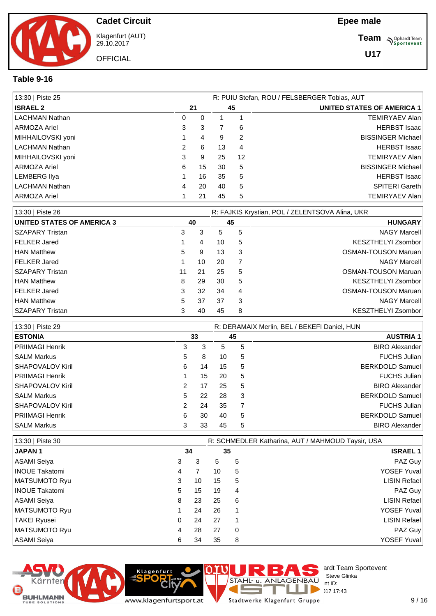

Klagenfurt (AUT) 29.10.2017

**OFFICIAL** 

**Team Supplier of Team** 

#### **Table 9-16**

| 13:30   Piste 25  |   |    |    |    | R: PUIU Stefan, ROU / FELSBERGER Tobias, AUT |
|-------------------|---|----|----|----|----------------------------------------------|
| <b>ISRAEL 2</b>   |   | 21 |    | 45 | <b>UNITED STATES OF AMERICA 1</b>            |
| I LACHMAN Nathan  | 0 | 0  |    |    | <b>TEMIRYAEV Alan</b>                        |
| ARMOZA Ariel      | 3 | 3  |    | 6  | <b>HERBST Isaac</b>                          |
| MIHHAILOVSKI yoni |   | 4  | 9  | 2  | <b>BISSINGER Michael</b>                     |
| I LACHMAN Nathan  |   | 6  | 13 | 4  | <b>HERBST Isaac</b>                          |
| MIHHAILOVSKI yoni | 3 | 9  | 25 | 12 | <b>TEMIRYAEV Alan</b>                        |
| ARMOZA Ariel      | 6 | 15 | 30 | 5  | <b>BISSINGER Michael</b>                     |
| LEMBERG Ilya      |   | 16 | 35 | 5  | <b>HERBST Isaac</b>                          |
| LACHMAN Nathan    | 4 | 20 | 40 | 5  | <b>SPITERI Gareth</b>                        |
| ARMOZA Ariel      |   | 21 | 45 | 5  | <b>TEMIRYAEV Alan</b>                        |

| 13:30   Piste 26                  | R: FAJKIS Krystian, POL / ZELENTSOVA Alina, UKR |    |    |    |                            |  |  |  |  |
|-----------------------------------|-------------------------------------------------|----|----|----|----------------------------|--|--|--|--|
| <b>UNITED STATES OF AMERICA 3</b> |                                                 | 40 |    | 45 | <b>HUNGARY</b>             |  |  |  |  |
| SZAPARY Tristan                   | 3                                               | 3  | 5  | 5  | <b>NAGY Marcell</b>        |  |  |  |  |
| <b>FELKER Jared</b>               |                                                 | 4  | 10 | 5  | <b>KESZTHELYI Zsombor</b>  |  |  |  |  |
| <b>HAN Matthew</b>                | 5.                                              | 9  | 13 | 3  | <b>OSMAN-TOUSON Maruan</b> |  |  |  |  |
| <b>FELKER Jared</b>               |                                                 | 10 | 20 |    | <b>NAGY Marcell</b>        |  |  |  |  |
| <b>SZAPARY Tristan</b>            | 11                                              | 21 | 25 | 5  | <b>OSMAN-TOUSON Maruan</b> |  |  |  |  |
| <b>HAN Matthew</b>                | 8                                               | 29 | 30 | 5  | <b>KESZTHELYI Zsombor</b>  |  |  |  |  |
| <b>FELKER Jared</b>               | 3                                               | 32 | 34 | 4  | <b>OSMAN-TOUSON Maruan</b> |  |  |  |  |
| <b>HAN Matthew</b>                | 5                                               | 37 | 37 | 3  | <b>NAGY Marcell</b>        |  |  |  |  |
| <b>SZAPARY Tristan</b>            | 3                                               | 40 | 45 | 8  | <b>KESZTHELYI Zsombor</b>  |  |  |  |  |

| 13:30   Piste 29 |                | R: DERAMAIX Merlin, BEL / BEKEFI Daniel, HUN |    |    |                        |  |  |  |  |  |  |
|------------------|----------------|----------------------------------------------|----|----|------------------------|--|--|--|--|--|--|
| <b>ESTONIA</b>   |                | 33                                           |    | 45 | <b>AUSTRIA 1</b>       |  |  |  |  |  |  |
| PRIIMAGI Henrik  | 3              | 3                                            | 5  | 5  | <b>BIRO Alexander</b>  |  |  |  |  |  |  |
| SALM Markus      | 5              | 8                                            | 10 | 5  | <b>FUCHS Julian</b>    |  |  |  |  |  |  |
| SHAPOVALOV Kiril | 6              | 14                                           | 15 | 5  | <b>BERKDOLD Samuel</b> |  |  |  |  |  |  |
| PRIIMAGI Henrik  |                | 15                                           | 20 | 5  | <b>FUCHS Julian</b>    |  |  |  |  |  |  |
| SHAPOVALOV Kiril | 2              | 17                                           | 25 | 5  | <b>BIRO Alexander</b>  |  |  |  |  |  |  |
| l SALM Markus    | 5              | 22                                           | 28 | 3  | <b>BERKDOLD Samuel</b> |  |  |  |  |  |  |
| SHAPOVALOV Kiril | $\overline{c}$ | 24                                           | 35 |    | <b>FUCHS Julian</b>    |  |  |  |  |  |  |
| PRIIMAGI Henrik  | 6              | 30                                           | 40 | 5  | <b>BERKDOLD Samuel</b> |  |  |  |  |  |  |
| l SALM Markus    | 3              | 33                                           | 45 | 5  | <b>BIRO Alexander</b>  |  |  |  |  |  |  |

| 13:30   Piste 30      |   |    |    |          | R: SCHMEDLER Katharina, AUT / MAHMOUD Taysir, USA |  |
|-----------------------|---|----|----|----------|---------------------------------------------------|--|
| <b>JAPAN1</b>         |   | 34 |    | 35       | <b>ISRAEL 1</b>                                   |  |
| ASAMI Seiya           | 3 | 3  | 5  | 5        | PAZ Guy                                           |  |
| <b>INOUE Takatomi</b> | 4 |    | 10 | 5        | YOSEF Yuval                                       |  |
| MATSUMOTO Ryu         | 3 | 10 | 15 | 5        | LISIN Refael                                      |  |
| INOUE Takatomi        | 5 | 15 | 19 | 4        | PAZ Guy                                           |  |
| ASAMI Seiya           | 8 | 23 | 25 | 6        | LISIN Refael                                      |  |
| MATSUMOTO Ryu         |   | 24 | 26 |          | YOSEF Yuval                                       |  |
| TAKEI Ryusei          | 0 | 24 | 27 |          | LISIN Refael                                      |  |
| MATSUMOTO Ryu         | 4 | 28 | 27 | $\Omega$ | PAZ Guy                                           |  |
| ASAMI Seiya           | 6 | 34 | 35 | 8        | YOSEF Yuval                                       |  |



www.klagenfurtsport.at

Klagenfurt

ı Stadtwerke Klagenfurt Gruppe

Þ

 $\overline{a}$ 

J.

STAHL U. ANLAGENBAU steve Glinka

LL

 $\begin{array}{c} \n\text{IBAU} \\
\hline\n\end{array}$  int ID:  $29.1717:43$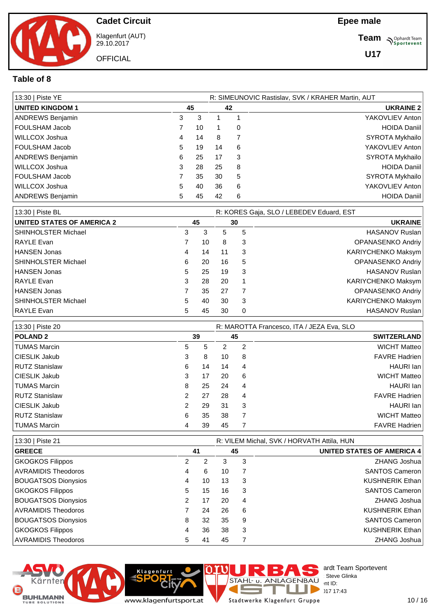

**Cadet Circuit** Klagenfurt (AUT)

29.10.2017

**OFFICIAL** 

**Team Supplier of Team** 

#### **Table of 8**

| 13:30   Piste YE        |    |    | R: SIMEUNOVIC Rastislav, SVK / KRAHER Martin, AUT |   |                     |  |  |  |  |  |
|-------------------------|----|----|---------------------------------------------------|---|---------------------|--|--|--|--|--|
| <b>UNITED KINGDOM 1</b> | 45 |    | 42                                                |   | <b>UKRAINE 2</b>    |  |  |  |  |  |
| ANDREWS Benjamin        | 3  | 3  |                                                   |   | YAKOVLIEV Anton     |  |  |  |  |  |
| FOULSHAM Jacob_         |    | 10 |                                                   | 0 | <b>HOIDA Daniil</b> |  |  |  |  |  |
| WILLCOX Joshua          | 4  | 14 | 8                                                 |   | SYROTA Mykhailo     |  |  |  |  |  |
| FOULSHAM Jacob          | 5  | 19 | 14                                                | 6 | YAKOVLIEV Anton     |  |  |  |  |  |
| ANDREWS Benjamin        | 6  | 25 | 17                                                | 3 | SYROTA Mykhailo     |  |  |  |  |  |
| WILLCOX Joshua          | 3  | 28 | 25                                                | 8 | <b>HOIDA Daniil</b> |  |  |  |  |  |
| FOULSHAM Jacob          |    | 35 | 30                                                | 5 | SYROTA Mykhailo     |  |  |  |  |  |
| WILLCOX Joshua          | 5  | 40 | 36                                                | 6 | YAKOVLIEV Anton     |  |  |  |  |  |
| ANDREWS Benjamin        | 5  | 45 | 42                                                | 6 | <b>HOIDA Daniil</b> |  |  |  |  |  |

| 13:30   Piste BL                  |   |    | R: KORES Gaja, SLO / LEBEDEV Eduard, EST |   |                          |  |  |  |  |
|-----------------------------------|---|----|------------------------------------------|---|--------------------------|--|--|--|--|
| <b>UNITED STATES OF AMERICA 2</b> |   | 45 | 30                                       |   | <b>UKRAINE</b>           |  |  |  |  |
| SHINHOLSTER Michael               | 3 | 3  | 5                                        | 5 | <b>HASANOV Ruslan</b>    |  |  |  |  |
| <b>RAYLE Evan</b>                 |   | 10 | 8                                        | 3 | OPANASENKO Andriy        |  |  |  |  |
| HANSEN Jonas                      | 4 | 14 | 11                                       | 3 | KARIYCHENKO Maksym       |  |  |  |  |
| SHINHOLSTER Michael               | 6 | 20 | 16                                       | 5 | <b>OPANASENKO Andriy</b> |  |  |  |  |
| HANSEN Jonas                      | 5 | 25 | 19                                       | 3 | <b>HASANOV Ruslan</b>    |  |  |  |  |
| RAYLE Evan                        | 3 | 28 | 20                                       |   | KARIYCHENKO Maksym       |  |  |  |  |
| HANSEN Jonas                      |   | 35 | 27                                       |   | OPANASENKO Andriy        |  |  |  |  |
| SHINHOLSTER Michael               | 5 | 40 | 30                                       | 3 | KARIYCHENKO Maksym       |  |  |  |  |
| RAYLE Evan                        | 5 | 45 | 30                                       | 0 | <b>HASANOV Ruslan</b>    |  |  |  |  |

| 13:30   Piste 20 |               | R: MAROTTA Francesco, ITA / JEZA Eva, SLO |    |   |                      |
|------------------|---------------|-------------------------------------------|----|---|----------------------|
| <b>POLAND 2</b>  |               | 39                                        | 45 |   | <b>SWITZERLAND</b>   |
| TUMAS Marcin     | 5             | 5                                         | 2  | 2 | <b>WICHT Matteo</b>  |
| CIESLIK Jakub    | 3             | 8                                         | 10 | 8 | <b>FAVRE Hadrien</b> |
| RUTZ Stanislaw   | 6             | 14                                        | 14 | 4 | HAURI Ian            |
| CIESLIK Jakub    | 3             | 17                                        | 20 | 6 | <b>WICHT Matteo</b>  |
| TUMAS Marcin     | 8             | 25                                        | 24 | 4 | HAURI Ian            |
| RUTZ Stanislaw   | $\mathcal{P}$ | 27                                        | 28 | 4 | <b>FAVRE Hadrien</b> |
| CIESLIK Jakub    | 2             | 29                                        | 31 | 3 | HAURI Ian            |
| RUTZ Stanislaw   | 6             | 35                                        | 38 |   | <b>WICHT Matteo</b>  |
| TUMAS Marcin     | 4             | 39                                        | 45 | 7 | <b>FAVRE Hadrien</b> |

| 13:30   Piste 21           |    | R: VILEM Michal, SVK / HORVATH Attila, HUN |    |    |                                   |  |  |  |  |  |
|----------------------------|----|--------------------------------------------|----|----|-----------------------------------|--|--|--|--|--|
| <b>GREECE</b>              |    | 41                                         |    | 45 | <b>UNITED STATES OF AMERICA 4</b> |  |  |  |  |  |
| <b>GKOGKOS Filippos</b>    |    | 2                                          | 3  | 3  | ZHANG Joshua                      |  |  |  |  |  |
| <b>AVRAMIDIS Theodoros</b> | 4  | 6                                          | 10 |    | <b>SANTOS Cameron</b>             |  |  |  |  |  |
| <b>BOUGATSOS Dionysios</b> | 4  | 10                                         | 13 | 3  | <b>KUSHNERIK Ethan</b>            |  |  |  |  |  |
| <b>GKOGKOS Filippos</b>    | 5. | 15                                         | 16 | 3  | SANTOS Cameron                    |  |  |  |  |  |
| <b>BOUGATSOS Dionysios</b> | 2  | 17                                         | 20 | 4  | ZHANG Joshua                      |  |  |  |  |  |
| <b>AVRAMIDIS Theodoros</b> |    | 24                                         | 26 | 6  | <b>KUSHNERIK Ethan</b>            |  |  |  |  |  |
| <b>BOUGATSOS Dionysios</b> | 8  | 32                                         | 35 | 9  | SANTOS Cameron                    |  |  |  |  |  |
| <b>GKOGKOS Filippos</b>    | 4  | 36                                         | 38 | 3  | <b>KUSHNERIK Ethan</b>            |  |  |  |  |  |
| <b>AVRAMIDIS Theodoros</b> | 5  | 41                                         | 45 |    | ZHANG Joshua                      |  |  |  |  |  |



Klagenfurt

ı Stadtwerke Klagenfurt Gruppe

Þ

 $\overline{a}$ 

J.

STAHL U. ANLAGENBAU steve Glinka

LL

 $\sum_{117.17}^{1BAU}$  int ID:  $29.1717:43$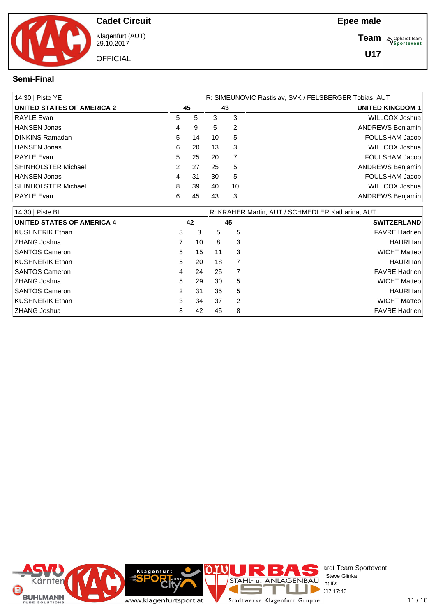

Klagenfurt (AUT) 29.10.2017

**Epee male**

**Team Supplier of Team** 

**U17**

#### **Semi-Final**

| 14:30   Piste YE                  | R: SIMEUNOVIC Rastislav, SVK / FELSBERGER Tobias, AUT |    |    |                |                         |  |  |  |  |
|-----------------------------------|-------------------------------------------------------|----|----|----------------|-------------------------|--|--|--|--|
| <b>UNITED STATES OF AMERICA 2</b> | 45                                                    |    |    | 43             | <b>UNITED KINGDOM 1</b> |  |  |  |  |
| RAYLE Evan                        | 5                                                     | 5  | 3  | 3              | WILLCOX Joshua          |  |  |  |  |
| HANSEN Jonas                      | 4                                                     | 9  | 5  | 2              | <b>ANDREWS Benjamin</b> |  |  |  |  |
| DINKINS Ramadan                   | 5                                                     | 14 | 10 | 5              | FOULSHAM Jacob          |  |  |  |  |
| HANSEN Jonas                      | 6                                                     | 20 | 13 | 3              | WILLCOX Joshua          |  |  |  |  |
| RAYLE Evan                        | 5                                                     | 25 | 20 | $\overline{7}$ | FOULSHAM Jacob          |  |  |  |  |
| SHINHOLSTER Michael               | $\mathcal{P}$                                         | 27 | 25 | 5              | <b>ANDREWS Benjamin</b> |  |  |  |  |
| HANSEN Jonas                      | 4                                                     | 31 | 30 | 5              | FOULSHAM Jacob          |  |  |  |  |
| SHINHOLSTER Michael               | 8                                                     | 39 | 40 | 10             | WILLCOX Joshua          |  |  |  |  |
| <b>RAYLE Evan</b>                 | 6                                                     | 45 | 43 | 3              | <b>ANDREWS Benjamin</b> |  |  |  |  |

| 14:30   Piste BL                  |                      |    | R: KRAHER Martin, AUT / SCHMEDLER Katharina, AUT |    |                      |  |  |  |
|-----------------------------------|----------------------|----|--------------------------------------------------|----|----------------------|--|--|--|
| <b>UNITED STATES OF AMERICA 4</b> |                      | 42 |                                                  | 45 | <b>SWITZERLAND</b>   |  |  |  |
| KUSHNERIK Ethan                   | 3                    | 3  | 5                                                | 5  | <b>FAVRE Hadrien</b> |  |  |  |
| ZHANG Joshua                      |                      | 10 | 8                                                | 3  | HAURI lan            |  |  |  |
| <b>SANTOS Cameron</b>             | 5                    | 15 | 11                                               | 3  | <b>WICHT Matteo</b>  |  |  |  |
| KUSHNERIK Ethan                   | 5                    | 20 | 18                                               |    | HAURI lan            |  |  |  |
| <b>SANTOS Cameron</b>             | 4                    | 24 | 25                                               |    | <b>FAVRE Hadrien</b> |  |  |  |
| ZHANG Joshua                      | 5                    | 29 | 30                                               | 5  | <b>WICHT Matteo</b>  |  |  |  |
| <b>SANTOS Cameron</b>             | $\mathbf{2}^{\circ}$ | 31 | 35                                               | 5  | HAURI lan            |  |  |  |
| KUSHNERIK Ethan                   | 3                    | 34 | 37                                               | 2  | <b>WICHT Matteo</b>  |  |  |  |
| ZHANG Joshua                      | 8                    | 42 | 45                                               | 8  | <b>FAVRE Hadrien</b> |  |  |  |

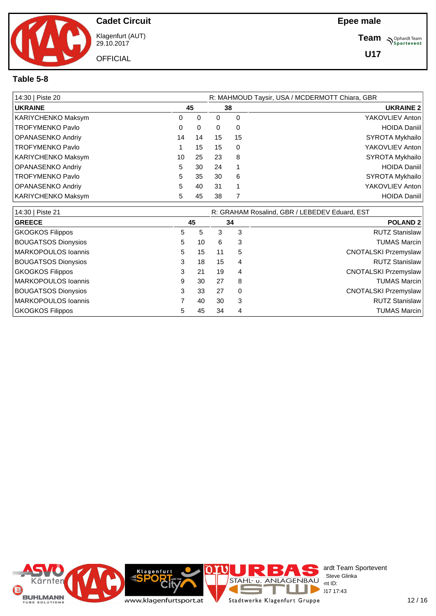

Klagenfurt (AUT) 29.10.2017

**OFFICIAL** 

**Team Supplier of Team** 

#### **Table 5-8**

| 14:30   Piste 20        |    |    | R: MAHMOUD Taysir, USA / MCDERMOTT Chiara, GBR |    |                     |  |  |  |  |  |
|-------------------------|----|----|------------------------------------------------|----|---------------------|--|--|--|--|--|
| <b>UKRAINE</b>          |    | 45 |                                                | 38 | <b>UKRAINE 2</b>    |  |  |  |  |  |
| KARIYCHENKO Maksym      | 0  | 0  | 0                                              | 0  | YAKOVLIEV Anton     |  |  |  |  |  |
| TROFYMENKO Pavlo        | 0  | 0  | 0                                              | 0  | <b>HOIDA Daniil</b> |  |  |  |  |  |
| OPANASENKO Andriy       | 14 | 14 | 15                                             | 15 | SYROTA Mykhailo     |  |  |  |  |  |
| <b>TROFYMENKO Pavlo</b> |    | 15 | 15                                             | 0  | YAKOVLIEV Anton     |  |  |  |  |  |
| KARIYCHENKO Maksym      | 10 | 25 | 23                                             | 8  | SYROTA Mykhailo     |  |  |  |  |  |
| OPANASENKO Andriy       | 5  | 30 | 24                                             |    | <b>HOIDA Daniil</b> |  |  |  |  |  |
| <b>TROFYMENKO Pavlo</b> | 5  | 35 | 30                                             | 6  | SYROTA Mykhailo     |  |  |  |  |  |
| OPANASENKO Andriy       | 5  | 40 | 31                                             |    | YAKOVLIEV Anton     |  |  |  |  |  |
| KARIYCHENKO Maksym      | 5  | 45 | 38                                             |    | <b>HOIDA Daniil</b> |  |  |  |  |  |

| 14:30   Piste 21           | R: GRAHAM Rosalind, GBR / LEBEDEV Eduard, EST |    |    |          |                       |  |  |  |
|----------------------------|-----------------------------------------------|----|----|----------|-----------------------|--|--|--|
| <b>GREECE</b>              |                                               | 45 |    | 34       | <b>POLAND 2</b>       |  |  |  |
| <b>GKOGKOS Filippos</b>    | 5.                                            | 5  | 3  | 3        | <b>RUTZ Stanislaw</b> |  |  |  |
| <b>BOUGATSOS Dionysios</b> | 5                                             | 10 | 6  | 3        | <b>TUMAS Marcin</b>   |  |  |  |
| MARKOPOULOS Ioannis        | 5.                                            | 15 | 11 | 5        | CNOTALSKI Przemyslaw  |  |  |  |
| <b>BOUGATSOS Dionysios</b> | 3                                             | 18 | 15 | 4        | <b>RUTZ Stanislaw</b> |  |  |  |
| <b>GKOGKOS Filippos</b>    | 3                                             | 21 | 19 | 4        | CNOTALSKI Przemyslaw  |  |  |  |
| MARKOPOULOS Ioannis        | 9                                             | 30 | 27 | 8        | <b>TUMAS Marcin</b>   |  |  |  |
| <b>BOUGATSOS Dionysios</b> | 3                                             | 33 | 27 | $\Omega$ | CNOTALSKI Przemyslaw  |  |  |  |
| MARKOPOULOS Ioannis        |                                               | 40 | 30 | 3        | <b>RUTZ Stanislaw</b> |  |  |  |
| <b>GKOGKOS Filippos</b>    | 5                                             | 45 | 34 | 4        | <b>TUMAS Marcin</b>   |  |  |  |

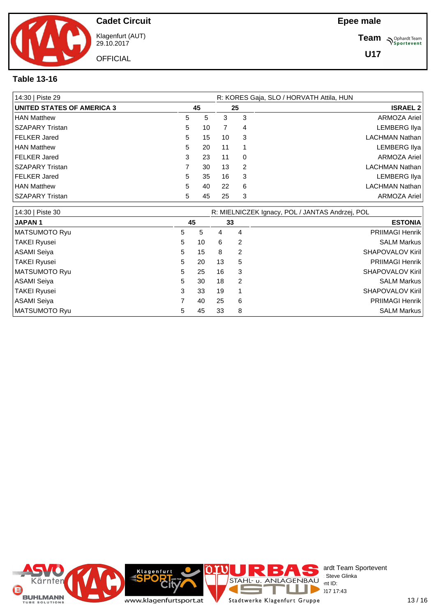

Klagenfurt (AUT) 29.10.2017

**Epee male**

**Team Supplier of Team** 

**U17**

#### **Table 13-16**

| 14:30   Piste 29                  |   |    | R: KORES Gaja, SLO / HORVATH Attila, HUN |          |                       |  |  |  |  |
|-----------------------------------|---|----|------------------------------------------|----------|-----------------------|--|--|--|--|
| <b>UNITED STATES OF AMERICA 3</b> |   | 45 |                                          | 25       | <b>ISRAEL 2</b>       |  |  |  |  |
| <b>HAN Matthew</b>                | 5 | 5  | 3                                        | 3        | ARMOZA Ariel          |  |  |  |  |
| <b>SZAPARY Tristan</b>            | 5 | 10 |                                          | 4        | LEMBERG Ilya          |  |  |  |  |
| FELKER Jared                      | 5 | 15 | 10                                       | 3        | <b>LACHMAN Nathan</b> |  |  |  |  |
| <b>HAN Matthew</b>                | 5 | 20 | -11                                      |          | <b>LEMBERG Ilya</b>   |  |  |  |  |
| <b>FELKER Jared</b>               | 3 | 23 | -11                                      | $\Omega$ | ARMOZA Ariel          |  |  |  |  |
| <b>SZAPARY Tristan</b>            |   | 30 | 13                                       | 2        | <b>LACHMAN Nathan</b> |  |  |  |  |
| FELKER Jared                      | 5 | 35 | 16                                       | 3        | <b>LEMBERG Ilya</b>   |  |  |  |  |
| <b>HAN Matthew</b>                | 5 | 40 | 22                                       | 6        | LACHMAN Nathan        |  |  |  |  |
| <b>SZAPARY Tristan</b>            | 5 | 45 | 25                                       | 3        | ARMOZA Ariel          |  |  |  |  |

| 14:30   Piste 30    |   | R: MIELNICZEK Ignacy, POL / JANTAS Andrzej, POL |    |    |                         |  |  |  |  |  |  |
|---------------------|---|-------------------------------------------------|----|----|-------------------------|--|--|--|--|--|--|
| <b>JAPAN1</b>       |   | 45                                              |    | 33 | <b>ESTONIA</b>          |  |  |  |  |  |  |
| MATSUMOTO Ryu       | 5 | 5                                               | 4  | 4  | <b>PRIIMAGI Henrik</b>  |  |  |  |  |  |  |
| <b>TAKEI Ryusei</b> | 5 | 10                                              | 6  | 2  | <b>SALM Markus</b>      |  |  |  |  |  |  |
| <b>ASAMI Seiya</b>  | 5 | 15                                              | 8  | 2  | SHAPOVALOV Kiril        |  |  |  |  |  |  |
| <b>TAKEI Ryusei</b> | 5 | 20                                              | 13 | 5  | <b>PRIIMAGI Henrik</b>  |  |  |  |  |  |  |
| MATSUMOTO Ryu       | 5 | 25                                              | 16 | 3  | <b>SHAPOVALOV Kiril</b> |  |  |  |  |  |  |
| <b>ASAMI Seiya</b>  | 5 | 30                                              | 18 | 2  | <b>SALM Markus</b>      |  |  |  |  |  |  |
| <b>TAKEI Ryusei</b> | 3 | 33                                              | 19 | 1  | SHAPOVALOV Kiril        |  |  |  |  |  |  |
| <b>ASAMI Seiya</b>  |   | 40                                              | 25 | 6  | <b>PRIIMAGI Henrik</b>  |  |  |  |  |  |  |
| MATSUMOTO Ryu       | 5 | 45                                              | 33 | 8  | <b>SALM Markus</b>      |  |  |  |  |  |  |

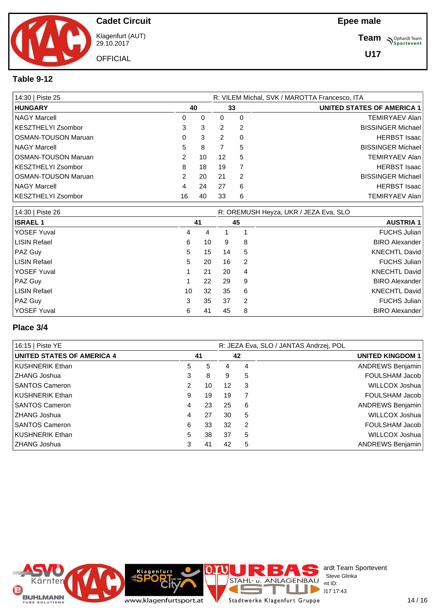

Klagenfurt (AUT) 29.10.2017

**OFFICIAL** 

**Team Supplier of Team** 

**U17**

#### **Table 9-12**

| 14:30   Piste 25    |               | R: VILEM Michal, SVK / MAROTTA Francesco, ITA |    |               |                            |  |  |
|---------------------|---------------|-----------------------------------------------|----|---------------|----------------------------|--|--|
| <b>HUNGARY</b>      |               | 40                                            |    | 33            | UNITED STATES OF AMERICA 1 |  |  |
| <b>NAGY Marcell</b> | 0             | 0                                             | 0  | 0             | <b>TEMIRYAEV Alan</b>      |  |  |
| KESZTHELYI Zsombor  | 3             | 3                                             | 2  | 2             | <b>BISSINGER Michael</b>   |  |  |
| OSMAN-TOUSON Maruan | 0             | 3                                             | 2  | $\Omega$      | <b>HERBST Isaac</b>        |  |  |
| NAGY Marcell        | 5             | 8                                             |    | 5             | <b>BISSINGER Michael</b>   |  |  |
| OSMAN-TOUSON Maruan | $\mathcal{P}$ | 10                                            | 12 | 5             | <b>TEMIRYAEV Alan</b>      |  |  |
| KESZTHELYI Zsombor  | 8             | 18                                            | 19 | 7             | <b>HERBST Isaac</b>        |  |  |
| OSMAN-TOUSON Maruan | $\mathcal{P}$ | 20                                            | 21 | $\mathcal{P}$ | <b>BISSINGER Michael</b>   |  |  |
| NAGY Marcell        | 4             | 24                                            | 27 | 6             | <b>HERBST Isaac</b>        |  |  |
| KESZTHELYI Zsombor  | 16            | 40                                            | 33 | 6             | <b>TEMIRYAEV Alan</b>      |  |  |

| 14:30   Piste 26 |    | R: OREMUSH Heyza, UKR / JEZA Eva, SLO |    |    |                       |  |
|------------------|----|---------------------------------------|----|----|-----------------------|--|
| <b>ISRAEL 1</b>  |    | 41                                    |    | 45 | <b>AUSTRIA 1</b>      |  |
| YOSEF Yuval      | 4  | 4                                     |    |    | <b>FUCHS Julian</b>   |  |
| LISIN Refael     | 6  | 10                                    | 9  | 8  | <b>BIRO Alexander</b> |  |
| <b>PAZ Guy</b>   | 5  | 15                                    | 14 | 5  | <b>KNECHTL David</b>  |  |
| LISIN Refael     | 5  | 20                                    | 16 | 2  | <b>FUCHS Julian</b>   |  |
| YOSEF Yuval      |    | 21                                    | 20 | 4  | <b>KNECHTL David</b>  |  |
| PAZ Guy          |    | 22                                    | 29 | 9  | <b>BIRO Alexander</b> |  |
| LISIN Refael     | 10 | 32                                    | 35 | 6  | <b>KNECHTL David</b>  |  |
| <b>PAZ Guy</b>   | 3  | 35                                    | 37 | 2  | <b>FUCHS Julian</b>   |  |
| YOSEF Yuval      | 6  | 41                                    | 45 | 8  | <b>BIRO Alexander</b> |  |

#### **Place 3/4**

| 16:15   Piste YE                  |   |    |    |                | R: JEZA Eva, SLO / JANTAS Andrzej, POL |
|-----------------------------------|---|----|----|----------------|----------------------------------------|
| <b>UNITED STATES OF AMERICA 4</b> |   | 41 |    | 42             | <b>UNITED KINGDOM 1</b>                |
| KUSHNERIK Ethan                   | 5 | 5  | 4  | 4              | ANDREWS Benjamin                       |
| <b>ZHANG Joshua</b>               | 3 | 8  | 9  | 5              | FOULSHAM Jacob                         |
| <b>SANTOS Cameron</b>             | 2 | 10 | 12 | 3              | WILLCOX Joshua                         |
| KUSHNERIK Ethan                   | 9 | 19 | 19 | 7              | FOULSHAM Jacob                         |
| <b>SANTOS Cameron</b>             | 4 | 23 | 25 | 6              | ANDREWS Benjamin                       |
| <b>ZHANG Joshua</b>               | 4 | 27 | 30 | 5              | WILLCOX Joshua                         |
| <b>SANTOS Cameron</b>             | 6 | 33 | 32 | $\overline{2}$ | FOULSHAM Jacob                         |
| <b>KUSHNERIK Ethan</b>            | 5 | 38 | 37 | 5              | WILLCOX Joshua                         |
| <b>ZHANG Joshua</b>               | 3 | 41 | 42 | 5              | ANDREWS Benjamin                       |

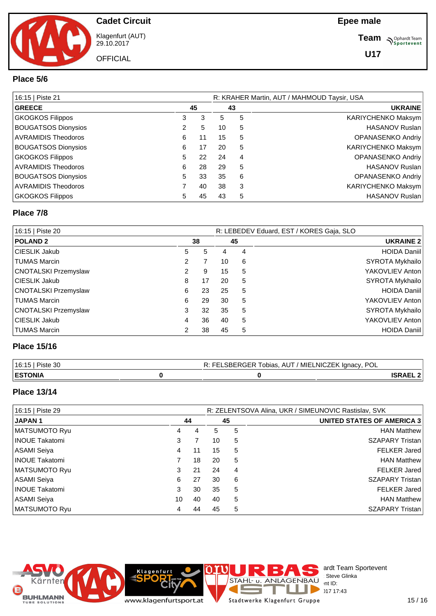

**Cadet Circuit** Klagenfurt (AUT)

29.10.2017 **OFFICIAL**  **Team S**<sup>Ophardt Team</sub></sup>

**U17**

#### **Place 5/6**

| 16:15   Piste 21           |   |    |    | R: KRAHER Martin, AUT / MAHMOUD Taysir, USA |                           |
|----------------------------|---|----|----|---------------------------------------------|---------------------------|
| <b>GREECE</b>              |   | 45 |    | 43                                          | <b>UKRAINE</b>            |
| <b>GKOGKOS Filippos</b>    | 3 | 3  | 5  | 5                                           | <b>KARIYCHENKO Maksym</b> |
| <b>BOUGATSOS Dionysios</b> |   | 5  | 10 | 5                                           | <b>HASANOV Ruslan</b>     |
| <b>AVRAMIDIS Theodoros</b> | 6 | 11 | 15 | 5                                           | <b>OPANASENKO Andriv</b>  |
| <b>BOUGATSOS Dionysios</b> | 6 | 17 | 20 | 5                                           | KARIYCHENKO Maksym        |
| <b>GKOGKOS Filippos</b>    | 5 | 22 | 24 | 4                                           | OPANASENKO Andriy         |
| <b>AVRAMIDIS Theodoros</b> | 6 | 28 | 29 | 5                                           | <b>HASANOV Ruslan</b>     |
| <b>BOUGATSOS Dionysios</b> | 5 | 33 | 35 | 6                                           | <b>OPANASENKO Andriv</b>  |
| <b>AVRAMIDIS Theodoros</b> |   | 40 | 38 | 3                                           | KARIYCHENKO Maksym        |
| <b>GKOGKOS Filippos</b>    | 5 | 45 | 43 | 5                                           | <b>HASANOV Ruslan</b>     |

#### **Place 7/8**

| 16:15   Piste 20            |   |    |    |    | R: LEBEDEV Eduard, EST / KORES Gaja, SLO |
|-----------------------------|---|----|----|----|------------------------------------------|
| <b>POLAND 2</b>             |   | 38 |    | 45 | <b>UKRAINE 2</b>                         |
| CIESLIK Jakub               | 5 | 5  | 4  | 4  | <b>HOIDA Daniil</b>                      |
| TUMAS Marcin                | 2 |    | 10 | 6  | SYROTA Mykhailo                          |
| CNOTALSKI Przemyslaw        | 2 | 9  | 15 | 5  | YAKOVLIEV Anton                          |
| CIESLIK Jakub               | 8 | 17 | 20 | 5  | SYROTA Mykhailo                          |
| <b>CNOTALSKI Przemyslaw</b> | 6 | 23 | 25 | 5  | <b>HOIDA Daniil</b>                      |
| TUMAS Marcin                | 6 | 29 | 30 | 5  | YAKOVLIEV Anton                          |
| CNOTALSKI Przemyslaw        | 3 | 32 | 35 | 5  | SYROTA Mykhailo                          |
| CIESLIK Jakub               | 4 | 36 | 40 | 5  | YAKOVLIEV Anton                          |
| TUMAS Marcin                | 2 | 38 | 45 | 5  | <b>HOIDA Daniil</b>                      |

#### **Place 15/16**

| 16:15 <br>Piste 30 | R: FELSBERGER Tobias, AUT / MIELNICZEK Ignacy, POL |  |
|--------------------|----------------------------------------------------|--|
| <b>ESTONIA</b>     |                                                    |  |

#### **Place 13/14**

| 16:15   Piste 29      |    |    | R: ZELENTSOVA Alina, UKR / SIMEUNOVIC Rastislav, SVK |   |                                   |
|-----------------------|----|----|------------------------------------------------------|---|-----------------------------------|
| <b>JAPAN 1</b>        |    | 44 | 45                                                   |   | <b>UNITED STATES OF AMERICA 3</b> |
| MATSUMOTO Ryu         | 4  | 4  | 5                                                    | 5 | <b>HAN Matthew</b>                |
| <b>INOUE Takatomi</b> | 3  |    | 10                                                   | 5 | <b>SZAPARY Tristan</b>            |
| ASAMI Seiya           | 4  | 11 | 15                                                   | 5 | <b>FELKER Jared</b>               |
| <b>INOUE Takatomi</b> |    | 18 | 20                                                   | 5 | <b>HAN Matthew</b>                |
| MATSUMOTO Ryu         | 3  | 21 | 24                                                   | 4 | <b>FELKER Jared</b>               |
| ASAMI Seiya           | 6  | 27 | 30                                                   | 6 | <b>SZAPARY Tristan</b>            |
| <b>INOUE Takatomi</b> | 3  | 30 | 35                                                   | 5 | <b>FELKER Jared</b>               |
| ASAMI Seiya           | 10 | 40 | 40                                                   | 5 | <b>HAN Matthew</b>                |
| MATSUMOTO Ryu         | 4  | 44 | 45                                                   | 5 | <b>SZAPARY Tristan</b>            |

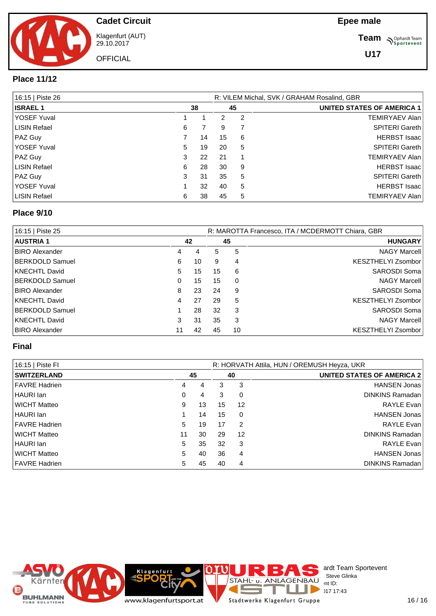

Klagenfurt (AUT) 29.10.2017 **OFFICIAL** 

**Epee male**

**Team** *S<sup>Ophardt Team*<br> *S*<sup>P</sup> Sportevent</sup>

#### **Place 11/12**

| 16:15   Piste 26 |   |    | R: VILEM Michal, SVK / GRAHAM Rosalind, GBR |    |                                   |  |  |  |
|------------------|---|----|---------------------------------------------|----|-----------------------------------|--|--|--|
| <b>ISRAEL 1</b>  |   | 38 |                                             | 45 | <b>UNITED STATES OF AMERICA 1</b> |  |  |  |
| YOSEF Yuval      |   |    | 2                                           | 2  | <b>TEMIRYAEV Alan</b>             |  |  |  |
| LISIN Refael     | 6 |    | 9                                           | 7  | <b>SPITERI Gareth</b>             |  |  |  |
| PAZ Guy          |   | 14 | 15                                          | 6  | <b>HERBST Isaac</b>               |  |  |  |
| YOSEF Yuval      | 5 | 19 | 20                                          | 5  | <b>SPITERI Gareth</b>             |  |  |  |
| PAZ Guy          | 3 | 22 | -21                                         |    | <b>TEMIRYAEV Alan</b>             |  |  |  |
| LISIN Refael     | 6 | 28 | 30                                          | 9  | <b>HERBST Isaac</b>               |  |  |  |
| <b>PAZ Guy</b>   | 3 | 31 | 35                                          | 5  | <b>SPITERI Gareth</b>             |  |  |  |
| YOSEF Yuval      |   | 32 | 40                                          | 5  | <b>HERBST Isaac</b>               |  |  |  |
| LISIN Refael     | 6 | 38 | 45                                          | 5  | <b>TEMIRYAEV Alan</b>             |  |  |  |

#### **Place 9/10**

| 16:15   Piste 25       |    |    |    |          | R: MAROTTA Francesco, ITA / MCDERMOTT Chiara, GBR |
|------------------------|----|----|----|----------|---------------------------------------------------|
| <b>AUSTRIA 1</b>       |    | 42 | 45 |          | <b>HUNGARY</b>                                    |
| <b>BIRO Alexander</b>  | 4  | 4  | 5  | 5        | <b>NAGY Marcell</b>                               |
| <b>BERKDOLD Samuel</b> | 6  | 10 | 9  | 4        | <b>KESZTHELYI Zsombor</b>                         |
| KNECHTL David          | 5  | 15 | 15 | 6        | SAROSDI Soma                                      |
| <b>BERKDOLD Samuel</b> | 0  | 15 | 15 | $\Omega$ | <b>NAGY Marcell</b>                               |
| <b>BIRO Alexander</b>  | 8  | 23 | 24 | 9        | SAROSDI Soma                                      |
| KNECHTL David          | 4  | 27 | 29 | 5        | <b>KESZTHELYI Zsombor</b>                         |
| <b>BERKDOLD Samuel</b> |    | 28 | 32 | 3        | SAROSDI Soma                                      |
| KNECHTL David          | 3  | 31 | 35 | 3        | <b>NAGY Marcell</b>                               |
| <b>BIRO Alexander</b>  | 11 | 42 | 45 | 10       | <b>KESZTHELYI Zsombor</b>                         |

#### **Final**

| 16:15   Piste FI      | R: HORVATH Attila, HUN / OREMUSH Heyza, UKR |    |    |               |                                   |  |  |
|-----------------------|---------------------------------------------|----|----|---------------|-----------------------------------|--|--|
| <b>SWITZERLAND</b>    |                                             | 45 |    | 40            | <b>UNITED STATES OF AMERICA 2</b> |  |  |
| <b>FAVRE Hadrien</b>  | 4                                           | 4  | 3  | 3             | <b>HANSEN Jonas</b>               |  |  |
| HAURI Ian             | 0                                           | 4  | 3  | 0             | <b>DINKINS Ramadan</b>            |  |  |
| WICHT Matteo          | 9                                           | 13 | 15 | 12            | RAYLE Evan                        |  |  |
| HAURI Ian             |                                             | 14 | 15 | $\Omega$      | <b>HANSEN Jonas</b>               |  |  |
| <b>IFAVRE Hadrien</b> | 5                                           | 19 | 17 | $\mathcal{P}$ | RAYLE Evan                        |  |  |
| WICHT Matteo          | 11                                          | 30 | 29 | 12            | <b>DINKINS Ramadan</b>            |  |  |
| HAURI Ian             | 5                                           | 35 | 32 | 3             | RAYLE Evan                        |  |  |
| WICHT Matteo          | 5                                           | 40 | 36 | 4             | <b>HANSEN Jonas</b>               |  |  |
| <b>FAVRE Hadrien</b>  | 5                                           | 45 | 40 | 4             | <b>DINKINS Ramadan</b>            |  |  |

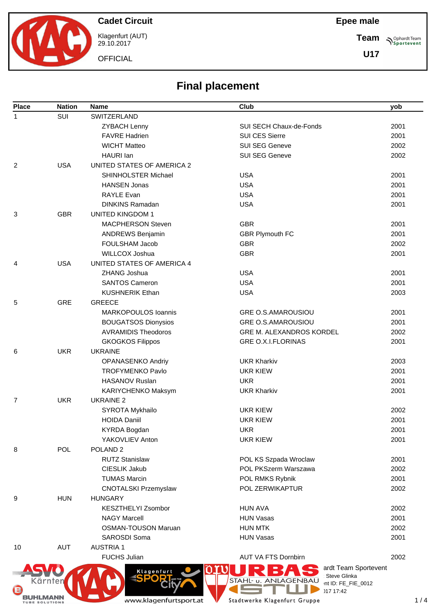

**Cadet Circuit** Klagenfurt (AUT) 29.10.2017

**OFFICIAL** 

**Team Sportevent** 

**U17**

# **Final placement**

| <b>Place</b> | <b>Nation</b>    | <b>Name</b>                 | Club                                       | yob  |
|--------------|------------------|-----------------------------|--------------------------------------------|------|
| 1            | SUI              | SWITZERLAND                 |                                            |      |
|              |                  | <b>ZYBACH Lenny</b>         | SUI SECH Chaux-de-Fonds                    | 2001 |
|              |                  | <b>FAVRE Hadrien</b>        | SUI CES Sierre                             | 2001 |
|              |                  | <b>WICHT Matteo</b>         | <b>SUI SEG Geneve</b>                      | 2002 |
|              |                  | <b>HAURI</b> Ian            | SUI SEG Geneve                             | 2002 |
| 2            | <b>USA</b>       | UNITED STATES OF AMERICA 2  |                                            |      |
|              |                  | SHINHOLSTER Michael         | <b>USA</b>                                 | 2001 |
|              |                  | <b>HANSEN Jonas</b>         | <b>USA</b>                                 | 2001 |
|              |                  | RAYLE Evan                  | <b>USA</b>                                 | 2001 |
|              |                  | <b>DINKINS Ramadan</b>      | <b>USA</b>                                 | 2001 |
| 3            | <b>GBR</b>       | <b>UNITED KINGDOM 1</b>     |                                            |      |
|              |                  | <b>MACPHERSON Steven</b>    | <b>GBR</b>                                 | 2001 |
|              |                  | <b>ANDREWS Benjamin</b>     | <b>GBR Plymouth FC</b>                     | 2001 |
|              |                  | <b>FOULSHAM Jacob</b>       | <b>GBR</b>                                 | 2002 |
|              |                  | WILLCOX Joshua              | <b>GBR</b>                                 | 2001 |
| 4            | <b>USA</b>       | UNITED STATES OF AMERICA 4  |                                            |      |
|              |                  | ZHANG Joshua                | <b>USA</b>                                 | 2001 |
|              |                  | <b>SANTOS Cameron</b>       | <b>USA</b>                                 | 2001 |
|              |                  | <b>KUSHNERIK Ethan</b>      | <b>USA</b>                                 | 2003 |
| 5            | <b>GRE</b>       | <b>GREECE</b>               |                                            |      |
|              |                  | MARKOPOULOS Ioannis         | <b>GRE O.S.AMAROUSIOU</b>                  | 2001 |
|              |                  | <b>BOUGATSOS Dionysios</b>  | <b>GRE O.S.AMAROUSIOU</b>                  | 2001 |
|              |                  | <b>AVRAMIDIS Theodoros</b>  | <b>GRE M. ALEXANDROS KORDEL</b>            | 2002 |
|              |                  | <b>GKOGKOS Filippos</b>     | <b>GRE O.X.I.FLORINAS</b>                  | 2001 |
| 6            | <b>UKR</b>       | <b>UKRAINE</b>              |                                            |      |
|              |                  | <b>OPANASENKO Andriy</b>    | <b>UKR Kharkiv</b>                         | 2003 |
|              |                  | <b>TROFYMENKO Pavlo</b>     | <b>UKR KIEW</b>                            | 2001 |
|              |                  | <b>HASANOV Ruslan</b>       | <b>UKR</b>                                 | 2001 |
|              |                  | KARIYCHENKO Maksym          | <b>UKR Kharkiv</b>                         | 2001 |
| 7            | <b>UKR</b>       | <b>UKRAINE 2</b>            |                                            |      |
|              |                  | SYROTA Mykhailo             | <b>UKR KIEW</b>                            | 2002 |
|              |                  | <b>HOIDA Daniil</b>         | <b>UKR KIEW</b>                            | 2001 |
|              |                  | <b>KYRDA Bogdan</b>         | <b>UKR</b>                                 | 2001 |
|              |                  | YAKOVLIEV Anton             | <b>UKR KIEW</b>                            | 2001 |
| 8            | POL              | POLAND <sub>2</sub>         |                                            |      |
|              |                  | <b>RUTZ Stanislaw</b>       | POL KS Szpada Wroclaw                      | 2001 |
|              |                  | CIESLIK Jakub               | POL PKSzerm Warszawa                       | 2002 |
|              |                  | <b>TUMAS Marcin</b>         | POL RMKS Rybnik                            | 2001 |
|              |                  | <b>CNOTALSKI Przemyslaw</b> | POL ZERWIKAPTUR                            | 2002 |
| 9            | <b>HUN</b>       | <b>HUNGARY</b>              |                                            |      |
|              |                  | KESZTHELYI Zsombor          | <b>HUN AVA</b>                             | 2002 |
|              |                  | <b>NAGY Marcell</b>         | <b>HUN Vasas</b>                           | 2001 |
|              |                  | <b>OSMAN-TOUSON Maruan</b>  | <b>HUN MTK</b>                             | 2002 |
|              |                  | SAROSDI Soma                | <b>HUN Vasas</b>                           | 2001 |
| 10           | <b>AUT</b>       | <b>AUSTRIA1</b>             |                                            |      |
|              |                  | <b>FUCHS Julian</b>         | AUT VA FTS Dornbirn                        | 2002 |
|              |                  |                             | ardt Team Sportevent                       |      |
|              |                  | u<br>Klagenfurt<br>AND THE  | Steve Glinka                               |      |
|              | Kärnten          |                             | STAHL- u. ANLAGENBAL<br>nt ID: FE_FIE_0012 |      |
| (E)          |                  |                             | )17 17:42                                  |      |
|              | <b>SOLUTIONS</b> | www.klagenfurtsport.at      | Stadtwerke Klagenfurt Gruppe               | 1/   |

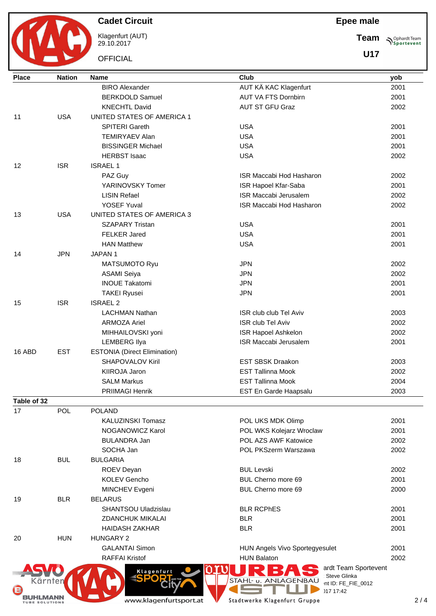

Klagenfurt (AUT) 29.10.2017

**OFFICIAL** 

**Epee male**

**Team Sportevent** 

**U17**

| <b>Place</b>      | <b>Nation</b> | <b>Name</b>                                    | Club                                             | yob          |
|-------------------|---------------|------------------------------------------------|--------------------------------------------------|--------------|
|                   |               | <b>BIRO</b> Alexander                          | AUT KÄ KAC Klagenfurt                            | 2001         |
|                   |               | <b>BERKDOLD Samuel</b>                         | <b>AUT VA FTS Dornbirn</b>                       | 2001         |
|                   |               | <b>KNECHTL David</b>                           | <b>AUT ST GFU Graz</b>                           | 2002         |
| 11                | <b>USA</b>    | UNITED STATES OF AMERICA 1                     |                                                  |              |
|                   |               | <b>SPITERI Gareth</b>                          | <b>USA</b>                                       | 2001         |
|                   |               | <b>TEMIRYAEV Alan</b>                          | <b>USA</b>                                       | 2001         |
|                   |               | <b>BISSINGER Michael</b>                       | <b>USA</b>                                       | 2001         |
|                   |               | <b>HERBST Isaac</b>                            | <b>USA</b>                                       | 2002         |
| 12                | <b>ISR</b>    | <b>ISRAEL 1</b>                                |                                                  |              |
|                   |               | PAZ Guy                                        | <b>ISR Maccabi Hod Hasharon</b>                  | 2002         |
|                   |               | YARINOVSKY Tomer                               | ISR Hapoel Kfar-Saba                             | 2001         |
|                   |               | <b>LISIN Refael</b>                            | <b>ISR Maccabi Jerusalem</b>                     | 2002         |
|                   |               | <b>YOSEF Yuval</b>                             | ISR Maccabi Hod Hasharon                         | 2002         |
| 13                | <b>USA</b>    | UNITED STATES OF AMERICA 3                     |                                                  |              |
|                   |               | <b>SZAPARY Tristan</b>                         | <b>USA</b>                                       |              |
|                   |               | <b>FELKER Jared</b>                            | <b>USA</b>                                       | 2001<br>2001 |
|                   |               | <b>HAN Matthew</b>                             | <b>USA</b>                                       |              |
|                   |               |                                                |                                                  | 2001         |
| 14                | <b>JPN</b>    | JAPAN 1                                        |                                                  |              |
|                   |               | MATSUMOTO Ryu                                  | <b>JPN</b>                                       | 2002<br>2002 |
|                   |               | <b>ASAMI Seiya</b>                             | <b>JPN</b>                                       |              |
|                   |               | <b>INOUE Takatomi</b>                          | <b>JPN</b>                                       | 2001         |
|                   |               | <b>TAKEI Ryusei</b>                            | <b>JPN</b>                                       | 2001         |
| 15                | <b>ISR</b>    | <b>ISRAEL 2</b>                                |                                                  |              |
|                   |               | <b>LACHMAN Nathan</b>                          | <b>ISR club club Tel Aviv</b>                    | 2003         |
|                   |               | <b>ARMOZA Ariel</b>                            | <b>ISR club Tel Aviv</b>                         | 2002         |
|                   |               | MIHHAILOVSKI yoni                              | <b>ISR Hapoel Ashkelon</b>                       | 2002         |
|                   |               | <b>LEMBERG Ilya</b>                            | ISR Maccabi Jerusalem                            | 2001         |
| 16 ABD            | <b>EST</b>    | <b>ESTONIA (Direct Elimination)</b>            |                                                  |              |
|                   |               | SHAPOVALOV Kiril                               | <b>EST SBSK Draakon</b>                          | 2003         |
|                   |               | KIIROJA Jaron                                  | <b>EST Tallinna Mook</b>                         | 2002         |
|                   |               | <b>SALM Markus</b>                             | <b>EST Tallinna Mook</b>                         | 2004         |
|                   |               | <b>PRIIMAGI Henrik</b>                         | EST En Garde Haapsalu                            | 2003         |
| Table of 32<br>17 | <b>POL</b>    | <b>POLAND</b>                                  |                                                  |              |
|                   |               |                                                |                                                  |              |
|                   |               | <b>KALUZINSKI Tomasz</b>                       | POL UKS MDK Olimp                                | 2001         |
|                   |               | <b>NOGANOWICZ Karol</b><br><b>BULANDRA Jan</b> | POL WKS Kolejarz Wroclaw<br>POL AZS AWF Katowice | 2001<br>2002 |
|                   |               | SOCHA Jan                                      | POL PKSzerm Warszawa                             | 2002         |
|                   |               |                                                |                                                  |              |
| 18                | <b>BUL</b>    | <b>BULGARIA</b>                                |                                                  |              |
|                   |               | ROEV Deyan                                     | <b>BUL Levski</b>                                | 2002         |
|                   |               | <b>KOLEV Gencho</b>                            | BUL Cherno more 69                               | 2001         |
|                   |               | MINCHEV Evgeni                                 | BUL Cherno more 69                               | 2000         |
| 19                | <b>BLR</b>    | <b>BELARUS</b>                                 |                                                  |              |
|                   |               | SHANTSOU Uladzislau                            | <b>BLR RCPhES</b>                                | 2001         |
|                   |               | <b>ZDANCHUK MIKALAI</b>                        | <b>BLR</b>                                       | 2001         |
|                   |               | <b>HAIDASH ZAKHAR</b>                          | <b>BLR</b>                                       | 2001         |
| 20                | <b>HUN</b>    | <b>HUNGARY 2</b>                               |                                                  |              |
|                   |               | <b>GALANTAI Simon</b>                          | HUN Angels Vivo Sportegyesulet                   | 2001         |
|                   |               | <b>RAFFAI Kristof</b>                          | <b>HUN Balaton</b>                               | 2002         |
|                   |               | Klagenfurt                                     | ardt Team Sportevent<br>Steve Glinka             |              |
| Kärnten           |               |                                                | STAHL- u. ANLAGENBAU<br>int ID: FE_FIE_0012      |              |
| (3                |               |                                                | )17 17:42                                        |              |

www.klagenfurtsport.at

BUHLMANN

Stadtwerke Klagenfurt Gruppe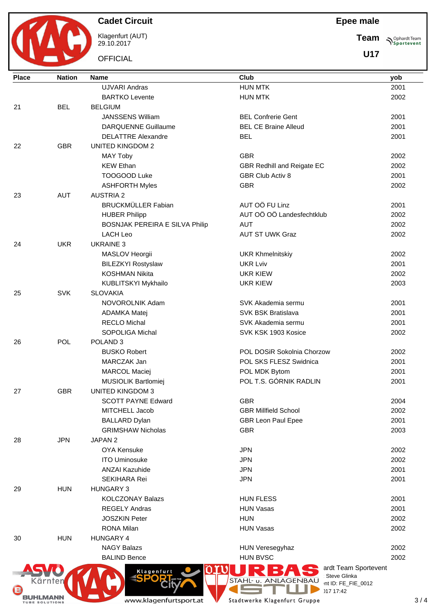**Team Sportevent** 

**U17**



**Cadet Circuit**

Klagenfurt (AUT) 29.10.2017

OFFICIAL

| <b>HUN MTK</b><br>2001<br><b>UJVARI Andras</b><br><b>BARTKO Levente</b><br><b>HUN MTK</b><br>2002<br><b>BEL</b><br><b>BELGIUM</b><br><b>JANSSENS William</b><br><b>BEL Confrerie Gent</b><br>2001<br><b>DARQUENNE Guillaume</b><br><b>BEL CE Braine Alleud</b><br>2001<br><b>DELATTRE Alexandre</b><br><b>BEL</b><br>2001<br><b>GBR</b><br><b>UNITED KINGDOM 2</b><br>22<br><b>MAY Toby</b><br><b>GBR</b><br>2002<br>2002<br><b>KEW Ethan</b><br>GBR Redhill and Reigate EC<br>TOOGOOD Luke<br>2001<br><b>GBR Club Activ 8</b><br><b>ASHFORTH Myles</b><br><b>GBR</b><br>2002<br>23<br><b>AUT</b><br><b>AUSTRIA 2</b><br><b>BRUCKMÜLLER Fabian</b><br>AUT OÖ FU Linz<br>2001<br>AUT OÖ OÖ Landesfechtklub<br>2002<br><b>HUBER Philipp</b><br>BOSNJAK PEREIRA E SILVA Philip<br><b>AUT</b><br>2002<br><b>AUT ST UWK Graz</b><br><b>LACH Leo</b><br>2002<br><b>UKR</b><br><b>UKRAINE 3</b><br>24<br>2002<br>MASLOV Heorgii<br><b>UKR Khmelnitskiy</b><br><b>UKR Lviv</b><br>2001<br><b>BILEZKYI Rostyslaw</b><br><b>KOSHMAN Nikita</b><br><b>UKR KIEW</b><br>2002<br>KUBLITSKYI Mykhailo<br><b>UKR KIEW</b><br>2003<br><b>SVK</b><br>25<br><b>SLOVAKIA</b><br>NOVOROLNIK Adam<br>SVK Akademia sermu<br>2001<br>SVK BSK Bratislava<br>2001<br>ADAMKA Matej<br><b>RECLO Michal</b><br>SVK Akademia sermu<br>2001<br><b>SOPOLIGA Michal</b><br>SVK KSK 1903 Kosice<br>2002<br>POL<br>POLAND <sub>3</sub><br>26<br><b>BUSKO Robert</b><br>POL DOSiR Sokolnia Chorzow<br>2002<br>MARCZAK Jan<br>POL SKS FLESZ Swidnica<br>2001<br><b>MARCOL Maciej</b><br>POL MDK Bytom<br>2001<br>POL T.S. GÓRNIK RADLIN<br>2001<br><b>MUSIOLIK Bartlomiej</b><br><b>UNITED KINGDOM 3</b><br>27<br><b>GBR</b><br><b>GBR</b><br><b>SCOTT PAYNE Edward</b><br>2004<br>MITCHELL Jacob<br><b>GBR Millfield School</b><br>2002<br>2001<br><b>BALLARD Dylan</b><br><b>GBR Leon Paul Epee</b><br><b>GRIMSHAW Nicholas</b><br><b>GBR</b><br>2003<br>28<br><b>JPN</b><br>JAPAN <sub>2</sub><br>OYA Kensuke<br><b>JPN</b><br>2002<br><b>ITO Uminosuke</b><br>2002<br><b>JPN</b><br>2001<br><b>ANZAI Kazuhide</b><br><b>JPN</b><br><b>SEKIHARA Rei</b><br><b>JPN</b><br>2001<br><b>HUN</b><br><b>HUNGARY 3</b><br>29<br><b>KOLCZONAY Balazs</b><br><b>HUN FLESS</b><br>2001<br><b>HUN Vasas</b><br>2001<br><b>REGELY Andras</b><br><b>JOSZKIN Peter</b><br><b>HUN</b><br>2002<br><b>RONA Milan</b><br><b>HUN Vasas</b><br>2002<br><b>HUN</b><br><b>HUNGARY 4</b><br>30<br><b>NAGY Balazs</b><br><b>HUN Veresegyhaz</b><br>2002<br><b>HUN BVSC</b><br>2002<br><b>BALIND Bence</b><br>ardt Team Sportevent<br>Klagenfurt<br>SPOPL<br>Steve Glinka<br>Kärnten<br>STAHL- u. ANLAGENBAU<br>int ID: FE_FIE_0012 | <b>Place</b> | <b>Nation</b> | <b>Name</b> | Club | yob |
|--------------------------------------------------------------------------------------------------------------------------------------------------------------------------------------------------------------------------------------------------------------------------------------------------------------------------------------------------------------------------------------------------------------------------------------------------------------------------------------------------------------------------------------------------------------------------------------------------------------------------------------------------------------------------------------------------------------------------------------------------------------------------------------------------------------------------------------------------------------------------------------------------------------------------------------------------------------------------------------------------------------------------------------------------------------------------------------------------------------------------------------------------------------------------------------------------------------------------------------------------------------------------------------------------------------------------------------------------------------------------------------------------------------------------------------------------------------------------------------------------------------------------------------------------------------------------------------------------------------------------------------------------------------------------------------------------------------------------------------------------------------------------------------------------------------------------------------------------------------------------------------------------------------------------------------------------------------------------------------------------------------------------------------------------------------------------------------------------------------------------------------------------------------------------------------------------------------------------------------------------------------------------------------------------------------------------------------------------------------------------------------------------------------------------------------------------------------------------------------------------------------------------------------------------------------------------------------------------------------------------------------------------------------------------|--------------|---------------|-------------|------|-----|
|                                                                                                                                                                                                                                                                                                                                                                                                                                                                                                                                                                                                                                                                                                                                                                                                                                                                                                                                                                                                                                                                                                                                                                                                                                                                                                                                                                                                                                                                                                                                                                                                                                                                                                                                                                                                                                                                                                                                                                                                                                                                                                                                                                                                                                                                                                                                                                                                                                                                                                                                                                                                                                                                          |              |               |             |      |     |
|                                                                                                                                                                                                                                                                                                                                                                                                                                                                                                                                                                                                                                                                                                                                                                                                                                                                                                                                                                                                                                                                                                                                                                                                                                                                                                                                                                                                                                                                                                                                                                                                                                                                                                                                                                                                                                                                                                                                                                                                                                                                                                                                                                                                                                                                                                                                                                                                                                                                                                                                                                                                                                                                          |              |               |             |      |     |
|                                                                                                                                                                                                                                                                                                                                                                                                                                                                                                                                                                                                                                                                                                                                                                                                                                                                                                                                                                                                                                                                                                                                                                                                                                                                                                                                                                                                                                                                                                                                                                                                                                                                                                                                                                                                                                                                                                                                                                                                                                                                                                                                                                                                                                                                                                                                                                                                                                                                                                                                                                                                                                                                          | 21           |               |             |      |     |
|                                                                                                                                                                                                                                                                                                                                                                                                                                                                                                                                                                                                                                                                                                                                                                                                                                                                                                                                                                                                                                                                                                                                                                                                                                                                                                                                                                                                                                                                                                                                                                                                                                                                                                                                                                                                                                                                                                                                                                                                                                                                                                                                                                                                                                                                                                                                                                                                                                                                                                                                                                                                                                                                          |              |               |             |      |     |
|                                                                                                                                                                                                                                                                                                                                                                                                                                                                                                                                                                                                                                                                                                                                                                                                                                                                                                                                                                                                                                                                                                                                                                                                                                                                                                                                                                                                                                                                                                                                                                                                                                                                                                                                                                                                                                                                                                                                                                                                                                                                                                                                                                                                                                                                                                                                                                                                                                                                                                                                                                                                                                                                          |              |               |             |      |     |
|                                                                                                                                                                                                                                                                                                                                                                                                                                                                                                                                                                                                                                                                                                                                                                                                                                                                                                                                                                                                                                                                                                                                                                                                                                                                                                                                                                                                                                                                                                                                                                                                                                                                                                                                                                                                                                                                                                                                                                                                                                                                                                                                                                                                                                                                                                                                                                                                                                                                                                                                                                                                                                                                          |              |               |             |      |     |
|                                                                                                                                                                                                                                                                                                                                                                                                                                                                                                                                                                                                                                                                                                                                                                                                                                                                                                                                                                                                                                                                                                                                                                                                                                                                                                                                                                                                                                                                                                                                                                                                                                                                                                                                                                                                                                                                                                                                                                                                                                                                                                                                                                                                                                                                                                                                                                                                                                                                                                                                                                                                                                                                          |              |               |             |      |     |
|                                                                                                                                                                                                                                                                                                                                                                                                                                                                                                                                                                                                                                                                                                                                                                                                                                                                                                                                                                                                                                                                                                                                                                                                                                                                                                                                                                                                                                                                                                                                                                                                                                                                                                                                                                                                                                                                                                                                                                                                                                                                                                                                                                                                                                                                                                                                                                                                                                                                                                                                                                                                                                                                          |              |               |             |      |     |
|                                                                                                                                                                                                                                                                                                                                                                                                                                                                                                                                                                                                                                                                                                                                                                                                                                                                                                                                                                                                                                                                                                                                                                                                                                                                                                                                                                                                                                                                                                                                                                                                                                                                                                                                                                                                                                                                                                                                                                                                                                                                                                                                                                                                                                                                                                                                                                                                                                                                                                                                                                                                                                                                          |              |               |             |      |     |
|                                                                                                                                                                                                                                                                                                                                                                                                                                                                                                                                                                                                                                                                                                                                                                                                                                                                                                                                                                                                                                                                                                                                                                                                                                                                                                                                                                                                                                                                                                                                                                                                                                                                                                                                                                                                                                                                                                                                                                                                                                                                                                                                                                                                                                                                                                                                                                                                                                                                                                                                                                                                                                                                          |              |               |             |      |     |
|                                                                                                                                                                                                                                                                                                                                                                                                                                                                                                                                                                                                                                                                                                                                                                                                                                                                                                                                                                                                                                                                                                                                                                                                                                                                                                                                                                                                                                                                                                                                                                                                                                                                                                                                                                                                                                                                                                                                                                                                                                                                                                                                                                                                                                                                                                                                                                                                                                                                                                                                                                                                                                                                          |              |               |             |      |     |
|                                                                                                                                                                                                                                                                                                                                                                                                                                                                                                                                                                                                                                                                                                                                                                                                                                                                                                                                                                                                                                                                                                                                                                                                                                                                                                                                                                                                                                                                                                                                                                                                                                                                                                                                                                                                                                                                                                                                                                                                                                                                                                                                                                                                                                                                                                                                                                                                                                                                                                                                                                                                                                                                          |              |               |             |      |     |
|                                                                                                                                                                                                                                                                                                                                                                                                                                                                                                                                                                                                                                                                                                                                                                                                                                                                                                                                                                                                                                                                                                                                                                                                                                                                                                                                                                                                                                                                                                                                                                                                                                                                                                                                                                                                                                                                                                                                                                                                                                                                                                                                                                                                                                                                                                                                                                                                                                                                                                                                                                                                                                                                          |              |               |             |      |     |
|                                                                                                                                                                                                                                                                                                                                                                                                                                                                                                                                                                                                                                                                                                                                                                                                                                                                                                                                                                                                                                                                                                                                                                                                                                                                                                                                                                                                                                                                                                                                                                                                                                                                                                                                                                                                                                                                                                                                                                                                                                                                                                                                                                                                                                                                                                                                                                                                                                                                                                                                                                                                                                                                          |              |               |             |      |     |
|                                                                                                                                                                                                                                                                                                                                                                                                                                                                                                                                                                                                                                                                                                                                                                                                                                                                                                                                                                                                                                                                                                                                                                                                                                                                                                                                                                                                                                                                                                                                                                                                                                                                                                                                                                                                                                                                                                                                                                                                                                                                                                                                                                                                                                                                                                                                                                                                                                                                                                                                                                                                                                                                          |              |               |             |      |     |
|                                                                                                                                                                                                                                                                                                                                                                                                                                                                                                                                                                                                                                                                                                                                                                                                                                                                                                                                                                                                                                                                                                                                                                                                                                                                                                                                                                                                                                                                                                                                                                                                                                                                                                                                                                                                                                                                                                                                                                                                                                                                                                                                                                                                                                                                                                                                                                                                                                                                                                                                                                                                                                                                          |              |               |             |      |     |
|                                                                                                                                                                                                                                                                                                                                                                                                                                                                                                                                                                                                                                                                                                                                                                                                                                                                                                                                                                                                                                                                                                                                                                                                                                                                                                                                                                                                                                                                                                                                                                                                                                                                                                                                                                                                                                                                                                                                                                                                                                                                                                                                                                                                                                                                                                                                                                                                                                                                                                                                                                                                                                                                          |              |               |             |      |     |
|                                                                                                                                                                                                                                                                                                                                                                                                                                                                                                                                                                                                                                                                                                                                                                                                                                                                                                                                                                                                                                                                                                                                                                                                                                                                                                                                                                                                                                                                                                                                                                                                                                                                                                                                                                                                                                                                                                                                                                                                                                                                                                                                                                                                                                                                                                                                                                                                                                                                                                                                                                                                                                                                          |              |               |             |      |     |
|                                                                                                                                                                                                                                                                                                                                                                                                                                                                                                                                                                                                                                                                                                                                                                                                                                                                                                                                                                                                                                                                                                                                                                                                                                                                                                                                                                                                                                                                                                                                                                                                                                                                                                                                                                                                                                                                                                                                                                                                                                                                                                                                                                                                                                                                                                                                                                                                                                                                                                                                                                                                                                                                          |              |               |             |      |     |
|                                                                                                                                                                                                                                                                                                                                                                                                                                                                                                                                                                                                                                                                                                                                                                                                                                                                                                                                                                                                                                                                                                                                                                                                                                                                                                                                                                                                                                                                                                                                                                                                                                                                                                                                                                                                                                                                                                                                                                                                                                                                                                                                                                                                                                                                                                                                                                                                                                                                                                                                                                                                                                                                          |              |               |             |      |     |
|                                                                                                                                                                                                                                                                                                                                                                                                                                                                                                                                                                                                                                                                                                                                                                                                                                                                                                                                                                                                                                                                                                                                                                                                                                                                                                                                                                                                                                                                                                                                                                                                                                                                                                                                                                                                                                                                                                                                                                                                                                                                                                                                                                                                                                                                                                                                                                                                                                                                                                                                                                                                                                                                          |              |               |             |      |     |
|                                                                                                                                                                                                                                                                                                                                                                                                                                                                                                                                                                                                                                                                                                                                                                                                                                                                                                                                                                                                                                                                                                                                                                                                                                                                                                                                                                                                                                                                                                                                                                                                                                                                                                                                                                                                                                                                                                                                                                                                                                                                                                                                                                                                                                                                                                                                                                                                                                                                                                                                                                                                                                                                          |              |               |             |      |     |
|                                                                                                                                                                                                                                                                                                                                                                                                                                                                                                                                                                                                                                                                                                                                                                                                                                                                                                                                                                                                                                                                                                                                                                                                                                                                                                                                                                                                                                                                                                                                                                                                                                                                                                                                                                                                                                                                                                                                                                                                                                                                                                                                                                                                                                                                                                                                                                                                                                                                                                                                                                                                                                                                          |              |               |             |      |     |
|                                                                                                                                                                                                                                                                                                                                                                                                                                                                                                                                                                                                                                                                                                                                                                                                                                                                                                                                                                                                                                                                                                                                                                                                                                                                                                                                                                                                                                                                                                                                                                                                                                                                                                                                                                                                                                                                                                                                                                                                                                                                                                                                                                                                                                                                                                                                                                                                                                                                                                                                                                                                                                                                          |              |               |             |      |     |
|                                                                                                                                                                                                                                                                                                                                                                                                                                                                                                                                                                                                                                                                                                                                                                                                                                                                                                                                                                                                                                                                                                                                                                                                                                                                                                                                                                                                                                                                                                                                                                                                                                                                                                                                                                                                                                                                                                                                                                                                                                                                                                                                                                                                                                                                                                                                                                                                                                                                                                                                                                                                                                                                          |              |               |             |      |     |
|                                                                                                                                                                                                                                                                                                                                                                                                                                                                                                                                                                                                                                                                                                                                                                                                                                                                                                                                                                                                                                                                                                                                                                                                                                                                                                                                                                                                                                                                                                                                                                                                                                                                                                                                                                                                                                                                                                                                                                                                                                                                                                                                                                                                                                                                                                                                                                                                                                                                                                                                                                                                                                                                          |              |               |             |      |     |
|                                                                                                                                                                                                                                                                                                                                                                                                                                                                                                                                                                                                                                                                                                                                                                                                                                                                                                                                                                                                                                                                                                                                                                                                                                                                                                                                                                                                                                                                                                                                                                                                                                                                                                                                                                                                                                                                                                                                                                                                                                                                                                                                                                                                                                                                                                                                                                                                                                                                                                                                                                                                                                                                          |              |               |             |      |     |
|                                                                                                                                                                                                                                                                                                                                                                                                                                                                                                                                                                                                                                                                                                                                                                                                                                                                                                                                                                                                                                                                                                                                                                                                                                                                                                                                                                                                                                                                                                                                                                                                                                                                                                                                                                                                                                                                                                                                                                                                                                                                                                                                                                                                                                                                                                                                                                                                                                                                                                                                                                                                                                                                          |              |               |             |      |     |
|                                                                                                                                                                                                                                                                                                                                                                                                                                                                                                                                                                                                                                                                                                                                                                                                                                                                                                                                                                                                                                                                                                                                                                                                                                                                                                                                                                                                                                                                                                                                                                                                                                                                                                                                                                                                                                                                                                                                                                                                                                                                                                                                                                                                                                                                                                                                                                                                                                                                                                                                                                                                                                                                          |              |               |             |      |     |
|                                                                                                                                                                                                                                                                                                                                                                                                                                                                                                                                                                                                                                                                                                                                                                                                                                                                                                                                                                                                                                                                                                                                                                                                                                                                                                                                                                                                                                                                                                                                                                                                                                                                                                                                                                                                                                                                                                                                                                                                                                                                                                                                                                                                                                                                                                                                                                                                                                                                                                                                                                                                                                                                          |              |               |             |      |     |
|                                                                                                                                                                                                                                                                                                                                                                                                                                                                                                                                                                                                                                                                                                                                                                                                                                                                                                                                                                                                                                                                                                                                                                                                                                                                                                                                                                                                                                                                                                                                                                                                                                                                                                                                                                                                                                                                                                                                                                                                                                                                                                                                                                                                                                                                                                                                                                                                                                                                                                                                                                                                                                                                          |              |               |             |      |     |
|                                                                                                                                                                                                                                                                                                                                                                                                                                                                                                                                                                                                                                                                                                                                                                                                                                                                                                                                                                                                                                                                                                                                                                                                                                                                                                                                                                                                                                                                                                                                                                                                                                                                                                                                                                                                                                                                                                                                                                                                                                                                                                                                                                                                                                                                                                                                                                                                                                                                                                                                                                                                                                                                          |              |               |             |      |     |
|                                                                                                                                                                                                                                                                                                                                                                                                                                                                                                                                                                                                                                                                                                                                                                                                                                                                                                                                                                                                                                                                                                                                                                                                                                                                                                                                                                                                                                                                                                                                                                                                                                                                                                                                                                                                                                                                                                                                                                                                                                                                                                                                                                                                                                                                                                                                                                                                                                                                                                                                                                                                                                                                          |              |               |             |      |     |
|                                                                                                                                                                                                                                                                                                                                                                                                                                                                                                                                                                                                                                                                                                                                                                                                                                                                                                                                                                                                                                                                                                                                                                                                                                                                                                                                                                                                                                                                                                                                                                                                                                                                                                                                                                                                                                                                                                                                                                                                                                                                                                                                                                                                                                                                                                                                                                                                                                                                                                                                                                                                                                                                          |              |               |             |      |     |
|                                                                                                                                                                                                                                                                                                                                                                                                                                                                                                                                                                                                                                                                                                                                                                                                                                                                                                                                                                                                                                                                                                                                                                                                                                                                                                                                                                                                                                                                                                                                                                                                                                                                                                                                                                                                                                                                                                                                                                                                                                                                                                                                                                                                                                                                                                                                                                                                                                                                                                                                                                                                                                                                          |              |               |             |      |     |
|                                                                                                                                                                                                                                                                                                                                                                                                                                                                                                                                                                                                                                                                                                                                                                                                                                                                                                                                                                                                                                                                                                                                                                                                                                                                                                                                                                                                                                                                                                                                                                                                                                                                                                                                                                                                                                                                                                                                                                                                                                                                                                                                                                                                                                                                                                                                                                                                                                                                                                                                                                                                                                                                          |              |               |             |      |     |
|                                                                                                                                                                                                                                                                                                                                                                                                                                                                                                                                                                                                                                                                                                                                                                                                                                                                                                                                                                                                                                                                                                                                                                                                                                                                                                                                                                                                                                                                                                                                                                                                                                                                                                                                                                                                                                                                                                                                                                                                                                                                                                                                                                                                                                                                                                                                                                                                                                                                                                                                                                                                                                                                          |              |               |             |      |     |
|                                                                                                                                                                                                                                                                                                                                                                                                                                                                                                                                                                                                                                                                                                                                                                                                                                                                                                                                                                                                                                                                                                                                                                                                                                                                                                                                                                                                                                                                                                                                                                                                                                                                                                                                                                                                                                                                                                                                                                                                                                                                                                                                                                                                                                                                                                                                                                                                                                                                                                                                                                                                                                                                          |              |               |             |      |     |
|                                                                                                                                                                                                                                                                                                                                                                                                                                                                                                                                                                                                                                                                                                                                                                                                                                                                                                                                                                                                                                                                                                                                                                                                                                                                                                                                                                                                                                                                                                                                                                                                                                                                                                                                                                                                                                                                                                                                                                                                                                                                                                                                                                                                                                                                                                                                                                                                                                                                                                                                                                                                                                                                          |              |               |             |      |     |
|                                                                                                                                                                                                                                                                                                                                                                                                                                                                                                                                                                                                                                                                                                                                                                                                                                                                                                                                                                                                                                                                                                                                                                                                                                                                                                                                                                                                                                                                                                                                                                                                                                                                                                                                                                                                                                                                                                                                                                                                                                                                                                                                                                                                                                                                                                                                                                                                                                                                                                                                                                                                                                                                          |              |               |             |      |     |
|                                                                                                                                                                                                                                                                                                                                                                                                                                                                                                                                                                                                                                                                                                                                                                                                                                                                                                                                                                                                                                                                                                                                                                                                                                                                                                                                                                                                                                                                                                                                                                                                                                                                                                                                                                                                                                                                                                                                                                                                                                                                                                                                                                                                                                                                                                                                                                                                                                                                                                                                                                                                                                                                          |              |               |             |      |     |
|                                                                                                                                                                                                                                                                                                                                                                                                                                                                                                                                                                                                                                                                                                                                                                                                                                                                                                                                                                                                                                                                                                                                                                                                                                                                                                                                                                                                                                                                                                                                                                                                                                                                                                                                                                                                                                                                                                                                                                                                                                                                                                                                                                                                                                                                                                                                                                                                                                                                                                                                                                                                                                                                          |              |               |             |      |     |
|                                                                                                                                                                                                                                                                                                                                                                                                                                                                                                                                                                                                                                                                                                                                                                                                                                                                                                                                                                                                                                                                                                                                                                                                                                                                                                                                                                                                                                                                                                                                                                                                                                                                                                                                                                                                                                                                                                                                                                                                                                                                                                                                                                                                                                                                                                                                                                                                                                                                                                                                                                                                                                                                          |              |               |             |      |     |
|                                                                                                                                                                                                                                                                                                                                                                                                                                                                                                                                                                                                                                                                                                                                                                                                                                                                                                                                                                                                                                                                                                                                                                                                                                                                                                                                                                                                                                                                                                                                                                                                                                                                                                                                                                                                                                                                                                                                                                                                                                                                                                                                                                                                                                                                                                                                                                                                                                                                                                                                                                                                                                                                          |              |               |             |      |     |
|                                                                                                                                                                                                                                                                                                                                                                                                                                                                                                                                                                                                                                                                                                                                                                                                                                                                                                                                                                                                                                                                                                                                                                                                                                                                                                                                                                                                                                                                                                                                                                                                                                                                                                                                                                                                                                                                                                                                                                                                                                                                                                                                                                                                                                                                                                                                                                                                                                                                                                                                                                                                                                                                          |              |               |             |      |     |
|                                                                                                                                                                                                                                                                                                                                                                                                                                                                                                                                                                                                                                                                                                                                                                                                                                                                                                                                                                                                                                                                                                                                                                                                                                                                                                                                                                                                                                                                                                                                                                                                                                                                                                                                                                                                                                                                                                                                                                                                                                                                                                                                                                                                                                                                                                                                                                                                                                                                                                                                                                                                                                                                          |              |               |             |      |     |
|                                                                                                                                                                                                                                                                                                                                                                                                                                                                                                                                                                                                                                                                                                                                                                                                                                                                                                                                                                                                                                                                                                                                                                                                                                                                                                                                                                                                                                                                                                                                                                                                                                                                                                                                                                                                                                                                                                                                                                                                                                                                                                                                                                                                                                                                                                                                                                                                                                                                                                                                                                                                                                                                          |              |               |             |      |     |
|                                                                                                                                                                                                                                                                                                                                                                                                                                                                                                                                                                                                                                                                                                                                                                                                                                                                                                                                                                                                                                                                                                                                                                                                                                                                                                                                                                                                                                                                                                                                                                                                                                                                                                                                                                                                                                                                                                                                                                                                                                                                                                                                                                                                                                                                                                                                                                                                                                                                                                                                                                                                                                                                          |              |               |             |      |     |
|                                                                                                                                                                                                                                                                                                                                                                                                                                                                                                                                                                                                                                                                                                                                                                                                                                                                                                                                                                                                                                                                                                                                                                                                                                                                                                                                                                                                                                                                                                                                                                                                                                                                                                                                                                                                                                                                                                                                                                                                                                                                                                                                                                                                                                                                                                                                                                                                                                                                                                                                                                                                                                                                          |              |               |             |      |     |
|                                                                                                                                                                                                                                                                                                                                                                                                                                                                                                                                                                                                                                                                                                                                                                                                                                                                                                                                                                                                                                                                                                                                                                                                                                                                                                                                                                                                                                                                                                                                                                                                                                                                                                                                                                                                                                                                                                                                                                                                                                                                                                                                                                                                                                                                                                                                                                                                                                                                                                                                                                                                                                                                          |              |               |             |      |     |
|                                                                                                                                                                                                                                                                                                                                                                                                                                                                                                                                                                                                                                                                                                                                                                                                                                                                                                                                                                                                                                                                                                                                                                                                                                                                                                                                                                                                                                                                                                                                                                                                                                                                                                                                                                                                                                                                                                                                                                                                                                                                                                                                                                                                                                                                                                                                                                                                                                                                                                                                                                                                                                                                          |              |               |             |      |     |
|                                                                                                                                                                                                                                                                                                                                                                                                                                                                                                                                                                                                                                                                                                                                                                                                                                                                                                                                                                                                                                                                                                                                                                                                                                                                                                                                                                                                                                                                                                                                                                                                                                                                                                                                                                                                                                                                                                                                                                                                                                                                                                                                                                                                                                                                                                                                                                                                                                                                                                                                                                                                                                                                          |              |               |             |      |     |
|                                                                                                                                                                                                                                                                                                                                                                                                                                                                                                                                                                                                                                                                                                                                                                                                                                                                                                                                                                                                                                                                                                                                                                                                                                                                                                                                                                                                                                                                                                                                                                                                                                                                                                                                                                                                                                                                                                                                                                                                                                                                                                                                                                                                                                                                                                                                                                                                                                                                                                                                                                                                                                                                          |              |               |             |      |     |

www.klagenfurtsport.at

Œ

BUHLMANN

 $\overline{\phantom{0}}$ 

ı Stadtwerke Klagenfurt Gruppe

ä,

**I** 

ı

١

 $29.11717:42$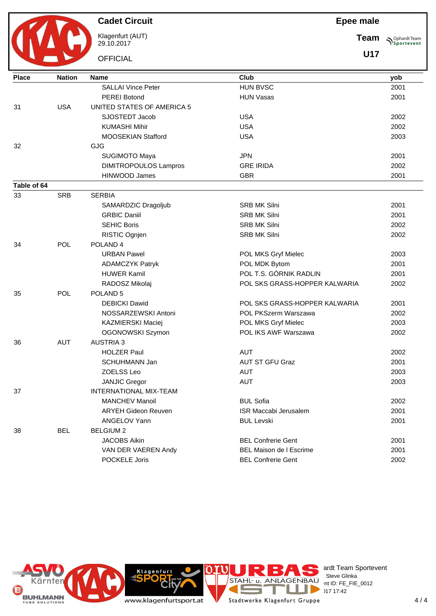**OFFICIAL** 

Klagenfurt (AUT) 29.10.2017

**Epee male**

**Team Sportevent** 

**U17**

| <b>Place</b> | <b>Nation</b> | <b>Name</b>                | Club                           | yob  |
|--------------|---------------|----------------------------|--------------------------------|------|
|              |               | <b>SALLAI Vince Peter</b>  | <b>HUN BVSC</b>                | 2001 |
|              |               | <b>PEREI Botond</b>        | <b>HUN Vasas</b>               | 2001 |
| 31           | <b>USA</b>    | UNITED STATES OF AMERICA 5 |                                |      |
|              |               | SJOSTEDT Jacob             | <b>USA</b>                     | 2002 |
|              |               | <b>KUMASHI Mihir</b>       | <b>USA</b>                     | 2002 |
|              |               | MOOSEKIAN Stafford         | <b>USA</b>                     | 2003 |
| 32           |               | <b>GJG</b>                 |                                |      |
|              |               | <b>SUGIMOTO Maya</b>       | <b>JPN</b>                     | 2001 |
|              |               | DIMITROPOULOS Lampros      | <b>GRE IRIDA</b>               | 2002 |
|              |               | <b>HINWOOD James</b>       | <b>GBR</b>                     | 2001 |
| Table of 64  |               |                            |                                |      |
| 33           | <b>SRB</b>    | <b>SERBIA</b>              |                                |      |
|              |               | SAMARDZIC Dragoljub        | <b>SRB MK Silni</b>            | 2001 |
|              |               | <b>GRBIC Daniil</b>        | <b>SRB MK Silni</b>            | 2001 |
|              |               | <b>SEHIC Boris</b>         | <b>SRB MK Silni</b>            | 2002 |
|              |               | RISTIC Ognjen              | SRB MK Silni                   | 2002 |
| 34           | POL           | POLAND <sub>4</sub>        |                                |      |
|              |               | <b>URBAN Pawel</b>         | POL MKS Gryf Mielec            | 2003 |
|              |               | <b>ADAMCZYK Patryk</b>     | POL MDK Bytom                  | 2001 |
|              |               | <b>HUWER Kamil</b>         | POL T.S. GÓRNIK RADLIN         | 2001 |
|              |               | RADOSZ Mikolaj             | POL SKS GRASS-HOPPER KALWARIA  | 2002 |
| 35           | POL           | POLAND <sub>5</sub>        |                                |      |
|              |               | <b>DEBICKI Dawid</b>       | POL SKS GRASS-HOPPER KALWARIA  | 2001 |
|              |               | NOSSARZEWSKI Antoni        | POL PKSzerm Warszawa           | 2002 |
|              |               | <b>KAZMIERSKI Maciej</b>   | POL MKS Gryf Mielec            | 2003 |
|              |               | OGONOWSKI Szymon           | POL IKS AWF Warszawa           | 2002 |
| 36           | <b>AUT</b>    | <b>AUSTRIA 3</b>           |                                |      |
|              |               | <b>HOLZER Paul</b>         | <b>AUT</b>                     | 2002 |
|              |               | SCHUHMANN Jan              | <b>AUT ST GFU Graz</b>         | 2001 |
|              |               | ZOELSS Leo                 | <b>AUT</b>                     | 2003 |
|              |               | <b>JANJIC Gregor</b>       | <b>AUT</b>                     | 2003 |
| 37           |               | INTERNATIONAL MIX-TEAM     |                                |      |
|              |               | MANCHEV Manoil             | <b>BUL Sofia</b>               | 2002 |
|              |               | <b>ARYEH Gideon Reuven</b> | ISR Maccabi Jerusalem          | 2001 |
|              |               | ANGELOV Yann               | <b>BUL Levski</b>              | 2001 |
| 38           | <b>BEL</b>    | <b>BELGIUM 2</b>           |                                |      |
|              |               | <b>JACOBS Aikin</b>        | <b>BEL Confrerie Gent</b>      | 2001 |
|              |               | VAN DER VAEREN Andy        | <b>BEL Maison de I Escrime</b> | 2001 |
|              |               | POCKELE Joris              | <b>BEL Confrerie Gent</b>      | 2002 |
|              |               |                            |                                |      |





**Klagenfurt** 



erdt Team Sportevent **License:** Steve Glinka  $P^{\sim}$  nt ID: FE\_FIE\_0012  $\frac{2}{17}$  17 17:42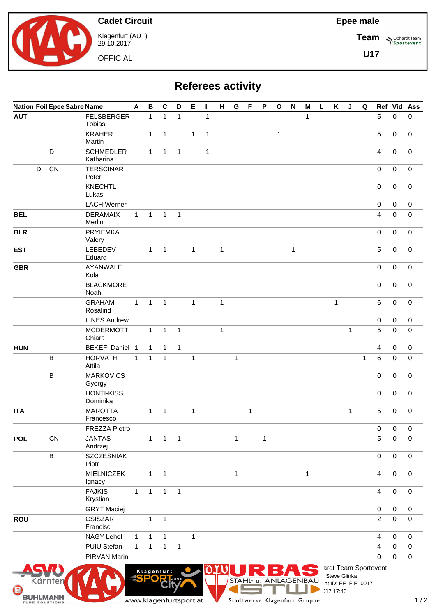

Klagenfurt (AUT) 29.10.2017

**OFFICIAL** 

**U17**

# **Referees activity**

|            |             |              | <b>Nation Foil Epee Sabre Name</b> | $\mathbf{A}$ | $\mathbf B$  | $\mathbf c$  | D              | E            | $\mathbf{I}$ | H            | G            | F            | P            | $\mathbf O$  | $\boldsymbol{\mathsf{N}}$ | M            | L | K            | J | Q            |                         | Ref Vid     | Ass                 |
|------------|-------------|--------------|------------------------------------|--------------|--------------|--------------|----------------|--------------|--------------|--------------|--------------|--------------|--------------|--------------|---------------------------|--------------|---|--------------|---|--------------|-------------------------|-------------|---------------------|
| <b>AUT</b> |             |              | <b>FELSBERGER</b><br><b>Tobias</b> |              | $\mathbf{1}$ | $\mathbf{1}$ | $\mathbf{1}$   |              | $\mathbf{1}$ |              |              |              |              |              |                           | $\mathbf{1}$ |   |              |   |              | 5                       | $\mathbf 0$ | $\mathsf 0$         |
|            |             |              | <b>KRAHER</b><br>Martin            |              | $\mathbf{1}$ | $\mathbf{1}$ |                | $\mathbf{1}$ | $\mathbf{1}$ |              |              |              |              | $\mathbf{1}$ |                           |              |   |              |   |              | 5                       | $\mathbf 0$ | $\mathbf 0$         |
|            |             | D            | <b>SCHMEDLER</b><br>Katharina      |              | $\mathbf{1}$ | $\mathbf{1}$ | $\mathbf{1}$   |              | $\mathbf{1}$ |              |              |              |              |              |                           |              |   |              |   |              | 4                       | $\mathbf 0$ | $\mathbf 0$         |
|            | $\mathsf D$ | <b>CN</b>    | <b>TERSCINAR</b><br>Peter          |              |              |              |                |              |              |              |              |              |              |              |                           |              |   |              |   |              | 0                       | $\mathbf 0$ | $\mathbf 0$         |
|            |             |              | <b>KNECHTL</b><br>Lukas            |              |              |              |                |              |              |              |              |              |              |              |                           |              |   |              |   |              | 0                       | $\mathbf 0$ | $\mathbf 0$         |
|            |             |              | <b>LACH Werner</b>                 |              |              |              |                |              |              |              |              |              |              |              |                           |              |   |              |   |              | $\pmb{0}$               | $\mathbf 0$ | $\mathbf 0$         |
| <b>BEL</b> |             |              | <b>DERAMAIX</b><br>Merlin          | $\mathbf{1}$ | $\mathbf{1}$ | $\mathbf{1}$ | $\mathbf{1}$   |              |              |              |              |              |              |              |                           |              |   |              |   |              | $\overline{4}$          | $\mathbf 0$ | $\mathsf{O}\xspace$ |
| <b>BLR</b> |             |              | <b>PRYIEMKA</b><br>Valery          |              |              |              |                |              |              |              |              |              |              |              |                           |              |   |              |   |              | $\mathsf 0$             | $\mathbf 0$ | $\mathsf{O}\xspace$ |
| <b>EST</b> |             |              | LEBEDEV<br>Eduard                  |              | $\mathbf{1}$ | $\mathbf{1}$ |                | $\mathbf{1}$ |              | $\mathbf{1}$ |              |              |              |              | $\mathbf{1}$              |              |   |              |   |              | 5                       | $\mathbf 0$ | $\mathsf{O}\xspace$ |
| <b>GBR</b> |             |              | AYANWALE<br>Kola                   |              |              |              |                |              |              |              |              |              |              |              |                           |              |   |              |   |              | $\pmb{0}$               | $\mathbf 0$ | $\mathbf 0$         |
|            |             |              | <b>BLACKMORE</b><br>Noah           |              |              |              |                |              |              |              |              |              |              |              |                           |              |   |              |   |              | $\mathsf 0$             | $\pmb{0}$   | $\mathbf 0$         |
|            |             |              | <b>GRAHAM</b><br>Rosalind          | $\mathbf{1}$ | $\mathbf{1}$ | $\mathbf{1}$ |                | $\mathbf{1}$ |              | $\mathbf{1}$ |              |              |              |              |                           |              |   | $\mathbf{1}$ |   |              | $\,6\,$                 | $\pmb{0}$   | $\pmb{0}$           |
|            |             |              | <b>LINES Andrew</b>                |              |              |              |                |              |              |              |              |              |              |              |                           |              |   |              |   |              | 0                       | $\mathbf 0$ | $\mathbf 0$         |
|            |             |              | <b>MCDERMOTT</b><br>Chiara         |              | $\mathbf{1}$ | $\mathbf{1}$ | $\mathbf{1}$   |              |              | $\mathbf{1}$ |              |              |              |              |                           |              |   |              | 1 |              | $\sqrt{5}$              | $\mathbf 0$ | $\mathbf 0$         |
| <b>HUN</b> |             |              | <b>BEKEFI Daniel 1</b>             |              | 1            | $\mathbf 1$  | $\mathbf{1}$   |              |              |              |              |              |              |              |                           |              |   |              |   |              | 4                       | 0           | $\mathbf 0$         |
|            |             | $\, {\bf B}$ | <b>HORVATH</b><br>Attila           | $\mathbf{1}$ | $\mathbf{1}$ | $\mathbf{1}$ |                | $\mathbf{1}$ |              |              | $\mathbf{1}$ |              |              |              |                           |              |   |              |   | $\mathbf{1}$ | 6                       | $\mathbf 0$ | $\mathbf 0$         |
|            |             | $\, {\bf B}$ | <b>MARKOVICS</b><br>Gyorgy         |              |              |              |                |              |              |              |              |              |              |              |                           |              |   |              |   |              | $\mathbf 0$             | $\mathbf 0$ | $\mathbf 0$         |
|            |             |              | <b>HONTI-KISS</b><br>Dominika      |              |              |              |                |              |              |              |              |              |              |              |                           |              |   |              |   |              | $\mathbf 0$             | $\mathbf 0$ | $\mathbf 0$         |
| <b>ITA</b> |             |              | <b>MAROTTA</b><br>Francesco        |              | $\mathbf{1}$ | $\mathbf{1}$ |                | $\mathbf{1}$ |              |              |              | $\mathbf{1}$ |              |              |                           |              |   |              | 1 |              | 5                       | $\mathbf 0$ | $\mathbf 0$         |
|            |             |              | FREZZA Pietro                      |              |              |              |                |              |              |              |              |              |              |              |                           |              |   |              |   |              | $\overline{0}$          | $\mathbf 0$ | $\Omega$            |
| <b>POL</b> |             | CN           | <b>JANTAS</b><br>Andrzej           |              | $\mathbf{1}$ | $\mathbf{1}$ | $\overline{1}$ |              |              |              | $\mathbf{1}$ |              | $\mathbf{1}$ |              |                           |              |   |              |   |              | 5                       | 0           | $\pmb{0}$           |
|            |             | $\sf B$      | <b>SZCZESNIAK</b><br>Piotr         |              |              |              |                |              |              |              |              |              |              |              |                           |              |   |              |   |              | $\pmb{0}$               | $\pmb{0}$   | $\pmb{0}$           |
|            |             |              | <b>MIELNICZEK</b><br>Ignacy        |              | $\mathbf{1}$ | $\mathbf{1}$ |                |              |              |              | $\mathbf{1}$ |              |              |              |                           | $\mathbf{1}$ |   |              |   |              | $\overline{\mathbf{4}}$ | $\pmb{0}$   | $\mathsf{O}\xspace$ |
|            |             |              | <b>FAJKIS</b><br>Krystian          | $\mathbf{1}$ | $\mathbf{1}$ | $\mathbf{1}$ | $\mathbf{1}$   |              |              |              |              |              |              |              |                           |              |   |              |   |              | 4                       | $\pmb{0}$   | $\pmb{0}$           |
|            |             |              | <b>GRYT Maciej</b>                 |              |              |              |                |              |              |              |              |              |              |              |                           |              |   |              |   |              | $\pmb{0}$               | $\mathbf 0$ | $\mathbf 0$         |
| <b>ROU</b> |             |              | <b>CSISZAR</b><br>Francisc         |              | $\mathbf{1}$ | $\mathbf{1}$ |                |              |              |              |              |              |              |              |                           |              |   |              |   |              | $\boldsymbol{2}$        | $\mathbf 0$ | $\mathbf 0$         |
|            |             |              | <b>NAGY Lehel</b>                  | $\mathbf{1}$ | $\mathbf{1}$ | $\mathbf{1}$ |                | $\mathbf{1}$ |              |              |              |              |              |              |                           |              |   |              |   |              | $\overline{4}$          | $\mathbf 0$ | $\mathbf 0$         |
|            |             |              | PUIU Stefan                        | $\mathbf{1}$ | $\mathbf{1}$ | $\mathbf{1}$ | $\mathbf{1}$   |              |              |              |              |              |              |              |                           |              |   |              |   |              | $\overline{4}$          | $\mathbf 0$ | $\mathbf 0$         |
|            |             |              | PIRVAN Marin                       |              |              |              |                |              |              |              |              |              |              |              |                           |              |   |              |   |              | 0                       | $\mathbf 0$ | $\mathsf{O}\xspace$ |



www.klagenfurtsport.at

**Cit** 

**Klagenfurt** 

∩

T Stadtwerke Klagenfurt Gruppe

Е

**CONTRACT** 

a.

STAHL U. ANLAGENBAU Steve Glinka

es ardt Team Sportevent

 $\begin{array}{l} \begin{array}{|c} \text{GENBAU} \end{array} \\ \begin{array}{|c|c|} \end{array} \end{array}$   $\begin{array}{c} \text{int ID: FE\_FIE\_0017} \end{array}$  $29.1717:43$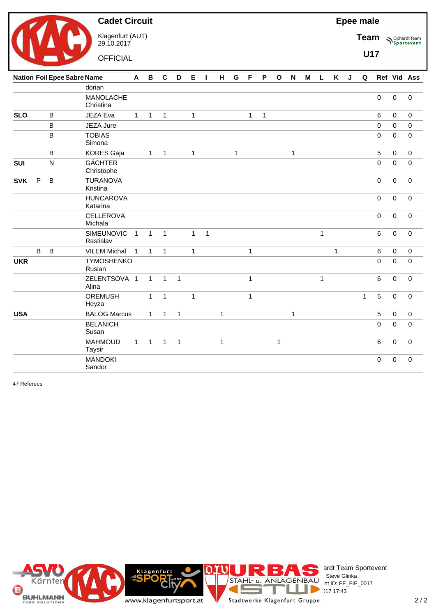

Klagenfurt (AUT) 29.10.2017

**Cadet Circuit**

**OFFICIAL** 

**Team Sportevent** 

**U17**

|            |              |             | <b>Nation Foil Epee Sabre Name</b> | A            | $\, {\bf B}$ | $\mathbf c$  | D            | E            |              | H            | $\mathbf G$  | F            | P            | $\mathbf O$  | $\boldsymbol{\mathsf{N}}$ | M | L            | K            | J | Q            |                |                     | Ref Vid Ass |
|------------|--------------|-------------|------------------------------------|--------------|--------------|--------------|--------------|--------------|--------------|--------------|--------------|--------------|--------------|--------------|---------------------------|---|--------------|--------------|---|--------------|----------------|---------------------|-------------|
|            |              |             | dorian                             |              |              |              |              |              |              |              |              |              |              |              |                           |   |              |              |   |              |                |                     |             |
|            |              |             | <b>MANOLACHE</b><br>Christina      |              |              |              |              |              |              |              |              |              |              |              |                           |   |              |              |   |              | $\mathsf 0$    | $\pmb{0}$           | $\mathbf 0$ |
| <b>SLO</b> |              | $\sf B$     | JEZA Eva                           | $\mathbf{1}$ | $\mathbf{1}$ | $\mathbf{1}$ |              | $\mathbf{1}$ |              |              |              | $\mathbf{1}$ | $\mathbf{1}$ |              |                           |   |              |              |   |              | 6              | 0                   | 0           |
|            |              | B           | JEZA Jure                          |              |              |              |              |              |              |              |              |              |              |              |                           |   |              |              |   |              | $\pmb{0}$      | 0                   | $\mathbf 0$ |
|            |              | $\sf B$     | <b>TOBIAS</b><br>Simona            |              |              |              |              |              |              |              |              |              |              |              |                           |   |              |              |   |              | 0              | $\mathbf 0$         | 0           |
|            |              | B           | <b>KORES Gaja</b>                  |              | $\mathbf{1}$ | $\mathbf{1}$ |              | $\mathbf{1}$ |              |              | $\mathbf{1}$ |              |              |              | $\mathbf{1}$              |   |              |              |   |              | 5              | $\pmb{0}$           | $\mathbf 0$ |
| SUI        |              | ${\sf N}$   | <b>GÄCHTER</b><br>Christophe       |              |              |              |              |              |              |              |              |              |              |              |                           |   |              |              |   |              | $\mathbf 0$    | $\mathbf 0$         | $\mathbf 0$ |
| <b>SVK</b> | $\mathsf{P}$ | $\sf B$     | <b>TURANOVA</b><br>Kristina        |              |              |              |              |              |              |              |              |              |              |              |                           |   |              |              |   |              | $\pmb{0}$      | $\pmb{0}$           | $\mathbf 0$ |
|            |              |             | <b>HUNCAROVA</b><br>Katarina       |              |              |              |              |              |              |              |              |              |              |              |                           |   |              |              |   |              | $\mathsf 0$    | $\mathbf 0$         | $\mathbf 0$ |
|            |              |             | <b>CELLEROVA</b><br>Michala        |              |              |              |              |              |              |              |              |              |              |              |                           |   |              |              |   |              | $\mathbf 0$    | $\mathbf 0$         | $\mathbf 0$ |
|            |              |             | <b>SIMEUNOVIC</b><br>Rastislav     | $\mathbf{1}$ | $\mathbf{1}$ | $\mathbf{1}$ |              | $\mathbf{1}$ | $\mathbf{1}$ |              |              |              |              |              |                           |   | $\mathbf{1}$ |              |   |              | $\,6\,$        | $\mathbf 0$         | 0           |
|            | B            | $\mathsf B$ | <b>VILEM Michal</b>                | $\mathbf{1}$ | $\mathbf{1}$ | $\mathbf{1}$ |              | $\mathbf{1}$ |              |              |              | $\mathbf{1}$ |              |              |                           |   |              | $\mathbf{1}$ |   |              | $\,6\,$        | $\mathsf{O}\xspace$ | $\mathbf 0$ |
| <b>UKR</b> |              |             | <b>TYMOSHENKO</b><br>Ruslan        |              |              |              |              |              |              |              |              |              |              |              |                           |   |              |              |   |              | $\mathbf 0$    | $\pmb{0}$           | $\mathbf 0$ |
|            |              |             | ZELENTSOVA 1<br>Alina              |              | $\mathbf{1}$ | $\mathbf{1}$ | $\mathbf{1}$ |              |              |              |              | $\mathbf{1}$ |              |              |                           |   | $\mathbf{1}$ |              |   |              | $\,6\,$        | $\pmb{0}$           | $\mathbf 0$ |
|            |              |             | <b>OREMUSH</b><br>Heyza            |              | $\mathbf{1}$ | $\mathbf{1}$ |              | $\mathbf{1}$ |              |              |              | $\mathbf{1}$ |              |              |                           |   |              |              |   | $\mathbf{1}$ | $\overline{5}$ | $\pmb{0}$           | $\mathbf 0$ |
| <b>USA</b> |              |             | <b>BALOG Marcus</b>                |              | $\mathbf{1}$ | $\mathbf{1}$ | $\mathbf{1}$ |              |              | 1            |              |              |              |              | 1                         |   |              |              |   |              | $\sqrt{5}$     | 0                   | 0           |
|            |              |             | <b>BELANICH</b><br>Susan           |              |              |              |              |              |              |              |              |              |              |              |                           |   |              |              |   |              | 0              | $\mathbf 0$         | $\mathbf 0$ |
|            |              |             | <b>MAHMOUD</b><br>Taysir           | $\mathbf{1}$ | $\mathbf{1}$ | $\mathbf{1}$ | $\mathbf{1}$ |              |              | $\mathbf{1}$ |              |              |              | $\mathbf{1}$ |                           |   |              |              |   |              | 6              | 0                   | $\mathbf 0$ |
|            |              |             | <b>MANDOKI</b><br>Sandor           |              |              |              |              |              |              |              |              |              |              |              |                           |   |              |              |   |              | $\mathsf 0$    | $\pmb{0}$           | $\pmb{0}$   |

47 Referees

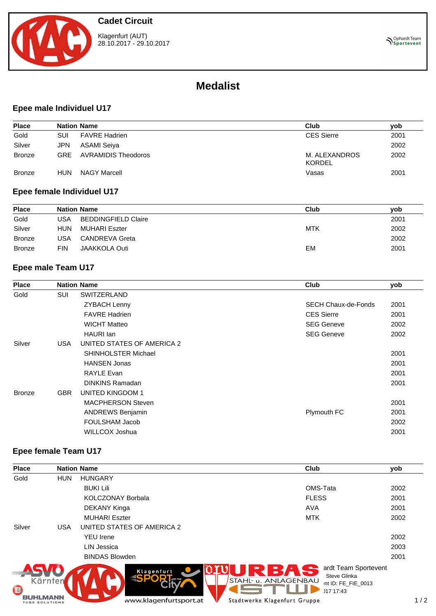

Klagenfurt (AUT) 28.10.2017 - 29.10.2017

# **Medalist**

#### **Epee male Individuel U17**

| <b>Place</b>  |            | <b>Nation Name</b>   | Club                           | yob  |
|---------------|------------|----------------------|--------------------------------|------|
| Gold          | SUI        | <b>FAVRE Hadrien</b> | <b>CES Sierre</b>              | 2001 |
| Silver        | JPN        | ASAMI Seiya          |                                | 2002 |
| <b>Bronze</b> | <b>GRE</b> | AVRAMIDIS Theodoros  | M. ALEXANDROS<br><b>KORDEL</b> | 2002 |
| <b>Bronze</b> | <b>HUN</b> | NAGY Marcell         | Vasas                          | 2001 |

#### **Epee female Individuel U17**

| <b>Place</b>  |            | <b>Nation Name</b>         | Club | vob  |
|---------------|------------|----------------------------|------|------|
| Gold          | USA        | <b>BEDDINGFIELD Claire</b> |      | 2001 |
| Silver        | <b>HUN</b> | MUHARI Eszter              | MTK  | 2002 |
| <b>Bronze</b> | USA        | CANDREVA Greta             |      | 2002 |
| <b>Bronze</b> | FIN        | <b>JAAKKOLA Outi</b>       | EM   | 2001 |

#### **Epee male Team U17**

| <b>Place</b>  |            | <b>Nation Name</b>         | Club                       | yob  |
|---------------|------------|----------------------------|----------------------------|------|
| Gold          | SUI        | <b>SWITZERLAND</b>         |                            |      |
|               |            | <b>ZYBACH Lenny</b>        | <b>SECH Chaux-de-Fonds</b> | 2001 |
|               |            | <b>FAVRE Hadrien</b>       | <b>CES Sierre</b>          | 2001 |
|               |            | <b>WICHT Matteo</b>        | <b>SEG Geneve</b>          | 2002 |
|               |            | HAURI Ian                  | <b>SEG Geneve</b>          | 2002 |
| Silver        | <b>USA</b> | UNITED STATES OF AMERICA 2 |                            |      |
|               |            | <b>SHINHOLSTER Michael</b> |                            | 2001 |
|               |            | <b>HANSEN Jonas</b>        |                            | 2001 |
|               |            | RAYLE Evan                 |                            | 2001 |
|               |            | <b>DINKINS Ramadan</b>     |                            | 2001 |
| <b>Bronze</b> | <b>GBR</b> | UNITED KINGDOM 1           |                            |      |
|               |            | <b>MACPHERSON Steven</b>   |                            | 2001 |
|               |            | <b>ANDREWS Benjamin</b>    | Plymouth FC                | 2001 |
|               |            | FOULSHAM Jacob             |                            | 2002 |
|               |            | WILLCOX Joshua             |                            | 2001 |
|               |            |                            |                            |      |

#### **Epee female Team U17**

| <b>Place</b> |                       | <b>Nation Name</b>         | Club                                                                                             | yob  |    |
|--------------|-----------------------|----------------------------|--------------------------------------------------------------------------------------------------|------|----|
| Gold         | <b>HUN</b>            | <b>HUNGARY</b>             |                                                                                                  |      |    |
|              |                       | <b>BUKI Lili</b>           | OMS-Tata                                                                                         | 2002 |    |
|              |                       | <b>KOLCZONAY Borbala</b>   | <b>FLESS</b>                                                                                     | 2001 |    |
|              |                       | DEKANY Kinga               | AVA                                                                                              | 2001 |    |
|              |                       | <b>MUHARI Eszter</b>       | <b>MTK</b>                                                                                       | 2002 |    |
| Silver       | <b>USA</b>            | UNITED STATES OF AMERICA 2 |                                                                                                  |      |    |
|              |                       | <b>YEU</b> Irene           |                                                                                                  | 2002 |    |
|              |                       | <b>LIN Jessica</b>         |                                                                                                  | 2003 |    |
|              |                       | <b>BINDAS Blowden</b>      |                                                                                                  | 2001 |    |
| G            | Kärnten               | Klagenfurt<br>AND THE      | ardt Team Sportevent<br>Steve Glinka<br>STAHL- u. ANLAGENBAU<br>int ID: FE FIE 0013<br>)17 17:43 |      |    |
|              | <b>TUBE SOLUTIONS</b> | www.klagenfurtsport.at     | Stadtwerke Klagenfurt Gruppe                                                                     |      | 1/ |